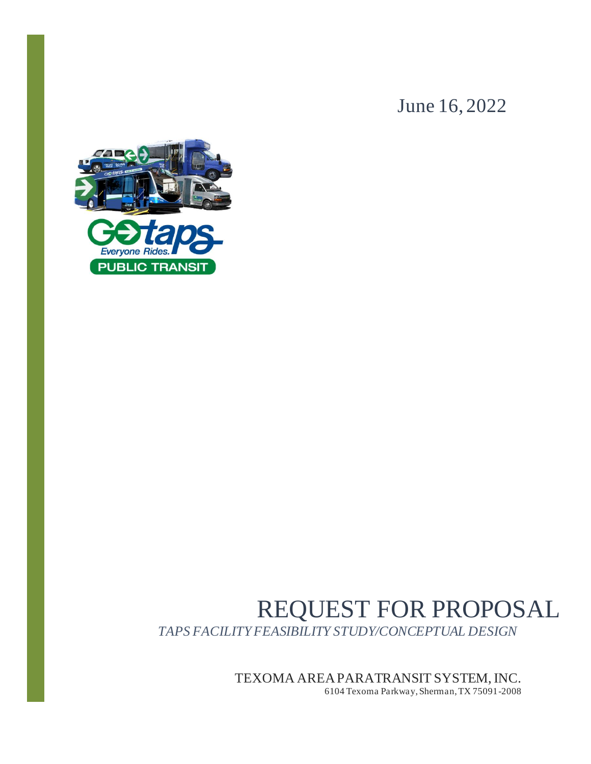June 16, 2022



# REQUEST FOR PROPOSAL *TAPS FACILITY FEASIBILITY STUDY/CONCEPTUAL DESIGN*

TEXOMA AREA PARATRANSIT SYSTEM, INC.

6104 Texoma Parkway, Sherman, TX 75091-2008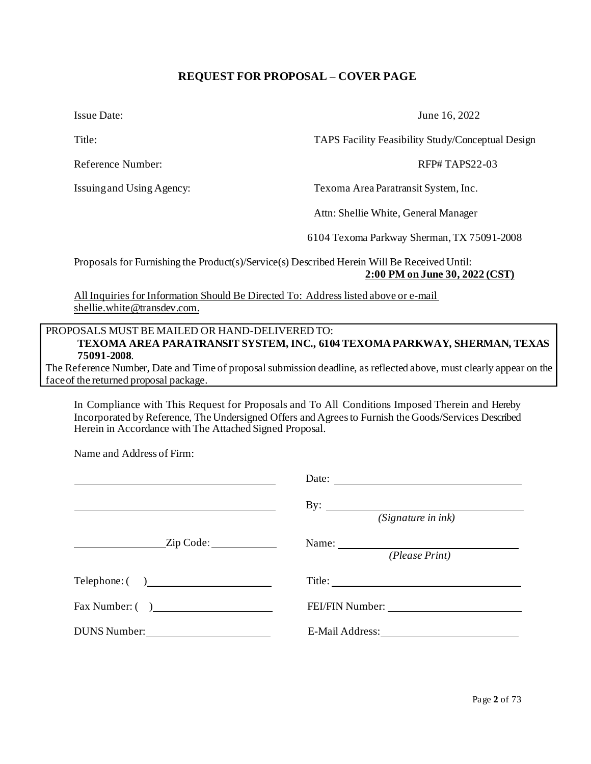## **REQUEST FOR PROPOSAL – COVER PAGE**

<span id="page-1-0"></span>

Reference Number:  $RFP# TAPS22-03$ 

Name and Address of Firm:

Issue Date: June 16, 2022

Title: TAPS Facility Feasibility Study/Conceptual Design

Issuingand Using Agency: Texoma Area Paratransit System, Inc.

Attn: Shellie White, General Manager

6104 Texoma Parkway Sherman, TX 75091-2008

Proposals for Furnishing the Product(s)/Service(s) Described Herein Will Be Received Until: **2:00 PM on June 30, 2022 (CST)**

All Inquiries for Information Should Be Directed To: Address listed above or e-mail shellie.white@transdev.com.

## PROPOSALS MUST BE MAILED OR HAND-DELIVERED TO: **TEXOMA AREA PARATRANSIT SYSTEM, INC., 6104 TEXOMA PARKWAY, SHERMAN, TEXAS 75091-2008**.

The Reference Number, Date and Time of proposal submission deadline, as reflected above, must clearly appear on the faceof the returned proposal package.

In Compliance with This Request for Proposals and To All Conditions Imposed Therein and Hereby Incorporated byReference, The Undersigned Offers and Agreesto Furnish the Goods/Services Described Herein in Accordance with The Attached Signed Proposal.

|                          | By: $\qquad \qquad \qquad \qquad$<br>(Signature in ink)                                                               |
|--------------------------|-----------------------------------------------------------------------------------------------------------------------|
| $\sqrt{2ip \text{Code}}$ | Name: $\frac{1}{\sqrt{1-\frac{1}{2}}\sqrt{1-\frac{1}{2}}\sqrt{1-\frac{1}{2}}\sqrt{1-\frac{1}{2}}}}$<br>(Please Print) |
| Telephone: ()            |                                                                                                                       |
| Fax Number: ( )          |                                                                                                                       |
| DUNS Number:             |                                                                                                                       |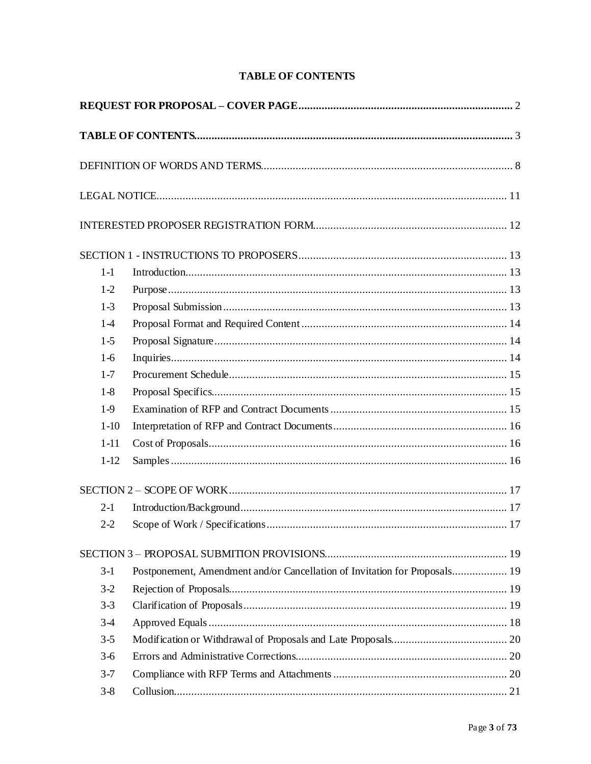<span id="page-2-0"></span>

| $1-1$    |                                                                            |  |
|----------|----------------------------------------------------------------------------|--|
| $1-2$    |                                                                            |  |
| $1-3$    |                                                                            |  |
| $1-4$    |                                                                            |  |
| $1-5$    |                                                                            |  |
| $1-6$    |                                                                            |  |
| $1 - 7$  |                                                                            |  |
| $1-8$    |                                                                            |  |
| $1-9$    |                                                                            |  |
| $1 - 10$ |                                                                            |  |
| $1 - 11$ |                                                                            |  |
| $1 - 12$ |                                                                            |  |
|          |                                                                            |  |
| $2-1$    |                                                                            |  |
| $2-2$    |                                                                            |  |
|          |                                                                            |  |
| $3-1$    | Postponement, Amendment and/or Cancellation of Invitation for Proposals 19 |  |
| $3-2$    |                                                                            |  |
| $3 - 3$  |                                                                            |  |
| $3-4$    |                                                                            |  |
| $3 - 5$  |                                                                            |  |
| $3-6$    |                                                                            |  |
| $3 - 7$  |                                                                            |  |
| $3 - 8$  |                                                                            |  |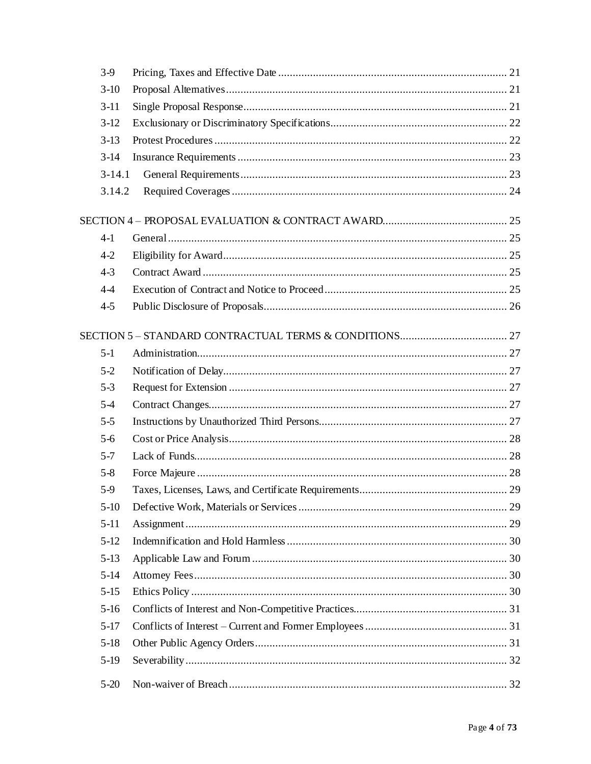| $3-9$      |  |
|------------|--|
| $3-10$     |  |
| $3-11$     |  |
| $3-12$     |  |
| $3-13$     |  |
| $3-14$     |  |
| $3 - 14.1$ |  |
| 3.14.2     |  |
|            |  |
| $4-1$      |  |
| $4-2$      |  |
| $4 - 3$    |  |
| $4 - 4$    |  |
| $4 - 5$    |  |
|            |  |
|            |  |
| $5-1$      |  |
| $5-2$      |  |
| $5 - 3$    |  |
| $5 - 4$    |  |
| $5 - 5$    |  |
| $5-6$      |  |
| $5 - 7$    |  |
| $5 - 8$    |  |
| $5-9$      |  |
| $5-10$     |  |
| $5-11$     |  |
| $5-12$     |  |
| $5-13$     |  |
| $5 - 14$   |  |
| $5-15$     |  |
| $5-16$     |  |
| $5-17$     |  |
| $5-18$     |  |
| $5-19$     |  |
| $5 - 20$   |  |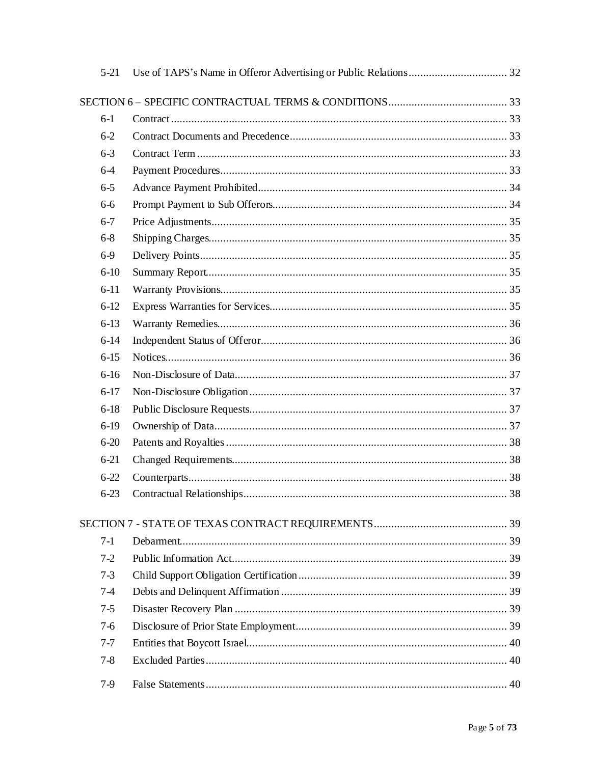| $5-21$   |  |
|----------|--|
|          |  |
| $6-1$    |  |
| $6-2$    |  |
| $6 - 3$  |  |
| $6-4$    |  |
| $6 - 5$  |  |
| $6-6$    |  |
| $6 - 7$  |  |
| $6 - 8$  |  |
| $6-9$    |  |
| $6-10$   |  |
| $6-11$   |  |
| $6-12$   |  |
| $6-13$   |  |
| $6-14$   |  |
| $6-15$   |  |
| $6-16$   |  |
| $6-17$   |  |
| $6-18$   |  |
| $6-19$   |  |
| $6 - 20$ |  |
| $6 - 21$ |  |
| $6 - 22$ |  |
| $6 - 23$ |  |
|          |  |
| $7-1$    |  |
| $7-2$    |  |
| $7-3$    |  |
| $7-4$    |  |
| $7 - 5$  |  |
| $7-6$    |  |
| $7 - 7$  |  |
| $7 - 8$  |  |
| $7-9$    |  |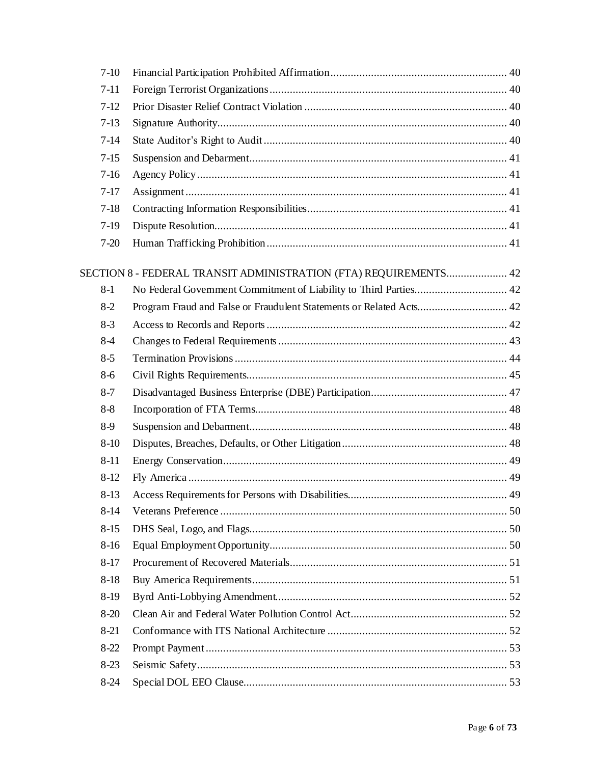| $7-10$   |                                                                     |    |
|----------|---------------------------------------------------------------------|----|
| $7-11$   |                                                                     |    |
| $7-12$   |                                                                     |    |
| $7-13$   |                                                                     |    |
| $7-14$   |                                                                     |    |
| $7-15$   |                                                                     |    |
| $7-16$   |                                                                     |    |
| $7-17$   |                                                                     |    |
| $7-18$   |                                                                     |    |
| $7-19$   |                                                                     |    |
| $7 - 20$ |                                                                     |    |
|          | SECTION 8 - FEDERAL TRANSIT ADMINISTRATION (FTA) REQUIREMENTS 42    |    |
| $8-1$    | No Federal Government Commitment of Liability to Third Parties 42   |    |
| $8-2$    | Program Fraud and False or Fraudulent Statements or Related Acts 42 |    |
| $8-3$    |                                                                     |    |
| $8-4$    |                                                                     |    |
| $8 - 5$  |                                                                     |    |
| $8-6$    |                                                                     |    |
| $8 - 7$  |                                                                     |    |
| $8 - 8$  |                                                                     |    |
| $8-9$    |                                                                     |    |
| $8-10$   |                                                                     |    |
| $8 - 11$ |                                                                     |    |
| $8-12$   |                                                                     |    |
| 8-13     | Access Requirements for Persons with Disabilities                   | 49 |
| $8-14$   |                                                                     |    |
| $8-15$   |                                                                     |    |
| $8-16$   |                                                                     |    |
| $8-17$   |                                                                     |    |
| $8-18$   |                                                                     |    |
| $8-19$   |                                                                     |    |
| $8-20$   |                                                                     |    |
| $8-21$   |                                                                     |    |
| $8 - 22$ |                                                                     |    |
| $8-23$   |                                                                     |    |
| $8-24$   |                                                                     |    |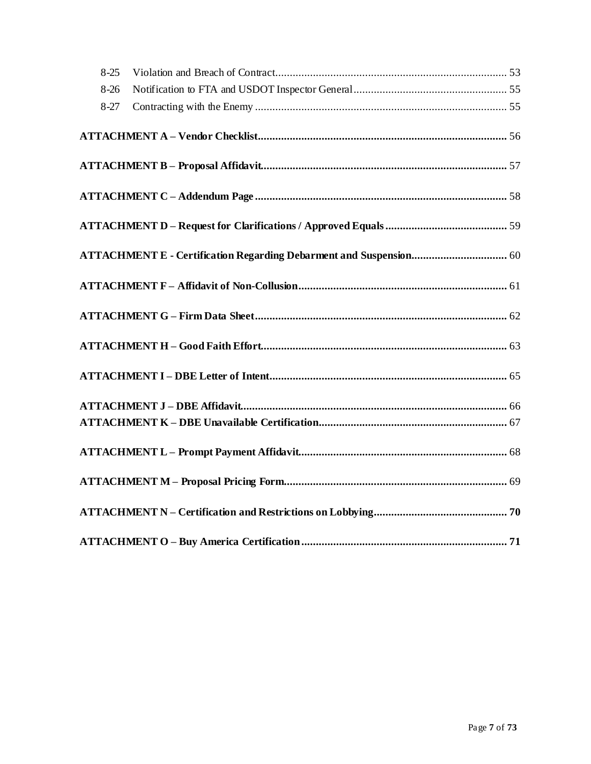| $8-25$ |  |
|--------|--|
| $8-26$ |  |
| $8-27$ |  |
|        |  |
|        |  |
|        |  |
|        |  |
|        |  |
|        |  |
|        |  |
|        |  |
|        |  |
|        |  |
|        |  |
|        |  |
|        |  |
|        |  |
|        |  |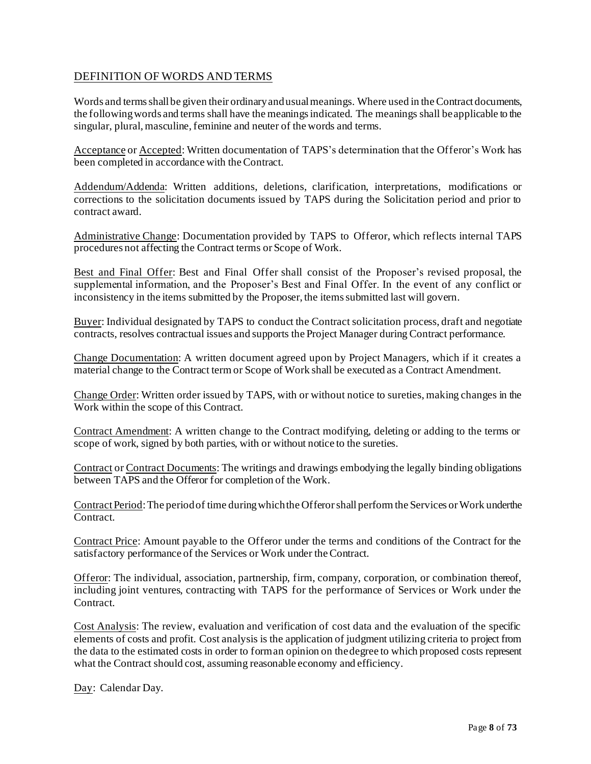## <span id="page-7-0"></span>DEFINITION OF WORDS AND TERMS

Words and terms shall be given their ordinary and usual meanings. Where used in the Contract documents, the followingwords and terms shall have the meaningsindicated. The meanings shall beapplicable to the singular, plural, masculine, feminine and neuter of the words and terms.

Acceptance or Accepted: Written documentation of TAPS's determination that the Offeror's Work has been completed in accordance with the Contract.

Addendum/Addenda: Written additions, deletions, clarification, interpretations, modifications or corrections to the solicitation documents issued by TAPS during the Solicitation period and prior to contract award.

Administrative Change: Documentation provided by TAPS to Offeror, which reflects internal TAPS procedures not affecting the Contract terms or Scope of Work.

Best and Final Offer: Best and Final Offer shall consist of the Proposer's revised proposal, the supplemental information, and the Proposer's Best and Final Offer. In the event of any conflict or inconsistency in the items submitted by the Proposer, the items submitted last will govern.

Buyer: Individual designated by TAPS to conduct the Contract solicitation process, draft and negotiate contracts, resolves contractual issues and supports the Project Manager during Contract performance.

Change Documentation: A written document agreed upon by Project Managers, which if it creates a material change to the Contract term or Scope of Work shall be executed as a Contract Amendment.

Change Order: Written order issued by TAPS, with or without notice to sureties, making changes in the Work within the scope of this Contract.

Contract Amendment: A written change to the Contract modifying, deleting or adding to the terms or scope of work, signed by both parties, with or without notice to the sureties.

Contract or Contract Documents: The writings and drawings embodying the legally binding obligations between TAPS and the Offeror for completion of the Work.

Contract Period: The period of time during which the Offeror shall perform the Services or Work underthe Contract.

Contract Price: Amount payable to the Offeror under the terms and conditions of the Contract for the satisfactory performance of the Services or Work under the Contract.

Offeror: The individual, association, partnership, firm, company, corporation, or combination thereof, including joint ventures, contracting with TAPS for the performance of Services or Work under the Contract.

Cost Analysis: The review, evaluation and verification of cost data and the evaluation of the specific elements of costs and profit. Cost analysis is the application of judgment utilizing criteria to project from the data to the estimated costs in order to forman opinion on thedegree to which proposed costs represent what the Contract should cost, assuming reasonable economy and efficiency.

Day: Calendar Day.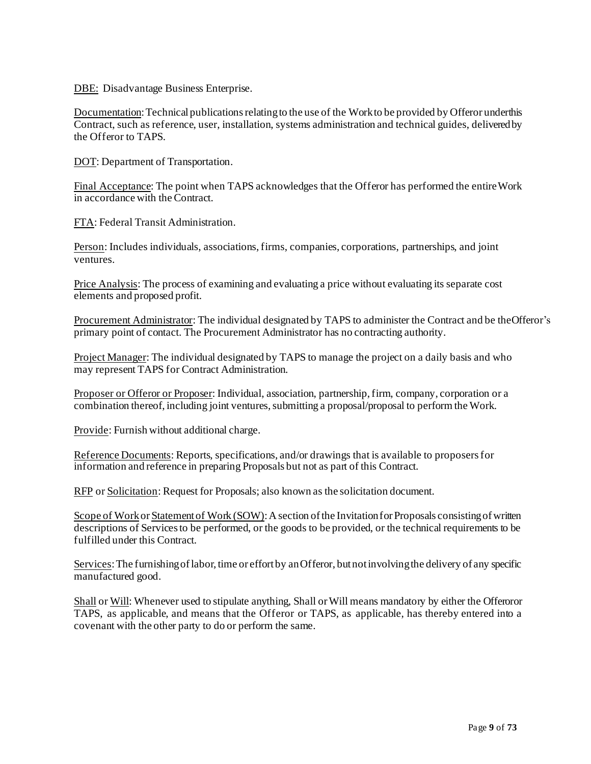DBE: Disadvantage Business Enterprise.

Documentation: Technical publications relating to the use of the Work to be provided by Offeror underthis Contract, such as reference, user, installation, systems administration and technical guides, deliveredby the Offeror to TAPS.

DOT: Department of Transportation.

Final Acceptance: The point when TAPS acknowledges that the Offeror has performed the entireWork in accordance with the Contract.

FTA: Federal Transit Administration.

Person: Includes individuals, associations,firms, companies, corporations, partnerships, and joint ventures.

Price Analysis: The process of examining and evaluating a price without evaluating its separate cost elements and proposed profit.

Procurement Administrator: The individual designated by TAPS to administer the Contract and be theOfferor's primary point of contact. The Procurement Administrator has no contracting authority.

Project Manager: The individual designated by TAPS to manage the project on a daily basis and who may represent TAPS for Contract Administration.

Proposer or Offeror or Proposer: Individual, association, partnership, firm, company, corporation or a combination thereof, including joint ventures, submitting a proposal/proposal to perform the Work.

Provide: Furnish without additional charge.

Reference Documents: Reports, specifications, and/or drawings that is available to proposersfor information and reference in preparing Proposals but not as part of this Contract.

RFP or Solicitation: Request for Proposals; also known as the solicitation document.

Scope of Work or Statement of Work (SOW): A section of the Invitation for Proposals consisting of written descriptions of Services to be performed, or the goods to be provided, or the technical requirements to be fulfilled under this Contract.

Services: The furnishing of labor, time or effort by anOfferor, but not involving the delivery of any specific manufactured good.

Shall or Will: Whenever used to stipulate anything, Shall orWill means mandatory by either the Offeroror TAPS, as applicable, and means that the Offeror or TAPS, as applicable, has thereby entered into a covenant with the other party to do or perform the same.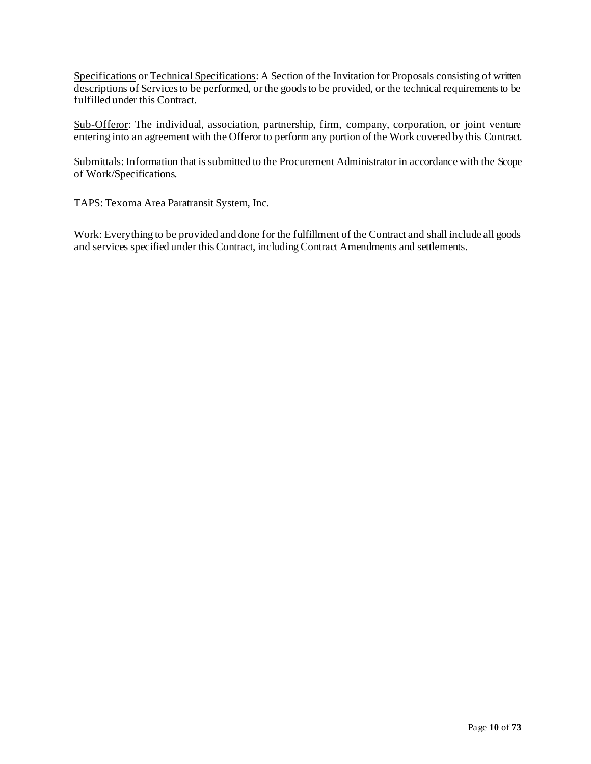Specifications or Technical Specifications: A Section of the Invitation for Proposals consisting of written descriptions of Services to be performed, or the goods to be provided, or the technical requirements to be fulfilled under this Contract.

Sub-Offeror: The individual, association, partnership, firm, company, corporation, or joint venture entering into an agreement with the Offeror to perform any portion of the Work covered by this Contract.

Submittals: Information that is submitted to the Procurement Administrator in accordance with the Scope of Work/Specifications.

TAPS: Texoma Area Paratransit System, Inc.

Work: Everything to be provided and done for the fulfillment of the Contract and shall include all goods and services specified under thisContract, including Contract Amendments and settlements.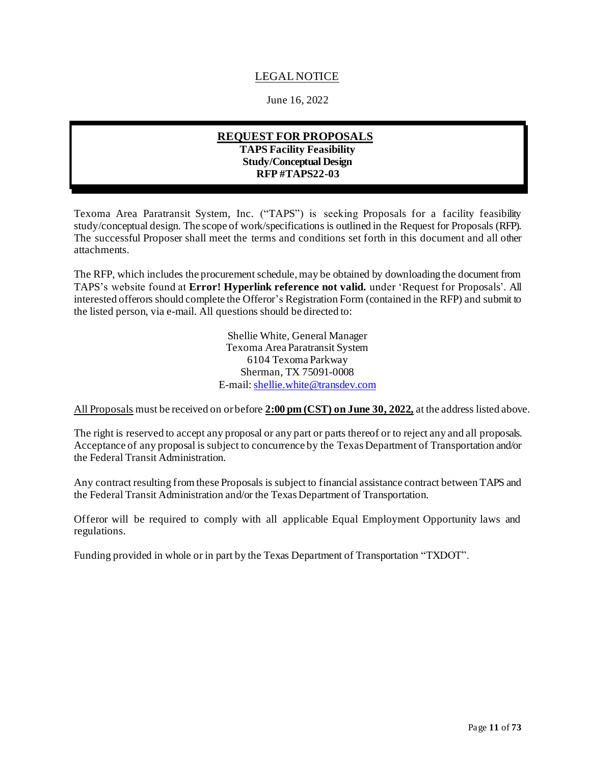## LEGAL NOTICE

June 16, 2022

## **REQUEST FOR PROPOSALS TAPS Facility Feasibility Study/Conceptual Design RFP #TAPS22-03**

<span id="page-10-0"></span>Texoma Area Paratransit System, Inc. ("TAPS") is seeking Proposals for a facility feasibility study/conceptual design. The scope of work/specifications is outlined in the Request for Proposals (RFP). The successful Proposer shall meet the terms and conditions set forth in this document and all other attachments.

The RFP, which includes the procurement schedule, may be obtained by downloading the document from TAPS's website found at **Error! Hyperlink reference not valid.** under 'Request for Proposals'. All interested offerors should complete the Offeror's Registration Form (contained in the RFP) and submit to the listed person, via e-mail. All questions should be directed to:

> Shellie White, General Manager Texoma Area Paratransit System 6104 Texoma Parkway Sherman, TX 75091-0008 E-mail: [shellie.white@transdev.com](mailto:shellie.white@transdev.com)

All Proposals must be received on or before **2:00 pm (CST) on June 30, 2022,** at the address listed above.

The right is reserved to accept any proposal or any part or parts thereof or to reject any and all proposals. Acceptance of any proposal is subject to concurrence by the Texas Department of Transportation and/or the Federal Transit Administration.

Any contract resulting from these Proposals is subject to financial assistance contract between TAPS and the Federal Transit Administration and/or the Texas Department of Transportation.

Offeror will be required to comply with all applicable Equal Employment Opportunity laws and regulations.

Funding provided in whole or in part by the Texas Department of Transportation "TXDOT".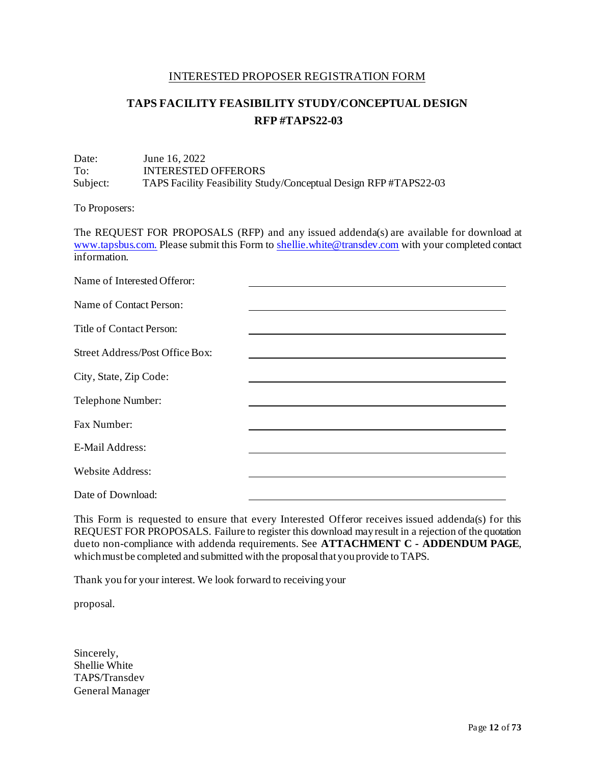#### INTERESTED PROPOSER REGISTRATION FORM

## **TAPS FACILITY FEASIBILITY STUDY/CONCEPTUAL DESIGN RFP #TAPS22-03**

#### <span id="page-11-0"></span>Date: June 16, 2022 To: INTERESTED OFFERORS Subject: TAPS Facility Feasibility Study/Conceptual Design RFP #TAPS22-03

To Proposers:

The REQUEST FOR PROPOSALS (RFP) and any issued addenda(s) are available for download at [www.tapsbus.com.](http://www.tapsbus.com./) Please submit this Form t[o shellie.white@transdev.com](mailto:shellie.white@transdev.com) with your completed contact information

| Name of Interested Offeror:     |  |
|---------------------------------|--|
| Name of Contact Person:         |  |
| Title of Contact Person:        |  |
| Street Address/Post Office Box: |  |
| City, State, Zip Code:          |  |
| Telephone Number:               |  |
| Fax Number:                     |  |
| E-Mail Address:                 |  |
| <b>Website Address:</b>         |  |
| Date of Download:               |  |

This Form is requested to ensure that every Interested Offeror receives issued addenda(s) for this REQUEST FOR PROPOSALS. Failure to register this download mayresult in a rejection of the quotation dueto non-compliance with addenda requirements. See **ATTACHMENT C - ADDENDUM PAGE**, which must be completed and submitted with the proposal that you provide to TAPS.

Thank you for your interest. We look forward to receiving your

proposal.

Sincerely, Shellie White TAPS/Transdev General Manager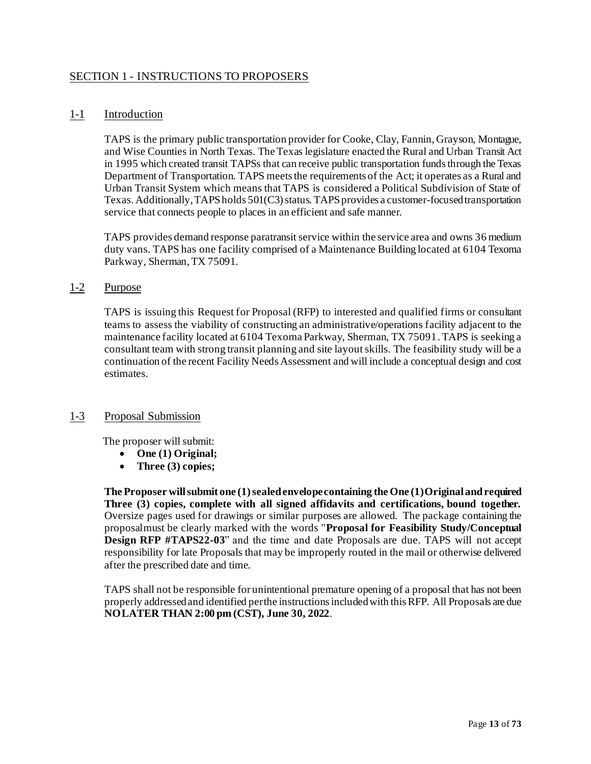## <span id="page-12-0"></span>SECTION 1 - INSTRUCTIONS TO PROPOSERS

## <span id="page-12-1"></span>1-1 Introduction

TAPS is the primary public transportation provider for Cooke, Clay, Fannin, Grayson, Montague, and Wise Counties in North Texas. The Texas legislature enacted the Rural and Urban Transit Act in 1995 which created transit TAPSs that can receive public transportation funds through the Texas Department of Transportation. TAPS meets the requirements of the Act; it operates as a Rural and Urban Transit System which means that TAPS is considered a Political Subdivision of State of Texas. Additionally, TAPS holds 501(C3) status. TAPS provides a customer-focused transportation service that connects people to places in an efficient and safe manner.

TAPS provides demand response paratransit service within the service area and owns 36 medium duty vans. TAPS has one facility comprised of a Maintenance Building located at 6104 Texoma Parkway, Sherman, TX 75091.

#### <span id="page-12-2"></span>1-2 Purpose

TAPS is issuing this Request for Proposal (RFP) to interested and qualified firms or consultant teams to assess the viability of constructing an administrative/operations facility adjacent to the maintenance facility located at 6104 Texoma Parkway, Sherman, TX 75091. TAPS is seeking a consultant team with strong transit planning and site layout skills. The feasibility study will be a continuation of the recent Facility Needs Assessment and will include a conceptual design and cost estimates.

## <span id="page-12-3"></span>1-3 Proposal Submission

The proposer will submit:

- **One (1) Original;**
- **Three (3) copies;**

**The Proposer will submit one (1)sealedenvelopecontaining the One (1)Original andrequired Three (3) copies, complete with all signed affidavits and certifications, bound together.** Oversize pages used for drawings or similar purposes are allowed. The package containing the proposalmust be clearly marked with the words "**Proposal for Feasibility Study/Conceptual Design RFP #TAPS22-03**" and the time and date Proposals are due. TAPS will not accept responsibility for late Proposals that may be improperly routed in the mail or otherwise delivered after the prescribed date and time.

TAPS shall not be responsible for unintentional premature opening of a proposal that has not been properly addressedand identified perthe instructionsincludedwith this RFP. All Proposals are due **NOLATER THAN 2:00 pm (CST), June 30, 2022**.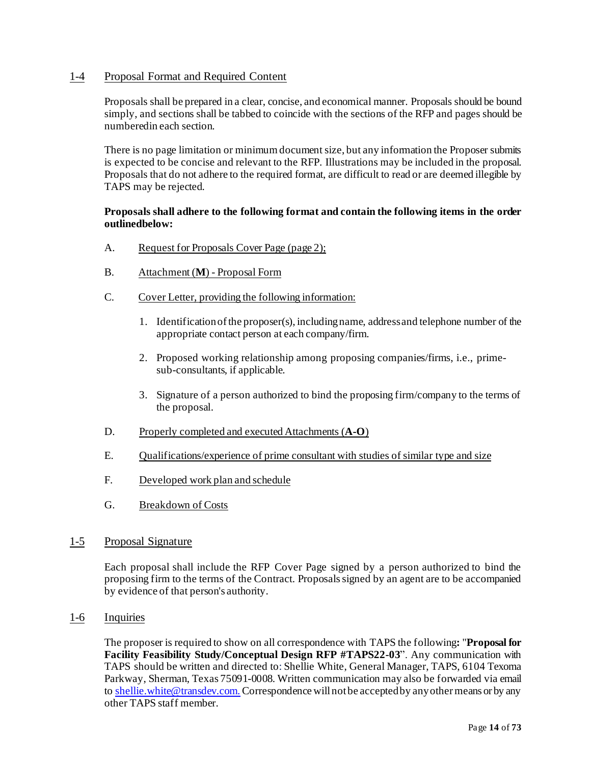## <span id="page-13-0"></span>1-4 Proposal Format and Required Content

Proposals shall be prepared in a clear, concise, and economical manner. Proposals should be bound simply, and sections shall be tabbed to coincide with the sections of the RFP and pages should be numberedin each section.

There is no page limitation or minimum document size, but any information the Proposer submits is expected to be concise and relevant to the RFP. Illustrations may be included in the proposal. Proposals that do not adhere to the required format, are difficult to read or are deemed illegible by TAPS may be rejected.

#### **Proposals shall adhere to the following format and contain the following items in the order outlinedbelow:**

- A. Request for Proposals Cover Page (page 2);
- B. Attachment (**M**) Proposal Form
- C. Cover Letter, providing the following information:
	- 1. Identificationofthe proposer(s), includingname, addressand telephone number of the appropriate contact person at each company/firm.
	- 2. Proposed working relationship among proposing companies/firms, i.e., primesub-consultants, if applicable.
	- 3. Signature of a person authorized to bind the proposing firm/company to the terms of the proposal.
- D. Properly completed and executed Attachments (**A-O**)
- E. Qualifications/experience of prime consultant with studies of similar type and size
- F. Developed work plan and schedule
- G. Breakdown of Costs

#### <span id="page-13-1"></span>1-5 Proposal Signature

Each proposal shall include the RFP Cover Page signed by a person authorized to bind the proposing firm to the terms of the Contract. Proposalssigned by an agent are to be accompanied by evidence of that person's authority.

<span id="page-13-2"></span>1-6 Inquiries

The proposer is required to show on all correspondence with TAPS the following**:** "**Proposal for Facility Feasibility Study/Conceptual Design RFP #TAPS22-03**". Any communication with TAPS should be written and directed to: Shellie White, General Manager, TAPS, 6104 Texoma Parkway, Sherman, Texas 75091-0008. Written communication may also be forwarded via email to [shellie.white@transdev.com.](mailto:shellie.white@transdev.com.) Correspondence will not be accepted by any other means or by any other TAPS staff member.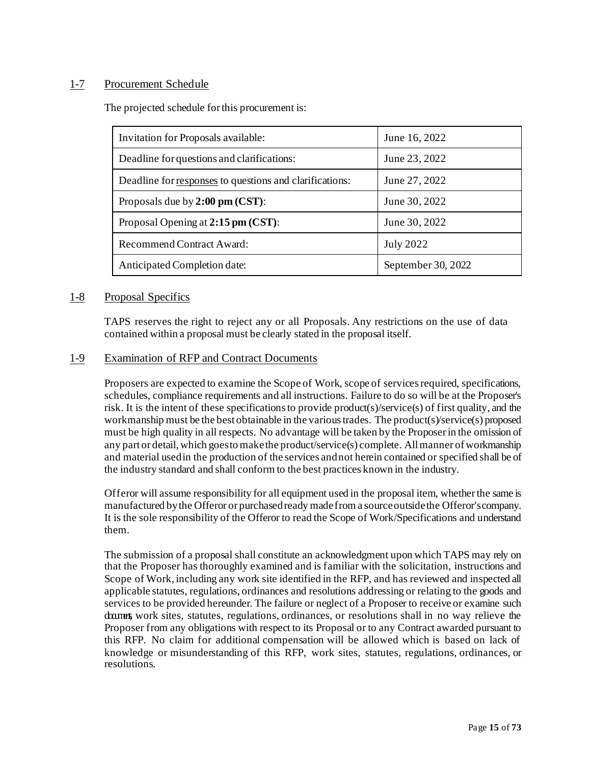## <span id="page-14-0"></span>1-7 Procurement Schedule

The projected schedule forthis procurement is:

| Invitation for Proposals available:                     | June 16, 2022      |  |
|---------------------------------------------------------|--------------------|--|
| Deadline for questions and clarifications:              | June 23, 2022      |  |
| Deadline for responses to questions and clarifications: | June 27, 2022      |  |
| Proposals due by $2:00 \text{ pm} (CST)$ :              | June 30, 2022      |  |
| Proposal Opening at 2:15 pm (CST):                      | June 30, 2022      |  |
| Recommend Contract Award:                               | <b>July 2022</b>   |  |
| Anticipated Completion date:                            | September 30, 2022 |  |

#### <span id="page-14-1"></span>1-8 Proposal Specifics

TAPS reserves the right to reject any or all Proposals. Any restrictions on the use of data contained within a proposal must be clearly stated in the proposal itself.

#### <span id="page-14-2"></span>1-9 Examination of RFP and Contract Documents

Proposers are expected to examine the Scope of Work, scope of services required, specifications, schedules, compliance requirements and all instructions. Failure to do so will be at the Proposer's risk. It is the intent of these specifications to provide product(s)/service(s) of first quality, and the workmanship must be the best obtainable in the varioustrades. The product(s)/service(s) proposed must be high quality in all respects. No advantage will be taken by the Proposerin the omission of any part or detail, which goes to make the product/service(s) complete. All manner of workmanship and material usedin the production of the services andnot herein contained or specified shall be of the industry standard and shall conform to the best practices known in the industry.

Offeror will assume responsibility for all equipment used in the proposal item, whether the same is manufactured by the Offeror or purchased ready made from a source outside the Offeror'scompany. It is the sole responsibility of the Offeror to read the Scope of Work/Specifications and understand them.

The submission of a proposal shall constitute an acknowledgment upon which TAPS may rely on that the Proposer has thoroughly examined and is familiar with the solicitation, instructions and Scope of Work, including any work site identified in the RFP, and has reviewed and inspected all applicable statutes, regulations, ordinances and resolutions addressing or relating to the goods and services to be provided hereunder. The failure or neglect of a Proposer to receive or examine such document work sites, statutes, regulations, ordinances, or resolutions shall in no way relieve the Proposer from any obligations with respect to its Proposal or to any Contract awarded pursuant to this RFP. No claim for additional compensation will be allowed which is based on lack of knowledge or misunderstanding of this RFP, work sites, statutes, regulations, ordinances, or resolutions.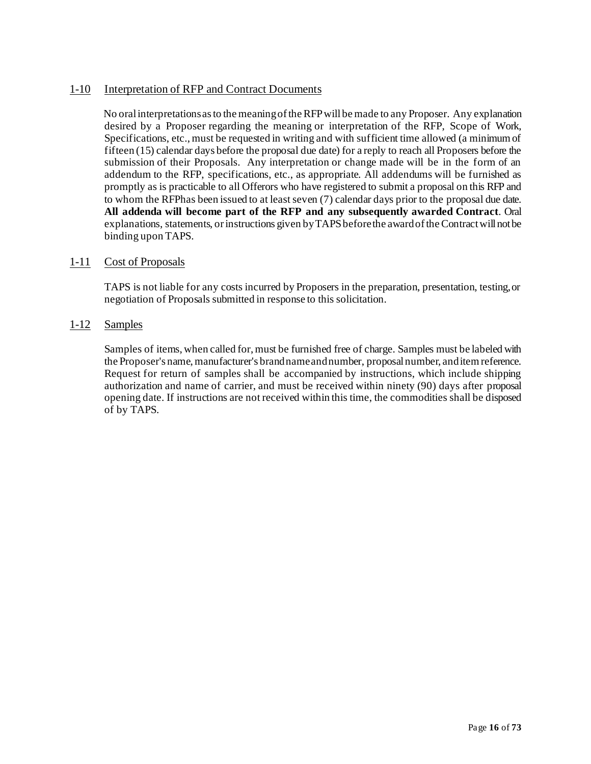## <span id="page-15-0"></span>1-10 Interpretation of RFP and Contract Documents

No oralinterpretationsasto the meaningoftheRFPwillbe made to any Proposer. Any explanation desired by a Proposer regarding the meaning or interpretation of the RFP, Scope of Work, Specifications, etc., must be requested in writing and with sufficient time allowed (a minimum of fifteen (15) calendar days before the proposal due date) for a reply to reach all Proposers before the submission of their Proposals. Any interpretation or change made will be in the form of an addendum to the RFP, specifications, etc., as appropriate. All addendums will be furnished as promptly as is practicable to all Offerors who have registered to submit a proposal on this RFP and to whom the RFPhas been issued to at least seven (7) calendar days prior to the proposal due date. **All addenda will become part of the RFP and any subsequently awarded Contract**. Oral explanations, statements, or instructions given by TAPS before the award of the Contract will not be binding upon TAPS.

## <span id="page-15-1"></span>1-11 Cost of Proposals

TAPS is not liable for any costs incurred by Proposers in the preparation, presentation, testing,or negotiation of Proposals submitted in response to this solicitation.

## <span id="page-15-2"></span>1-12 Samples

Samples of items, when called for, must be furnished free of charge. Samples must be labeled with the Proposer's name, manufacturer's brand name and number, proposal number, and item reference. Request for return of samples shall be accompanied by instructions, which include shipping authorization and name of carrier, and must be received within ninety (90) days after proposal opening date. If instructions are not received within this time, the commodities shall be disposed of by TAPS.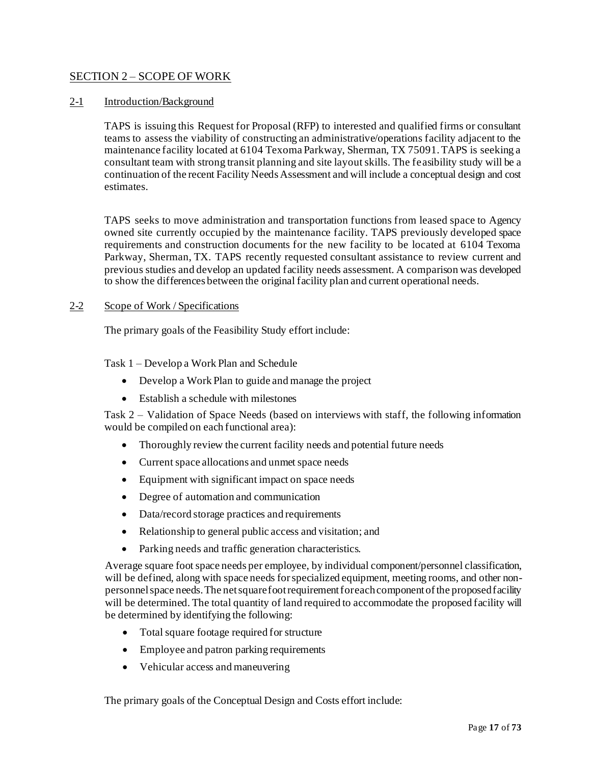## <span id="page-16-0"></span>SECTION 2 – SCOPE OF WORK

#### <span id="page-16-1"></span>2-1 Introduction/Background

TAPS is issuing this Request for Proposal (RFP) to interested and qualified firms or consultant teams to assess the viability of constructing an administrative/operations facility adjacent to the maintenance facility located at 6104 Texoma Parkway, Sherman, TX 75091. TAPS is seeking a consultant team with strong transit planning and site layout skills. The feasibility study will be a continuation of the recent Facility Needs Assessment and will include a conceptual design and cost estimates.

TAPS seeks to move administration and transportation functions from leased space to Agency owned site currently occupied by the maintenance facility. TAPS previously developed space requirements and construction documents for the new facility to be located at 6104 Texoma Parkway, Sherman, TX. TAPS recently requested consultant assistance to review current and previous studies and develop an updated facility needs assessment. A comparison was developed to show the differences between the original facility plan and current operational needs.

#### <span id="page-16-2"></span>2-2 Scope of Work / Specifications

The primary goals of the Feasibility Study effort include:

Task 1 – Develop a Work Plan and Schedule

- Develop a Work Plan to guide and manage the project
- Establish a schedule with milestones

Task 2 – Validation of Space Needs (based on interviews with staff, the following information would be compiled on each functional area):

- Thoroughly review the current facility needs and potential future needs
- Current space allocations and unmet space needs
- Equipment with significant impact on space needs
- Degree of automation and communication
- Data/record storage practices and requirements
- Relationship to general public access and visitation; and
- Parking needs and traffic generation characteristics.

Average square foot space needs per employee, by individual component/personnel classification, will be defined, along with space needs for specialized equipment, meeting rooms, and other nonpersonnel space needs.The net square foot requirement for each component of the proposed facility will be determined. The total quantity of land required to accommodate the proposed facility will be determined by identifying the following:

- Total square footage required for structure
- Employee and patron parking requirements
- Vehicular access and maneuvering

The primary goals of the Conceptual Design and Costs effort include: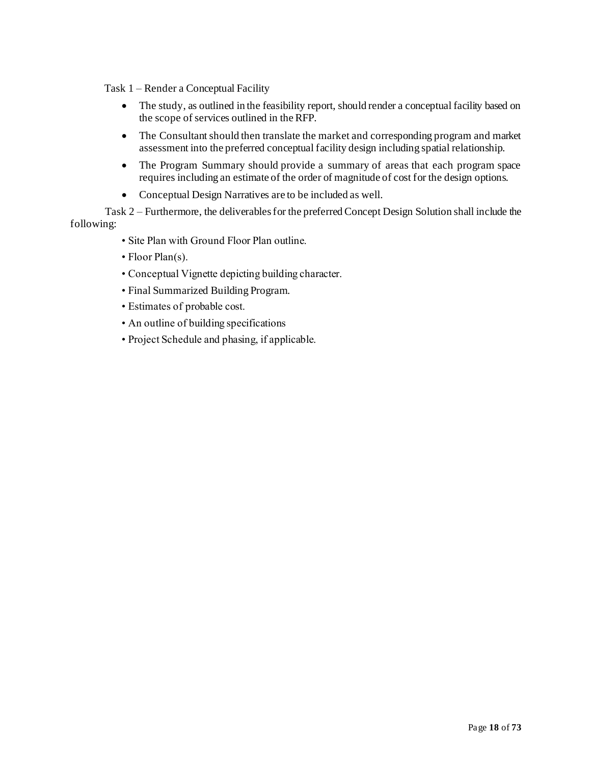Task 1 – Render a Conceptual Facility

- The study, as outlined in the feasibility report, should render a conceptual facility based on the scope of services outlined in the RFP.
- The Consultant should then translate the market and corresponding program and market assessment into the preferred conceptual facility design including spatial relationship.
- The Program Summary should provide a summary of areas that each program space requires including an estimate of the order of magnitude of cost for the design options.
- Conceptual Design Narratives are to be included as well.

Task 2 – Furthermore, the deliverables for the preferred Concept Design Solution shall include the following:

- Site Plan with Ground Floor Plan outline.
- Floor Plan(s).
- Conceptual Vignette depicting building character.
- Final Summarized Building Program.
- Estimates of probable cost.
- An outline of building specifications
- Project Schedule and phasing, if applicable.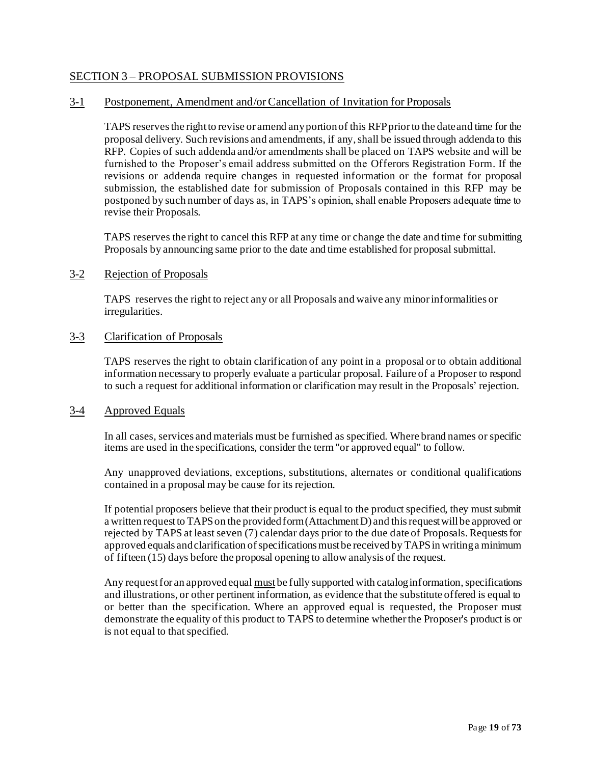## <span id="page-18-0"></span>SECTION 3 – PROPOSAL SUBMISSION PROVISIONS

#### <span id="page-18-1"></span>3-1 Postponement, Amendment and/or Cancellation of Invitation for Proposals

TAPS reserves the right to revise or amend any portion of this RFP prior to the date and time for the proposal delivery. Such revisions and amendments, if any, shall be issued through addenda to this RFP. Copies of such addenda and/or amendments shall be placed on TAPS website and will be furnished to the Proposer's email address submitted on the Offerors Registration Form. If the revisions or addenda require changes in requested information or the format for proposal submission, the established date for submission of Proposals contained in this RFP may be postponed by such number of days as, in TAPS's opinion, shall enable Proposers adequate time to revise their Proposals.

TAPS reserves the right to cancel this RFP at any time or change the date and time for submitting Proposals by announcing same prior to the date and time established for proposal submittal.

#### <span id="page-18-2"></span>3-2 Rejection of Proposals

TAPS reserves the right to reject any or all Proposals and waive any minorinformalities or irregularities.

#### <span id="page-18-3"></span>3-3 Clarification of Proposals

TAPS reserves the right to obtain clarification of any point in a proposal or to obtain additional information necessary to properly evaluate a particular proposal. Failure of a Proposer to respond to such a request for additional information or clarification may result in the Proposals' rejection.

#### <span id="page-18-4"></span>3-4 Approved Equals

In all cases, services and materials must be furnished as specified. Where brand names or specific items are used in the specifications, consider the term "or approved equal" to follow.

Any unapproved deviations, exceptions, substitutions, alternates or conditional qualifications contained in a proposal may be cause for its rejection.

If potential proposers believe that their product is equal to the product specified, they must submit a written request to TAPS on the provided form (Attachment D) and this request will be approved or rejected by TAPS at least seven (7) calendar days prior to the due date of Proposals. Requests for approved equals and clarification of specifications must be received by TAPS in writing a minimum of fifteen (15) days before the proposal opening to allow analysis of the request.

Any request for an approved equal must be fully supported with catalog information, specifications and illustrations, or other pertinent information, as evidence that the substitute offered is equal to or better than the specification. Where an approved equal is requested, the Proposer must demonstrate the equality of this product to TAPS to determine whether the Proposer's product is or is not equal to that specified.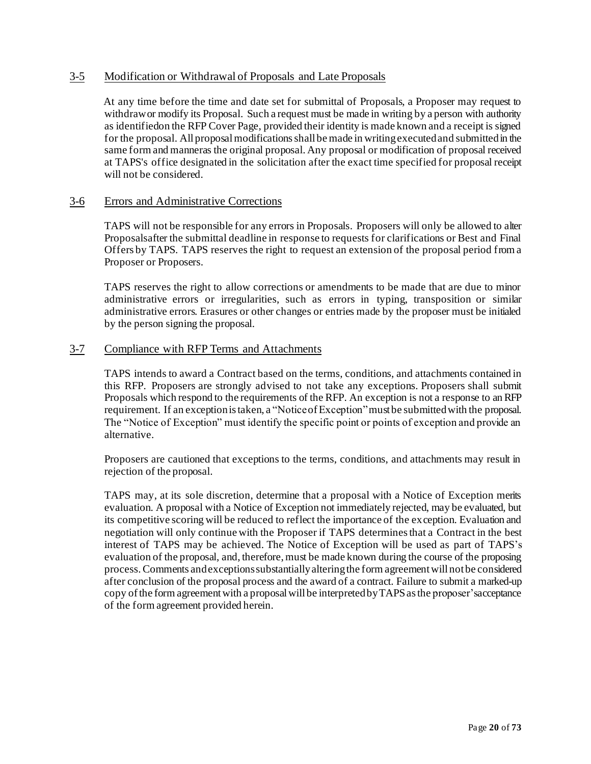#### <span id="page-19-0"></span>3-5 Modification or Withdrawal of Proposals and Late Proposals

At any time before the time and date set for submittal of Proposals, a Proposer may request to withdrawor modify its Proposal. Such a request must be made in writing by a person with authority as identifiedon the RFP Cover Page, provided their identity is made known and a receipt is signed for the proposal. All proposal modifications shall be made in writing executed and submitted in the same form and manneras the original proposal. Any proposal or modification of proposal received at TAPS's office designated in the solicitation after the exact time specified for proposal receipt will not be considered.

#### <span id="page-19-1"></span>3-6 Errors and Administrative Corrections

TAPS will not be responsible for any errors in Proposals. Proposers will only be allowed to alter Proposalsafter the submittal deadline in response to requests for clarifications or Best and Final Offers by TAPS. TAPS reserves the right to request an extension of the proposal period from a Proposer or Proposers.

TAPS reserves the right to allow corrections or amendments to be made that are due to minor administrative errors or irregularities, such as errors in typing, transposition or similar administrative errors. Erasures or other changes or entries made by the proposer must be initialed by the person signing the proposal.

#### <span id="page-19-2"></span>3-7 Compliance with RFP Terms and Attachments

TAPS intends to award a Contract based on the terms, conditions, and attachments contained in this RFP. Proposers are strongly advised to not take any exceptions. Proposers shall submit Proposals which respond to the requirements of the RFP. An exception is not a response to an RFP requirement. If an exceptionistaken, a "NoticeofException"must be submittedwith the proposal. The "Notice of Exception" must identify the specific point or points of exception and provide an alternative.

Proposers are cautioned that exceptions to the terms, conditions, and attachments may result in rejection of the proposal.

TAPS may, at its sole discretion, determine that a proposal with a Notice of Exception merits evaluation. A proposal with a Notice of Exception not immediately rejected, may be evaluated, but its competitive scoring will be reduced to reflect the importance of the exception. Evaluation and negotiation will only continue with the Proposer if TAPS determines that a Contract in the best interest of TAPS may be achieved. The Notice of Exception will be used as part of TAPS's evaluation of the proposal, and, therefore, must be made known during the course of the proposing process.Comments andexceptionssubstantiallyalteringthe form agreementwill notbe considered after conclusion of the proposal process and the award of a contract. Failure to submit a marked-up copy ofthe form agreementwith a proposalwillbe interpretedbyTAPSasthe proposer'sacceptance of the form agreement provided herein.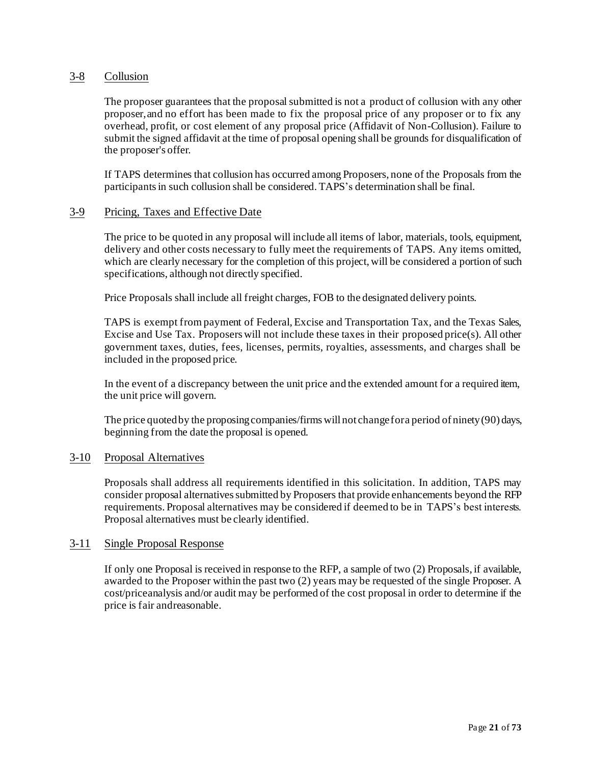#### <span id="page-20-0"></span>3-8 Collusion

The proposer guarantees that the proposal submitted is not a product of collusion with any other proposer,and no effort has been made to fix the proposal price of any proposer or to fix any overhead, profit, or cost element of any proposal price (Affidavit of Non-Collusion). Failure to submit the signed affidavit at the time of proposal opening shall be grounds for disqualification of the proposer's offer.

If TAPS determines that collusion has occurred among Proposers, none of the Proposals from the participantsin such collusion shall be considered. TAPS's determination shall be final.

#### <span id="page-20-1"></span>3-9 Pricing, Taxes and Effective Date

The price to be quoted in any proposal will include all items of labor, materials, tools, equipment, delivery and other costs necessary to fully meet the requirements of TAPS. Any items omitted, which are clearly necessary for the completion of this project, will be considered a portion of such specifications, although not directly specified.

Price Proposals shall include all freight charges, FOB to the designated delivery points.

TAPS is exempt from payment of Federal, Excise and Transportation Tax, and the Texas Sales, Excise and Use Tax. Proposers will not include these taxes in their proposed price(s). All other government taxes, duties, fees, licenses, permits, royalties, assessments, and charges shall be included in the proposed price.

In the event of a discrepancy between the unit price and the extended amount for a required item, the unit price will govern.

The price quoted by the proposing companies/firms will not change for a period of ninety (90) days, beginning from the date the proposal is opened.

#### <span id="page-20-2"></span>3-10 Proposal Alternatives

Proposals shall address all requirements identified in this solicitation. In addition, TAPS may consider proposal alternatives submitted by Proposers that provide enhancements beyond the RFP requirements. Proposal alternatives may be considered if deemed to be in TAPS's best interests. Proposal alternatives must be clearly identified.

#### <span id="page-20-3"></span>3-11 Single Proposal Response

If only one Proposal is received in response to the RFP, a sample of two (2) Proposals, if available, awarded to the Proposer within the past two (2) years may be requested of the single Proposer. A cost/priceanalysis and/or audit may be performed of the cost proposal in order to determine if the price is fair andreasonable.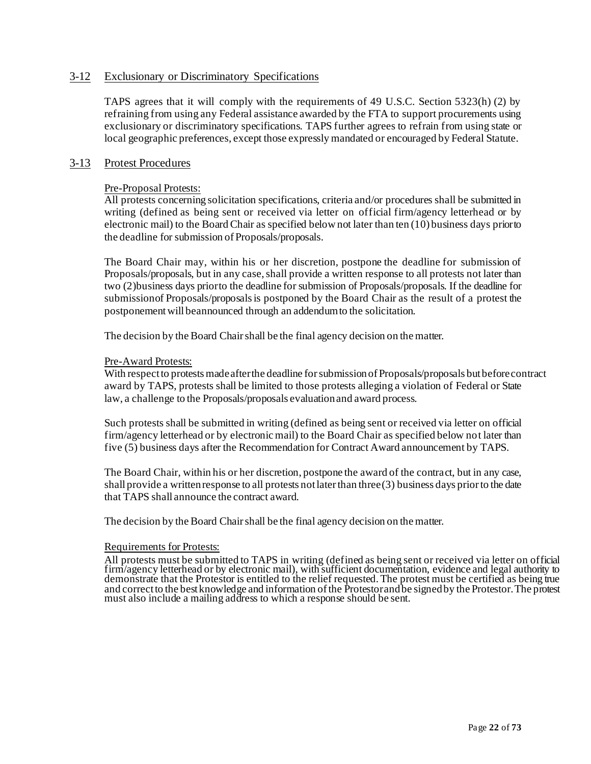#### <span id="page-21-0"></span>3-12 Exclusionary or Discriminatory Specifications

TAPS agrees that it will comply with the requirements of 49 U.S.C. Section 5323(h) (2) by refraining from using any Federal assistance awarded by the FTA to support procurements using exclusionary or discriminatory specifications. TAPS further agrees to refrain from using state or local geographic preferences, except those expressly mandated or encouraged by Federal Statute.

#### <span id="page-21-1"></span>3-13 Protest Procedures

#### Pre-Proposal Protests:

All protests concerning solicitation specifications, criteria and/or procedures shall be submitted in writing (defined as being sent or received via letter on official firm/agency letterhead or by electronic mail) to the Board Chair as specified below not later than ten (10) business days priorto the deadline for submission of Proposals/proposals.

The Board Chair may, within his or her discretion, postpone the deadline for submission of Proposals/proposals, but in any case, shall provide a written response to all protests not later than two (2)business days priorto the deadline for submission of Proposals/proposals. If the deadline for submissionof Proposals/proposalsis postponed by the Board Chair as the result of a protest the postponementwill beannounced through an addendumto the solicitation.

The decision by the Board Chair shall be the final agency decision on the matter.

#### Pre-Award Protests:

With respect to protests made after the deadline for submission of Proposals/proposals but before contract award by TAPS, protests shall be limited to those protests alleging a violation of Federal or State law, a challenge to the Proposals/proposals evaluationand award process.

Such protests shall be submitted in writing (defined as being sent or received via letter on official firm/agency letterhead or by electronic mail) to the Board Chair as specified below not later than five (5) business days after the Recommendation for Contract Award announcement by TAPS.

The Board Chair, within his or her discretion, postpone the award of the contract, but in any case, shall provide a written response to all protests not later than three  $(3)$  business days prior to the date that TAPS shall announce the contract award.

The decision by the Board Chair shall be the final agency decision on the matter.

#### Requirements for Protests:

All protests must be submitted to TAPS in writing (defined as being sent or received via letter on official firm/agency letterhead or by electronic mail), with sufficient documentation, evidence and legal authority to demonstrate that the Protestor is entitled to the relief requested. The protest must be certified as being true and correct to the best knowledge and information of the Protestor and be signed by the Protestor. The protest must also include a mailing address to which a response should be sent.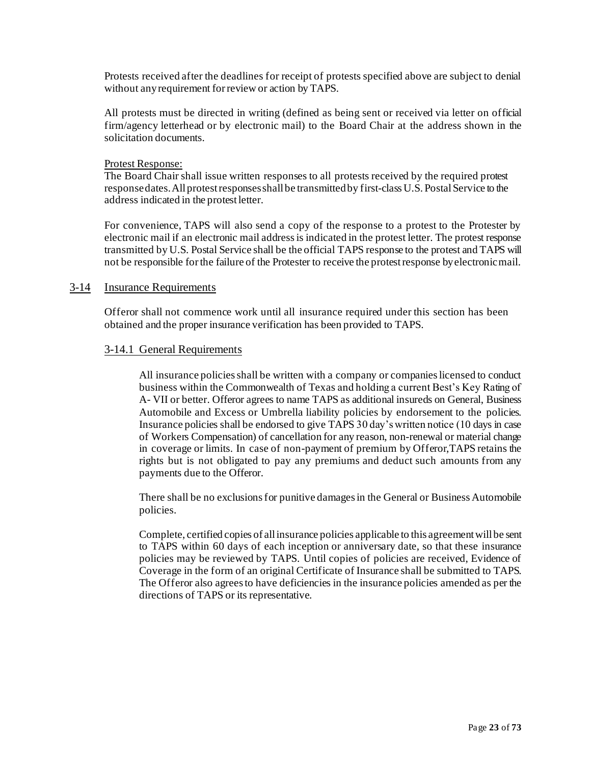Protests received after the deadlines for receipt of protests specified above are subject to denial without anyrequirement forreview or action by TAPS.

All protests must be directed in writing (defined as being sent or received via letter on official firm/agency letterhead or by electronic mail) to the Board Chair at the address shown in the solicitation documents.

#### Protest Response:

The Board Chair shall issue written responses to all protests received by the required protest response dates. All protest responses shall be transmitted by first-class U.S. Postal Service to the address indicated in the protestletter.

For convenience, TAPS will also send a copy of the response to a protest to the Protester by electronic mail if an electronic mail address is indicated in the protest letter. The protest response transmitted by U.S. Postal Service shall be the official TAPS response to the protest and TAPS will not be responsible forthe failure of the Protester to receive the protestresponse byelectronicmail.

#### <span id="page-22-1"></span><span id="page-22-0"></span>3-14 Insurance Requirements

Offeror shall not commence work until all insurance required under this section has been obtained and the proper insurance verification has been provided to TAPS.

#### 3-14.1 General Requirements

All insurance policies shall be written with a company or companies licensed to conduct business within the Commonwealth of Texas and holding a current Best's Key Rating of A- VII or better. Offeror agrees to name TAPS as additional insureds on General, Business Automobile and Excess or Umbrella liability policies by endorsement to the policies. Insurance policies shall be endorsed to give TAPS 30 day's written notice (10 days in case of Workers Compensation) of cancellation for any reason, non-renewal or material change in coverage or limits. In case of non-payment of premium by Offeror,TAPS retains the rights but is not obligated to pay any premiums and deduct such amounts from any payments due to the Offeror.

There shall be no exclusions for punitive damages in the General or Business Automobile policies.

Complete, certified copies of all insurance policies applicable to this agreement will be sent to TAPS within 60 days of each inception or anniversary date, so that these insurance policies may be reviewed by TAPS. Until copies of policies are received, Evidence of Coverage in the form of an original Certificate of Insurance shall be submitted to TAPS. The Offeror also agrees to have deficiencies in the insurance policies amended as per the directions of TAPS or its representative.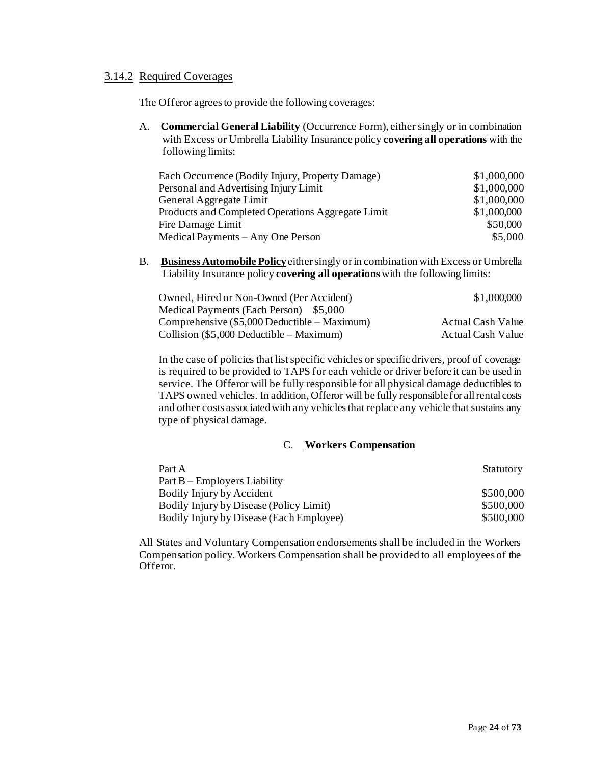#### <span id="page-23-0"></span>3.14.2 Required Coverages

The Offeror agrees to provide the following coverages:

A. **Commercial General Liability** (Occurrence Form), either singly or in combination with Excess or Umbrella Liability Insurance policy **covering all operations** with the following limits:

| Each Occurrence (Bodily Injury, Property Damage)  | \$1,000,000 |
|---------------------------------------------------|-------------|
| Personal and Advertising Injury Limit             | \$1,000,000 |
| General Aggregate Limit                           | \$1,000,000 |
| Products and Completed Operations Aggregate Limit | \$1,000,000 |
| Fire Damage Limit                                 | \$50,000    |
| Medical Payments – Any One Person                 | \$5,000     |

B. **Business Automobile Policy**eithersingly orin combination with Excess orUmbrella Liability Insurance policy **covering all operations** with the following limits:

| Owned, Hired or Non-Owned (Per Accident)       | \$1,000,000              |
|------------------------------------------------|--------------------------|
| Medical Payments (Each Person) \$5,000         |                          |
| Comprehensive $(\$5,000$ Deductible – Maximum) | <b>Actual Cash Value</b> |
| Collision $(\$5,000$ Deductible – Maximum)     | <b>Actual Cash Value</b> |

In the case of policies that list specific vehicles or specific drivers, proof of coverage is required to be provided to TAPS for each vehicle or driver before it can be used in service. The Offeror will be fully responsible for all physical damage deductibles to TAPS owned vehicles. In addition, Offeror will be fully responsiblefor allrental costs and other costs associated with any vehicles that replace any vehicle that sustains any type of physical damage.

#### C. **Workers Compensation**

| Part A                                   | Statutory |
|------------------------------------------|-----------|
| $Part B - Emplovers Liability$           |           |
| Bodily Injury by Accident                | \$500,000 |
| Bodily Injury by Disease (Policy Limit)  | \$500,000 |
| Bodily Injury by Disease (Each Employee) | \$500,000 |

All States and Voluntary Compensation endorsements shall be included in the Workers Compensation policy. Workers Compensation shall be provided to all employees of the Offeror.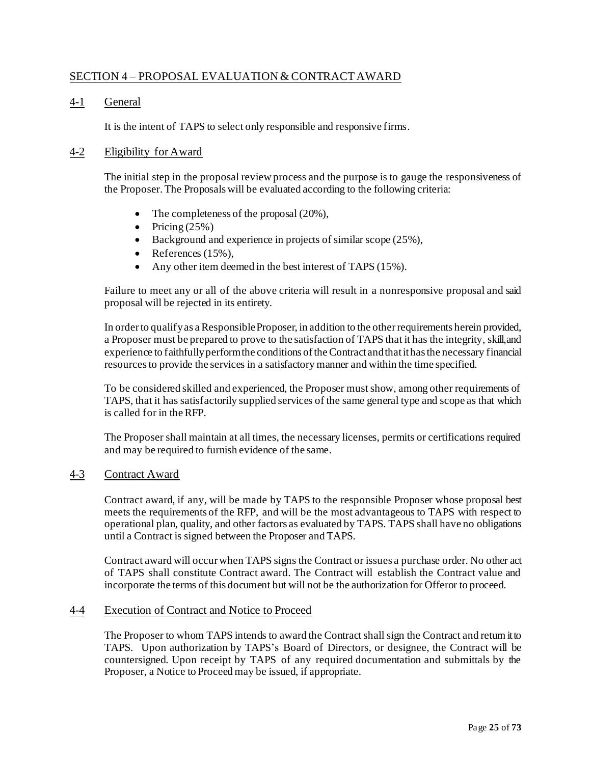## <span id="page-24-0"></span>SECTION 4 – PROPOSAL EVALUATION & CONTRACT AWARD

## <span id="page-24-1"></span>4-1 General

It is the intent of TAPS to select only responsible and responsive firms.

#### <span id="page-24-2"></span>4-2 Eligibility for Award

The initial step in the proposal review process and the purpose is to gauge the responsiveness of the Proposer. The Proposals will be evaluated according to the following criteria:

- The completeness of the proposal  $(20\%)$ ,
- Pricing  $(25%)$
- Background and experience in projects of similar scope (25%),
- References  $(15\%)$ ,
- Any other item deemed in the best interest of TAPS (15%).

Failure to meet any or all of the above criteria will result in a nonresponsive proposal and said proposal will be rejected in its entirety.

In order to qualify as a Responsible Proposer, in addition to the other requirements herein provided, a Proposer must be prepared to prove to the satisfaction of TAPS that it has the integrity, skill,and experience to faithfully perform the conditions of the Contract and that it has the necessary financial resourcesto provide the services in a satisfactory manner and within the time specified.

To be considered skilled and experienced, the Proposer must show, among other requirements of TAPS, that it has satisfactorily supplied services of the same general type and scope as that which is called for in theRFP.

The Proposer shall maintain at all times, the necessary licenses, permits or certifications required and may be required to furnish evidence of the same.

#### <span id="page-24-3"></span>4-3 Contract Award

Contract award, if any, will be made by TAPS to the responsible Proposer whose proposal best meets the requirements of the RFP, and will be the most advantageous to TAPS with respect to operational plan, quality, and other factors as evaluated by TAPS. TAPS shall have no obligations until a Contract is signed between the Proposer and TAPS.

Contract award will occur when TAPS signs the Contract or issues a purchase order. No other act of TAPS shall constitute Contract award. The Contract will establish the Contract value and incorporate the terms of this document but will not be the authorization for Offeror to proceed.

#### <span id="page-24-4"></span>4-4 Execution of Contract and Notice to Proceed

The Proposer to whom TAPS intends to award the Contract shall sign the Contract and return itto TAPS. Upon authorization by TAPS's Board of Directors, or designee, the Contract will be countersigned. Upon receipt by TAPS of any required documentation and submittals by the Proposer, a Notice to Proceed may be issued, if appropriate.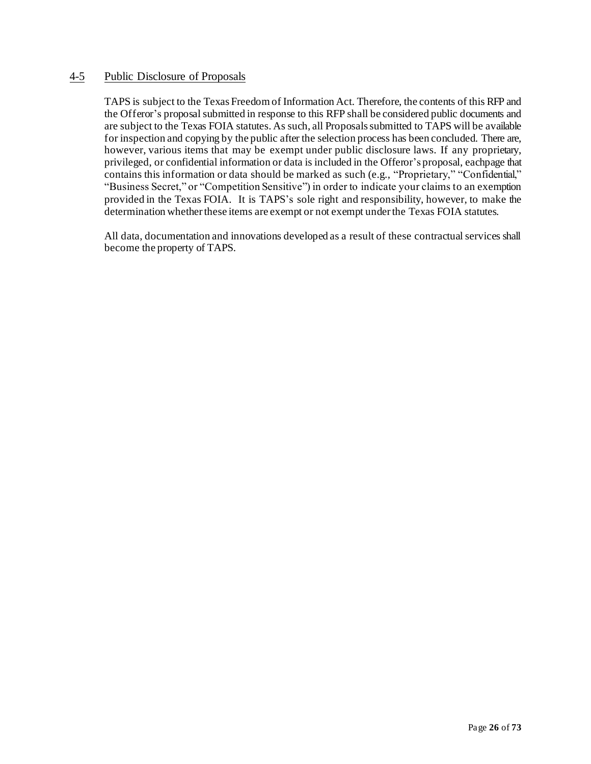#### <span id="page-25-0"></span>4-5 Public Disclosure of Proposals

TAPS is subject to the Texas Freedom of Information Act. Therefore, the contents of this RFP and the Offeror's proposal submitted in response to this RFP shall be considered public documents and are subject to the Texas FOIA statutes. As such, all Proposalssubmitted to TAPS will be available for inspection and copying by the public after the selection process has been concluded. There are, however, various items that may be exempt under public disclosure laws. If any proprietary, privileged, or confidential information or data is included in the Offeror's proposal, eachpage that contains this information or data should be marked as such (e.g., "Proprietary," "Confidential," "Business Secret," or "Competition Sensitive") in order to indicate your claims to an exemption provided in the Texas FOIA. It is TAPS's sole right and responsibility, however, to make the determination whether these items are exempt or not exempt under the Texas FOIA statutes.

All data, documentation and innovations developed as a result of these contractual services shall become the property of TAPS.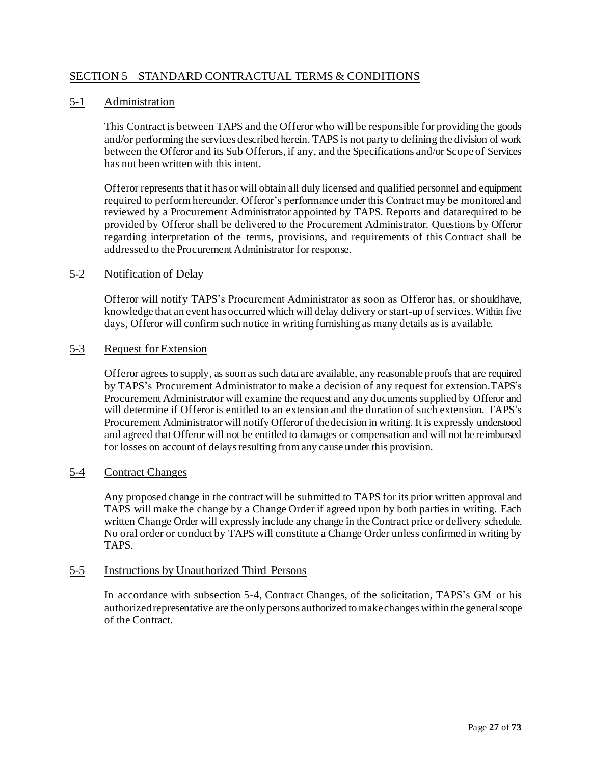## <span id="page-26-0"></span>SECTION 5 – STANDARD CONTRACTUAL TERMS & CONDITIONS

### <span id="page-26-1"></span>5-1 Administration

This Contract is between TAPS and the Offeror who will be responsible for providing the goods and/or performing the services described herein. TAPS is not party to defining the division of work between the Offeror and its Sub Offerors, if any, and the Specifications and/or Scope of Services has not been written with this intent.

Offeror represents that it has or will obtain all duly licensed and qualified personnel and equipment required to perform hereunder. Offeror's performance under this Contract may be monitored and reviewed by a Procurement Administrator appointed by TAPS. Reports and datarequired to be provided by Offeror shall be delivered to the Procurement Administrator. Questions by Offeror regarding interpretation of the terms, provisions, and requirements of this Contract shall be addressed to the Procurement Administrator for response.

## <span id="page-26-2"></span>5-2 Notification of Delay

Offeror will notify TAPS's Procurement Administrator as soon as Offeror has, or shouldhave, knowledge that an event has occurred which will delay delivery or start-up of services.Within five days, Offeror will confirm such notice in writing furnishing as many details as is available.

#### <span id="page-26-3"></span>5-3 Request for Extension

Offeror agrees to supply, as soon as such data are available, any reasonable proofs that are required by TAPS's Procurement Administrator to make a decision of any request for extension.TAPS's Procurement Administrator will examine the request and any documents supplied by Offeror and will determine if Offeror is entitled to an extension and the duration of such extension. TAPS's Procurement Administrator willnotify Offeror of thedecision in writing. It is expressly understood and agreed that Offeror will not be entitled to damages or compensation and will not be reimbursed for losses on account of delays resulting from any cause under this provision.

#### <span id="page-26-4"></span>5-4 Contract Changes

Any proposed change in the contract will be submitted to TAPS for its prior written approval and TAPS will make the change by a Change Order if agreed upon by both parties in writing. Each written Change Order will expressly include any change in the Contract price or delivery schedule. No oral order or conduct by TAPS will constitute a Change Order unless confirmed in writing by TAPS.

#### <span id="page-26-5"></span>5-5 Instructions by Unauthorized Third Persons

In accordance with subsection 5-4, Contract Changes, of the solicitation, TAPS's GM or his authorizedrepresentative are the onlypersons authorized to makechanges within the generalscope of the Contract.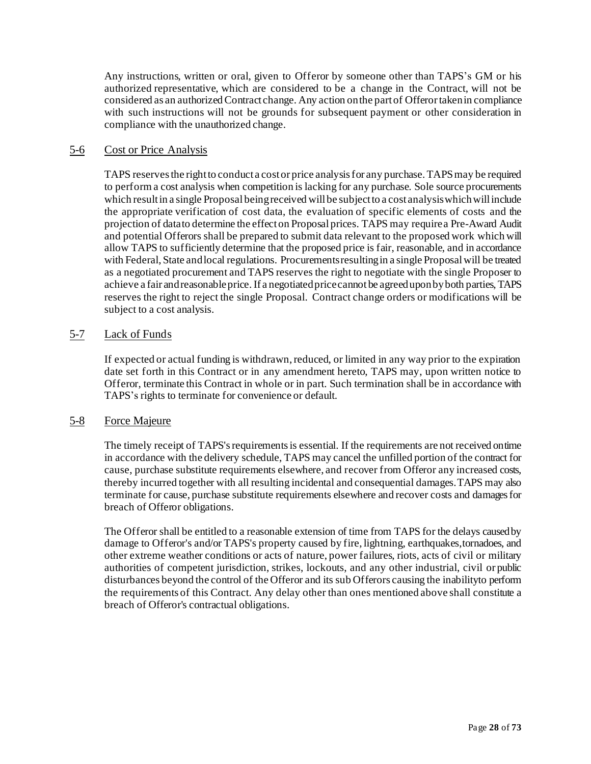Any instructions, written or oral, given to Offeror by someone other than TAPS's GM or his authorized representative, which are considered to be a change in the Contract, will not be considered as an authorized Contract change. Any action on the part of Offerortaken in compliance with such instructions will not be grounds for subsequent payment or other consideration in compliance with the unauthorized change.

## <span id="page-27-0"></span>5-6 Cost or Price Analysis

TAPS reserves the right to conduct a cost or price analysis for any purchase.TAPSmay be required to perform a cost analysis when competition is lacking for any purchase. Sole source procurements which result in a single Proposal being received will be subject to a cost analysis which will include the appropriate verification of cost data, the evaluation of specific elements of costs and the projection of datato determine the effecton Proposal prices. TAPS may requirea Pre-Award Audit and potential Offerors shall be prepared to submit data relevant to the proposed work which will allow TAPS to sufficiently determine that the proposed price is fair, reasonable, and in accordance with Federal, State and local regulations. Procurements resulting in a single Proposal will be treated as a negotiated procurement and TAPS reserves the right to negotiate with the single Proposer to achieve a fair and reasonable price. If a negotiated price cannot be agreed upon by both parties, TAPS reserves the right to reject the single Proposal. Contract change orders or modifications will be subject to a cost analysis.

## <span id="page-27-1"></span>5-7 Lack of Funds

If expected or actual funding is withdrawn, reduced, or limited in any way prior to the expiration date set forth in this Contract or in any amendment hereto, TAPS may, upon written notice to Offeror, terminate this Contract in whole or in part. Such termination shall be in accordance with TAPS's rights to terminate for convenience or default.

## <span id="page-27-2"></span>5-8 Force Majeure

The timely receipt of TAPS's requirements is essential. If the requirements are not received ontime in accordance with the delivery schedule, TAPS may cancel the unfilled portion of the contract for cause, purchase substitute requirements elsewhere, and recover from Offeror any increased costs, thereby incurred together with all resulting incidental and consequential damages.TAPS may also terminate for cause, purchase substitute requirements elsewhere and recover costs and damages for breach of Offeror obligations.

The Offeror shall be entitled to a reasonable extension of time from TAPS for the delays causedby damage to Offeror's and/or TAPS's property caused by fire, lightning, earthquakes,tornadoes, and other extreme weather conditions or acts of nature, power failures, riots, acts of civil or military authorities of competent jurisdiction, strikes, lockouts, and any other industrial, civil or public disturbances beyond the control of the Offeror and its sub Offerors causing the inabilityto perform the requirements of this Contract. Any delay other than ones mentioned above shall constitute a breach of Offeror's contractual obligations.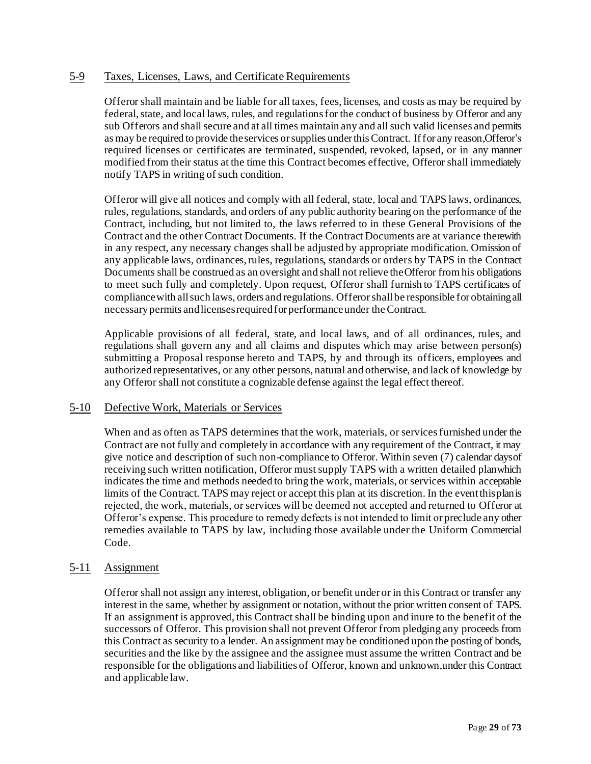## <span id="page-28-0"></span>5-9 Taxes, Licenses, Laws, and Certificate Requirements

Offeror shall maintain and be liable for all taxes, fees, licenses, and costs as may be required by federal, state, and local laws, rules, and regulations for the conduct of business by Offeror and any sub Offerors and shall secure and at all times maintain any and all such valid licenses and permits asmay be required to provide theservices orsupplies underthisContract. Iffor any reason,Offeror's required licenses or certificates are terminated, suspended, revoked, lapsed, or in any manner modified from their status at the time this Contract becomes effective, Offeror shall immediately notify TAPS in writing of such condition.

Offeror will give all notices and comply with all federal, state, local and TAPS laws, ordinances, rules, regulations, standards, and orders of any public authority bearing on the performance of the Contract, including, but not limited to, the laws referred to in these General Provisions of the Contract and the other Contract Documents. If the Contract Documents are at variance therewith in any respect, any necessary changes shall be adjusted by appropriate modification. Omission of any applicable laws, ordinances, rules, regulations, standards or orders by TAPS in the Contract Documents shall be construed as an oversight and shall not relieve theOfferor from his obligations to meet such fully and completely. Upon request, Offeror shall furnish to TAPS certificates of compliance with all such laws, orders and regulations. Offeror shall be responsible for obtaining all necessarypermits andlicensesrequiredfor performanceunder theContract.

Applicable provisions of all federal, state, and local laws, and of all ordinances, rules, and regulations shall govern any and all claims and disputes which may arise between person(s) submitting a Proposal response hereto and TAPS, by and through its officers, employees and authorized representatives, or any other persons, natural and otherwise, and lack of knowledge by any Offeror shall not constitute a cognizable defense against the legal effect thereof.

#### <span id="page-28-1"></span>5-10 Defective Work, Materials or Services

When and as often as TAPS determines that the work, materials, or services furnished under the Contract are not fully and completely in accordance with any requirement of the Contract, it may give notice and description of such non-compliance to Offeror. Within seven (7) calendar daysof receiving such written notification, Offeror mustsupply TAPS with a written detailed planwhich indicates the time and methods needed to bring the work, materials, or services within acceptable limits of the Contract. TAPS may reject or accept this plan at its discretion. In the eventthisplanis rejected, the work, materials, or services will be deemed not accepted and returned to Offeror at Offeror's expense. This procedure to remedy defects is not intended to limit or preclude any other remedies available to TAPS by law, including those available under the Uniform Commercial Code.

## <span id="page-28-2"></span>5-11 Assignment

Offeror shall not assign any interest, obligation, or benefit under or in this Contract or transfer any interest in the same, whether by assignment or notation, without the prior written consent of TAPS. If an assignment is approved, this Contract shall be binding upon and inure to the benefit of the successors of Offeror. This provision shall not prevent Offeror from pledging any proceeds from this Contract as security to a lender. An assignment may be conditioned upon the posting of bonds, securities and the like by the assignee and the assignee must assume the written Contract and be responsible for the obligations and liabilities of Offeror, known and unknown,under this Contract and applicable law.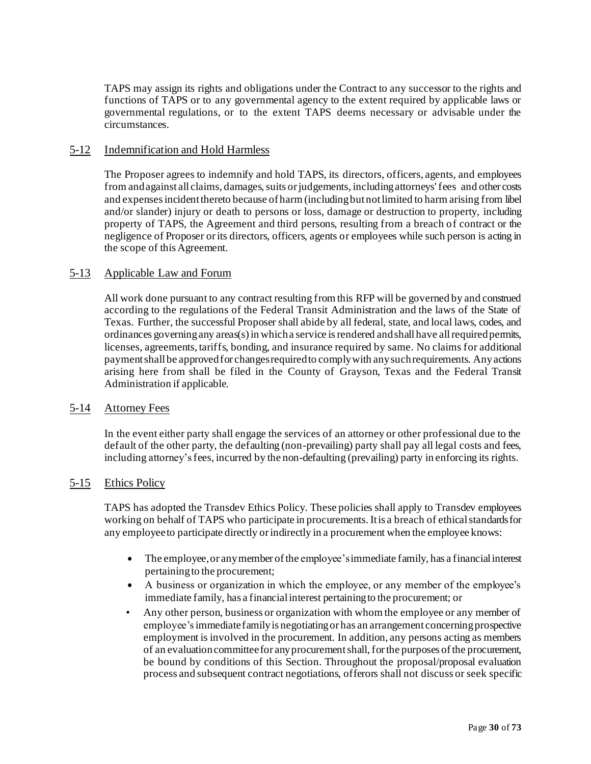TAPS may assign its rights and obligations under the Contract to any successor to the rights and functions of TAPS or to any governmental agency to the extent required by applicable laws or governmental regulations, or to the extent TAPS deems necessary or advisable under the circumstances.

## <span id="page-29-0"></span>5-12 Indemnification and Hold Harmless

The Proposer agrees to indemnify and hold TAPS, its directors, officers, agents, and employees from and against all claims, damages, suits or judgements, including attorneys' fees and other costs and expensesincidentthereto because of harm (includingbutnotlimited to harm arising from libel and/or slander) injury or death to persons or loss, damage or destruction to property, including property of TAPS, the Agreement and third persons, resulting from a breach of contract or the negligence of Proposer or its directors, officers, agents or employees while such person is acting in the scope of this Agreement.

#### <span id="page-29-1"></span>5-13 Applicable Law and Forum

All work done pursuant to any contract resulting from this RFP will be governed by and construed according to the regulations of the Federal Transit Administration and the laws of the State of Texas. Further, the successful Proposer shall abide by all federal, state, and local laws, codes, and ordinances governing any areas(s) in which a service is rendered and shall have all required permits, licenses, agreements, tariffs, bonding, and insurance required by same. No claims for additional payment shall be approved for changes required to comply with any such requirements. Anyactions arising here from shall be filed in the County of Grayson, Texas and the Federal Transit Administration if applicable.

#### <span id="page-29-2"></span>5-14 Attorney Fees

In the event either party shall engage the services of an attorney or other professional due to the default of the other party, the defaulting (non-prevailing) party shall pay all legal costs and fees, including attorney'sfees, incurred by the non-defaulting (prevailing) party in enforcing its rights.

## <span id="page-29-3"></span>5-15 Ethics Policy

TAPS has adopted the Transdev Ethics Policy. These policies shall apply to Transdev employees working on behalf of TAPS who participate in procurements. It is a breach of ethical standards for any employeeto participate directly orindirectly in a procurement when the employee knows:

- The employee, or any member of the employee's immediate family, has a financial interest pertainingto the procurement;
- A business or organization in which the employee, or any member of the employee's immediate family, has a financial interest pertaining to the procurement; or
- Any other person, business or organization with whom the employee or any member of employee's immediate family is negotiating or has an arrangement concerning prospective employment is involved in the procurement. In addition, any persons acting as members of an evaluationcommitteefor anyprocurementshall,forthe purposes ofthe procurement, be bound by conditions of this Section. Throughout the proposal/proposal evaluation process and subsequent contract negotiations, offerors shall not discuss or seek specific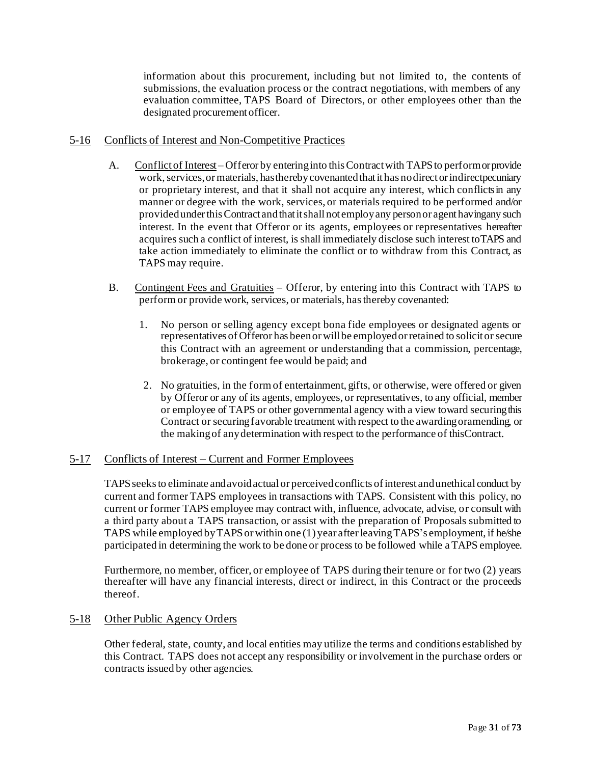information about this procurement, including but not limited to, the contents of submissions, the evaluation process or the contract negotiations, with members of any evaluation committee, TAPS Board of Directors, or other employees other than the designated procurement officer.

#### <span id="page-30-0"></span>5-16 Conflicts of Interest and Non-Competitive Practices

- A. Conflict of Interest Offeror by entering into this Contract with TAPS to perform or provide work, services, or materials, has thereby covenanted that it has no direct or indirect pecuniary or proprietary interest, and that it shall not acquire any interest, which conflictsin any manner or degree with the work, services, or materials required to be performed and/or providedunderthisContract andthatitshall not employany personor agent havingany such interest. In the event that Offeror or its agents, employees or representatives hereafter acquires such a conflict of interest, is shall immediately disclose such interest toTAPS and take action immediately to eliminate the conflict or to withdraw from this Contract, as TAPS may require.
- B. Contingent Fees and Gratuities Offeror, by entering into this Contract with TAPS to perform or provide work, services, or materials, has thereby covenanted:
	- 1. No person or selling agency except bona fide employees or designated agents or representatives of Offeror has been or will be employed or retained to solicit orsecure this Contract with an agreement or understanding that a commission, percentage, brokerage, or contingent fee would be paid; and
	- 2. No gratuities, in the form of entertainment, gifts, or otherwise, were offered or given by Offeror or any of its agents, employees, or representatives, to any official, member or employee of TAPS or other governmental agency with a view toward securingthis Contract or securing favorable treatment with respect to the awarding oramending, or the makingof anydetermination with respect to the performance of thisContract.

## <span id="page-30-1"></span>5-17 Conflicts of Interest – Current and Former Employees

TAPSseeksto eliminate andavoidactual or perceivedconflicts ofinterest andunethical conduct by current and former TAPS employees in transactions with TAPS. Consistent with this policy, no current or former TAPS employee may contract with, influence, advocate, advise, or consult with a third party about a TAPS transaction, or assist with the preparation of Proposals submitted to TAPS while employed by TAPS or within one (1) year after leaving TAPS's employment, if he/she participated in determining the work to be done or process to be followed while a TAPS employee.

Furthermore, no member, officer, or employee of TAPS during their tenure or for two (2) years thereafter will have any financial interests, direct or indirect, in this Contract or the proceeds thereof.

#### <span id="page-30-2"></span>5-18 Other Public Agency Orders

Other federal, state, county, and local entities may utilize the terms and conditions established by this Contract. TAPS does not accept any responsibility or involvement in the purchase orders or contracts issued by other agencies.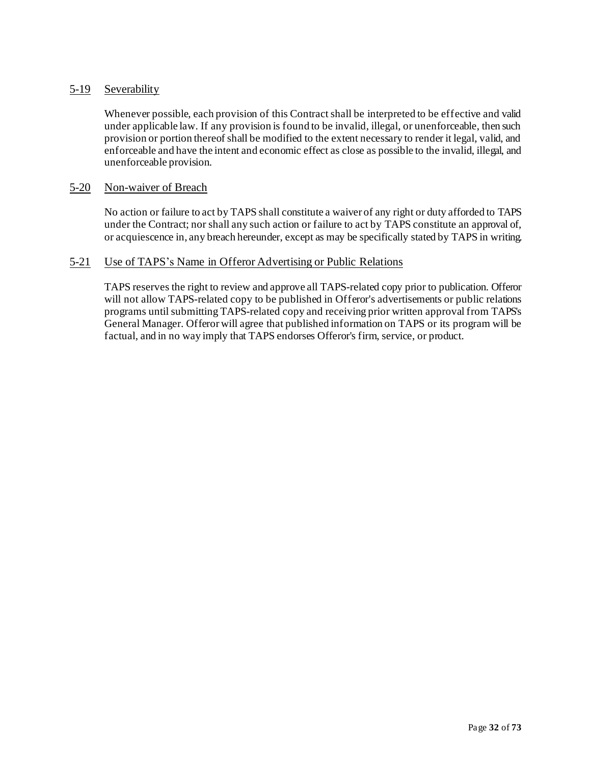## <span id="page-31-0"></span>5-19 Severability

Whenever possible, each provision of this Contract shall be interpreted to be effective and valid under applicable law. If any provision is found to be invalid, illegal, or unenforceable, then such provision or portion thereof shall be modified to the extent necessary to render it legal, valid, and enforceable and have the intent and economic effect as close as possible to the invalid, illegal, and unenforceable provision.

#### <span id="page-31-1"></span>5-20 Non-waiver of Breach

No action or failure to act by TAPS shall constitute a waiver of any right or duty afforded to TAPS under the Contract; nor shall any such action or failure to act by TAPS constitute an approval of, or acquiescence in, any breach hereunder, except as may be specifically stated by TAPS in writing.

#### <span id="page-31-2"></span>5-21 Use of TAPS's Name in Offeror Advertising or Public Relations

TAPS reserves the right to review and approve all TAPS-related copy prior to publication. Offeror will not allow TAPS-related copy to be published in Offeror's advertisements or public relations programs until submitting TAPS-related copy and receiving prior written approval from TAPS's General Manager. Offerorwill agree that published information on TAPS or its program will be factual, and in no way imply that TAPS endorses Offeror's firm, service, or product.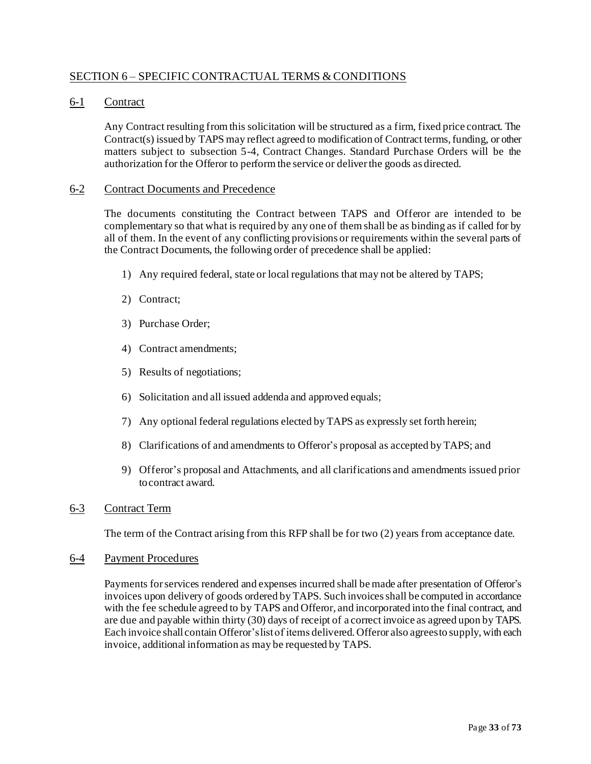## <span id="page-32-0"></span>SECTION 6 – SPECIFIC CONTRACTUAL TERMS & CONDITIONS

## <span id="page-32-1"></span>6-1 Contract

Any Contract resulting from this solicitation will be structured as a firm, fixed price contract. The Contract(s) issued by TAPS may reflect agreed to modification of Contract terms, funding, or other matters subject to subsection 5-4, Contract Changes. Standard Purchase Orders will be the authorization for the Offeror to perform the service or deliverthe goods as directed.

#### <span id="page-32-2"></span>6-2 Contract Documents and Precedence

The documents constituting the Contract between TAPS and Offeror are intended to be complementary so that what is required by any one of them shall be as binding as if called for by all of them. In the event of any conflicting provisions or requirements within the several parts of the Contract Documents, the following order of precedence shall be applied:

- 1) Any required federal, state or local regulations that may not be altered by TAPS;
- 2) Contract;
- 3) Purchase Order;
- 4) Contract amendments;
- 5) Results of negotiations;
- 6) Solicitation and all issued addenda and approved equals;
- 7) Any optional federal regulations elected by TAPS as expressly set forth herein;
- 8) Clarifications of and amendments to Offeror's proposal as accepted by TAPS; and
- 9) Offeror's proposal and Attachments, and all clarifications and amendments issued prior tocontract award.

#### <span id="page-32-3"></span>6-3 Contract Term

The term of the Contract arising from this RFP shall be for two (2) years from acceptance date.

#### <span id="page-32-4"></span>6-4 Payment Procedures

Payments forservices rendered and expenses incurred shall be made after presentation of Offeror's invoices upon delivery of goods ordered by TAPS. Such invoicesshall be computed in accordance with the fee schedule agreed to by TAPS and Offeror, and incorporated into the final contract, and are due and payable within thirty (30) days of receipt of a correct invoice as agreed upon by TAPS. Each invoice shall contain Offeror's list of items delivered. Offeror also agrees to supply, with each invoice, additional information as may be requested by TAPS.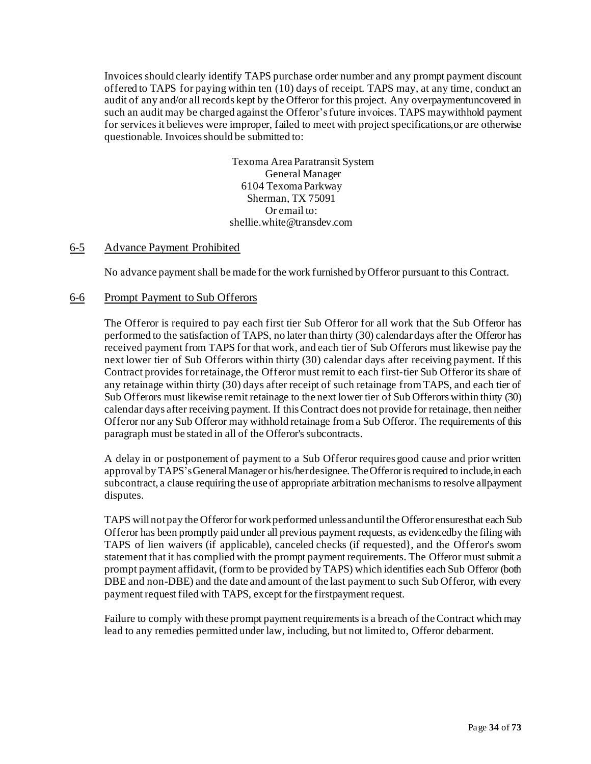Invoices should clearly identify TAPS purchase order number and any prompt payment discount offered to TAPS for paying within ten (10) days of receipt. TAPS may, at any time, conduct an audit of any and/or all records kept by the Offeror for this project. Any overpaymentuncovered in such an audit may be charged against the Offeror's future invoices. TAPS maywithhold payment for services it believes were improper, failed to meet with project specifications,or are otherwise questionable. Invoices should be submitted to:

> Texoma Area Paratransit System General Manager 6104 Texoma Parkway Sherman, TX 75091 Or email to: shellie.white@transdev.com

#### <span id="page-33-0"></span>6-5 Advance Payment Prohibited

No advance payment shall be made for the work furnished byOfferor pursuant to this Contract.

#### <span id="page-33-1"></span>6-6 Prompt Payment to Sub Offerors

The Offeror is required to pay each first tier Sub Offeror for all work that the Sub Offeror has performed to the satisfaction of TAPS, no later than thirty (30) calendar days after the Offeror has received payment from TAPS for that work, and each tier of Sub Offerors must likewise pay the next lower tier of Sub Offerors within thirty (30) calendar days after receiving payment. If this Contract provides for retainage, the Offeror must remit to each first-tier Sub Offeror its share of any retainage within thirty (30) days after receipt of such retainage from TAPS, and each tier of Sub Offerors must likewise remit retainage to the next lower tier of Sub Offerors within thirty (30) calendar days after receiving payment. If this Contract does not provide for retainage, then neither Offeror nor any Sub Offeror may withhold retainage from a Sub Offeror. The requirements of this paragraph must be stated in all of the Offeror's subcontracts.

A delay in or postponement of payment to a Sub Offeror requires good cause and prior written approval by TAPS's General Manager or his/herdesignee. The Offeror is required to include, in each subcontract, a clause requiring the use of appropriate arbitration mechanisms to resolve allpayment disputes.

TAPS will not pay the Offeror for work performed unless and until the Offeror ensuresthat each Sub Offeror has been promptly paid under all previous payment requests, as evidencedby the filing with TAPS of lien waivers (if applicable), canceled checks (if requested}, and the Offeror's sworn statement that it has complied with the prompt payment requirements. The Offeror must submit a prompt payment affidavit, (form to be provided by TAPS) which identifies each Sub Offeror (both DBE and non-DBE) and the date and amount of the last payment to such Sub Offeror, with every payment request filed with TAPS, except for the firstpayment request.

Failure to comply with these prompt payment requirements is a breach of the Contract which may lead to any remedies permitted under law, including, but not limited to, Offeror debarment.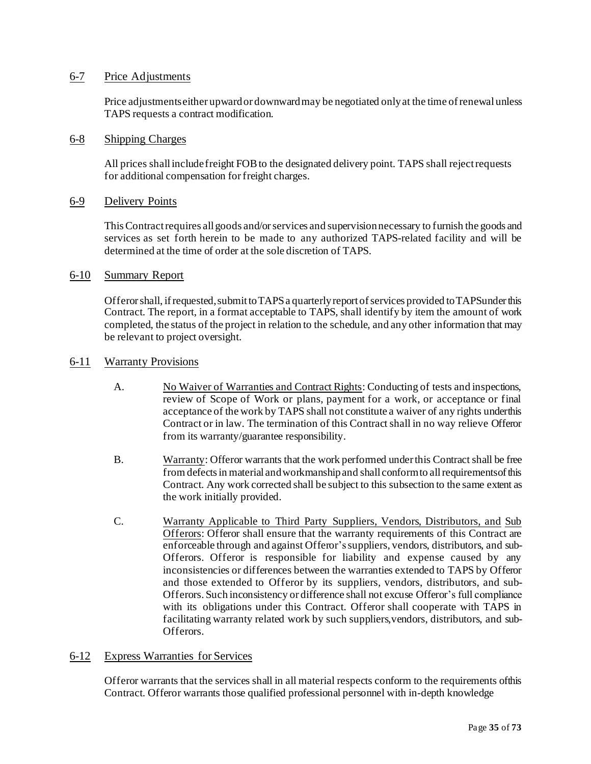#### <span id="page-34-0"></span>6-7 Price Adjustments

Price adjustments either upward or downward may be negotiated only at the time of renewal unless TAPS requests a contract modification.

#### <span id="page-34-1"></span>6-8 Shipping Charges

All prices shallincludefreight FOBto the designated delivery point. TAPS shall rejectrequests for additional compensation forfreight charges.

#### <span id="page-34-2"></span>6-9 Delivery Points

This Contract requires all goods and/or services and supervision necessary to furnish the goods and services as set forth herein to be made to any authorized TAPS-related facility and will be determined at the time of order at the sole discretion of TAPS.

#### <span id="page-34-3"></span>6-10 Summary Report

Offerorshall, ifrequested,submittoTAPSa quarterlyreport ofservices provided toTAPSunder this Contract. The report, in a format acceptable to TAPS, shall identify by item the amount of work completed, the status of the project in relation to the schedule, and any other information that may be relevant to project oversight.

#### <span id="page-34-4"></span>6-11 Warranty Provisions

- A. No Waiver of Warranties and Contract Rights: Conducting of tests and inspections, review of Scope of Work or plans, payment for a work, or acceptance or final acceptance of the work by TAPS shall not constitute a waiver of any rights underthis Contract or in law. The termination of this Contract shall in no way relieve Offeror from its warranty/guarantee responsibility.
- B. Warranty: Offeror warrants that the work performed under this Contract shall be free from defectsin material andworkmanship and shall conformto allrequirementsof this Contract. Any work corrected shall be subject to this subsection to the same extent as the work initially provided.
- C. Warranty Applicable to Third Party Suppliers, Vendors, Distributors, and Sub Offerors: Offeror shall ensure that the warranty requirements of this Contract are enforceable through and against Offeror'ssuppliers, vendors, distributors, and sub-Offerors. Offeror is responsible for liability and expense caused by any inconsistencies or differences between the warranties extended to TAPS by Offeror and those extended to Offeror by its suppliers, vendors, distributors, and sub-Offerors. Such inconsistency or difference shall not excuse Offeror's full compliance with its obligations under this Contract. Offeror shall cooperate with TAPS in facilitating warranty related work by such suppliers,vendors, distributors, and sub-Offerors.

#### <span id="page-34-5"></span>6-12 Express Warranties for Services

Offeror warrants that the services shall in all material respects conform to the requirements ofthis Contract. Offeror warrants those qualified professional personnel with in-depth knowledge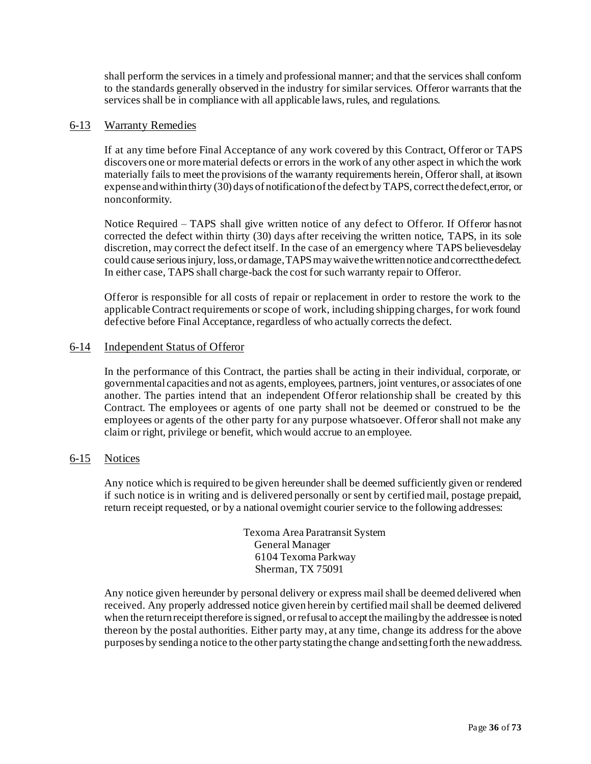shall perform the services in a timely and professional manner; and that the services shall conform to the standards generally observed in the industry for similar services. Offeror warrants that the services shall be in compliance with all applicable laws, rules, and regulations.

#### <span id="page-35-0"></span>6-13 Warranty Remedies

If at any time before Final Acceptance of any work covered by this Contract, Offeror or TAPS discovers one or more material defects or errors in the work of any other aspect in which the work materially fails to meet the provisions of the warranty requirements herein, Offeror shall, at itsown expense and within thirty (30) days of notification of the defect by TAPS, correct the defect, error, or nonconformity.

Notice Required – TAPS shall give written notice of any defect to Offeror. If Offeror hasnot corrected the defect within thirty (30) days after receiving the written notice, TAPS, in its sole discretion, may correct the defect itself. In the case of an emergency where TAPS believesdelay could cause serious injury, loss, or damage, TAPS may waive the written notice and correctthe defect. In either case, TAPS shall charge-back the cost for such warranty repair to Offeror.

Offeror is responsible for all costs of repair or replacement in order to restore the work to the applicable Contract requirements or scope of work, including shipping charges, for work found defective before Final Acceptance, regardless of who actually corrects the defect.

#### <span id="page-35-1"></span>6-14 Independent Status of Offeror

In the performance of this Contract, the parties shall be acting in their individual, corporate, or governmental capacities and not as agents, employees, partners, joint ventures,or associates of one another. The parties intend that an independent Offeror relationship shall be created by this Contract. The employees or agents of one party shall not be deemed or construed to be the employees or agents of the other party for any purpose whatsoever. Offeror shall not make any claim or right, privilege or benefit, which would accrue to an employee.

#### <span id="page-35-2"></span>6-15 Notices

Any notice which is required to be given hereunder shall be deemed sufficiently given or rendered if such notice is in writing and is delivered personally or sent by certified mail, postage prepaid, return receipt requested, or by a national overnight courier service to the following addresses:

> Texoma Area Paratransit System General Manager 6104 Texoma Parkway Sherman, TX 75091

Any notice given hereunder by personal delivery or express mail shall be deemed delivered when received. Any properly addressed notice given herein by certified mail shall be deemed delivered when the return receipt therefore is signed, or refusal to accept the mailing by the addressee is noted thereon by the postal authorities. Either party may, at any time, change its address for the above purposes by sendinga notice to the other partystatingthe change andsettingforth the newaddress.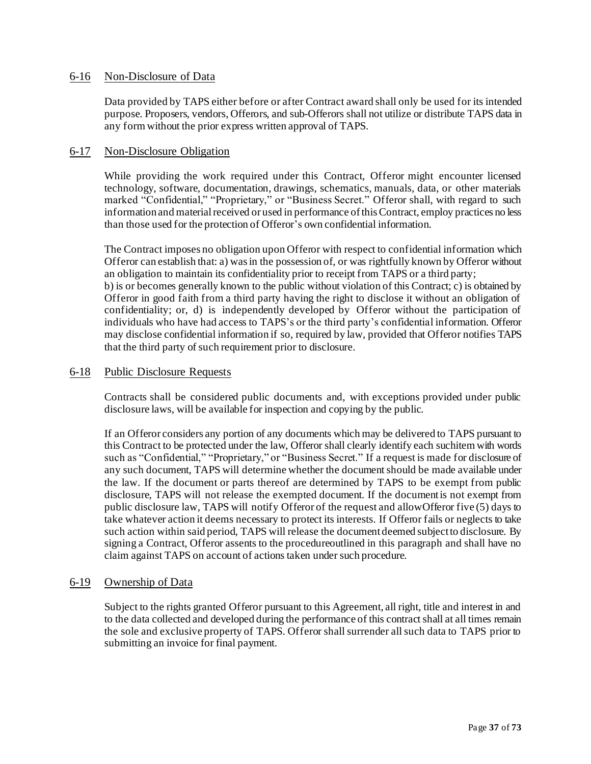#### <span id="page-36-0"></span>6-16 Non-Disclosure of Data

Data provided by TAPS either before or after Contract award shall only be used for its intended purpose. Proposers, vendors, Offerors, and sub-Offerors shall not utilize or distribute TAPS data in any form without the prior express written approval of TAPS.

#### <span id="page-36-1"></span>6-17 Non-Disclosure Obligation

While providing the work required under this Contract, Offeror might encounter licensed technology, software, documentation, drawings, schematics, manuals, data, or other materials marked "Confidential," "Proprietary," or "Business Secret." Offeror shall, with regard to such information and material received or used in performance of this Contract, employ practices no less than those used for the protection of Offeror's own confidential information.

The Contract imposes no obligation upon Offeror with respect to confidential information which Offeror can establish that: a) was in the possession of, or was rightfully known by Offeror without an obligation to maintain its confidentiality prior to receipt from TAPS or a third party; b) is or becomes generally known to the public without violation of this Contract; c) is obtained by Offeror in good faith from a third party having the right to disclose it without an obligation of confidentiality; or, d) is independently developed by Offeror without the participation of individuals who have had access to TAPS's or the third party's confidential information. Offeror may disclose confidential information if so, required by law, provided that Offeror notifies TAPS that the third party of such requirement prior to disclosure.

#### <span id="page-36-2"></span>6-18 Public Disclosure Requests

Contracts shall be considered public documents and, with exceptions provided under public disclosure laws, will be available for inspection and copying by the public.

If an Offeror considers any portion of any documents which may be delivered to TAPS pursuant to this Contract to be protected under the law, Offeror shall clearly identify each suchitem with words such as "Confidential," "Proprietary," or "Business Secret." If a request is made for disclosure of any such document, TAPS will determine whether the document should be made available under the law. If the document or parts thereof are determined by TAPS to be exempt from public disclosure, TAPS will not release the exempted document. If the documentis not exempt from public disclosure law, TAPS will notify Offeror of the request and allowOfferor five (5) days to take whatever action it deems necessary to protect its interests. If Offeror fails or neglects to take such action within said period, TAPS will release the document deemed subjectto disclosure. By signing a Contract, Offeror assents to the procedureoutlined in this paragraph and shall have no claim against TAPS on account of actions taken under such procedure.

#### <span id="page-36-3"></span>6-19 Ownership of Data

Subject to the rights granted Offeror pursuant to this Agreement, all right, title and interest in and to the data collected and developed during the performance of this contract shall at all times remain the sole and exclusive property of TAPS. Offeror shall surrender all such data to TAPS prior to submitting an invoice for final payment.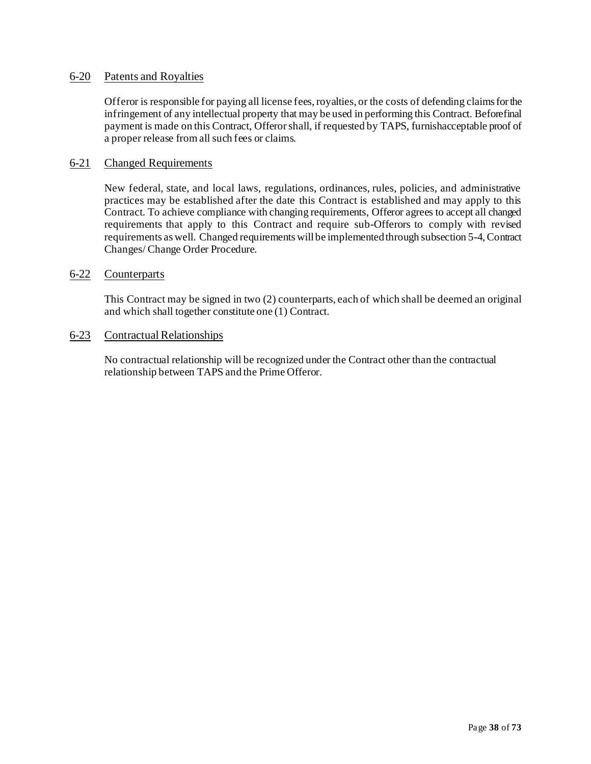## <span id="page-37-0"></span>6-20 Patents and Royalties

Offeror is responsible for paying all license fees, royalties, or the costs of defending claims forthe infringement of any intellectual property that may be used in performing this Contract. Beforefinal payment is made on this Contract, Offerorshall, if requested by TAPS, furnishacceptable proof of a proper release from all such fees or claims.

#### <span id="page-37-1"></span>6-21 Changed Requirements

New federal, state, and local laws, regulations, ordinances, rules, policies, and administrative practices may be established after the date this Contract is established and may apply to this Contract. To achieve compliance with changing requirements, Offeror agrees to accept all changed requirements that apply to this Contract and require sub-Offerors to comply with revised requirements as well. Changed requirements will be implemented through subsection 5-4, Contract Changes/ Change Order Procedure.

#### <span id="page-37-2"></span>6-22 Counterparts

This Contract may be signed in two (2) counterparts, each of which shall be deemed an original and which shall together constitute one (1) Contract.

#### <span id="page-37-3"></span>6-23 Contractual Relationships

No contractual relationship will be recognized under the Contract other than the contractual relationship between TAPS and the Prime Offeror.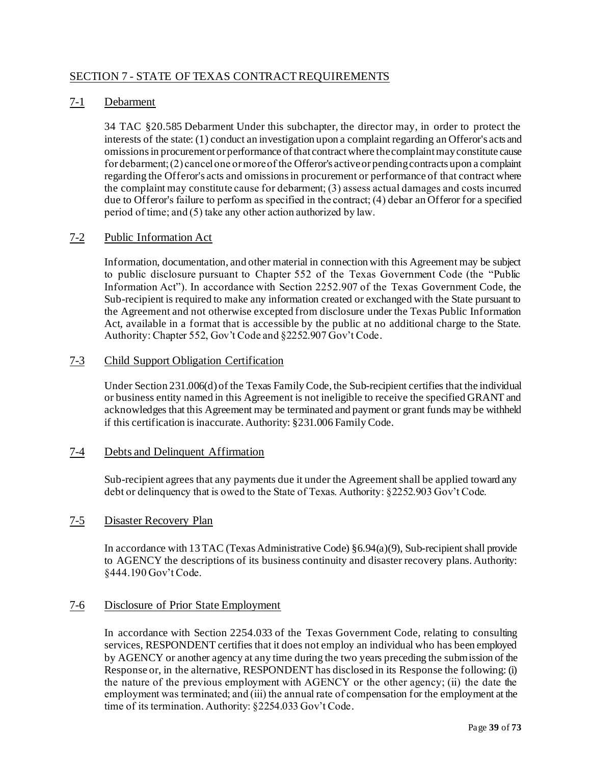## <span id="page-38-0"></span>SECTION 7 - STATE OF TEXAS CONTRACTREQUIREMENTS

## <span id="page-38-1"></span>7-1 Debarment

34 TAC §20.585 Debarment Under this subchapter, the director may, in order to protect the interests of the state: (1) conduct an investigation upon a complaint regarding an Offeror's acts and omissions in procurement or performance of that contract where the complaint may constitute cause for debarment; (2) cancel one or more of the Offeror's active or pending contracts upon a complaint regarding the Offeror's acts and omissions in procurement or performance of that contract where the complaint may constitute cause for debarment; (3) assess actual damages and costs incurred due to Offeror's failure to perform as specified in the contract; (4) debar an Offeror for a specified period of time; and (5) take any other action authorized by law.

#### <span id="page-38-2"></span>7-2 Public Information Act

Information, documentation, and other material in connection with this Agreement may be subject to public disclosure pursuant to Chapter 552 of the Texas Government Code (the "Public Information Act"). In accordance with Section 2252.907 of the Texas Government Code, the Sub-recipient is required to make any information created or exchanged with the State pursuant to the Agreement and not otherwise excepted from disclosure under the Texas Public Information Act, available in a format that is accessible by the public at no additional charge to the State. Authority: Chapter 552, Gov't Code and §2252.907 Gov't Code.

#### <span id="page-38-3"></span>7-3 Child Support Obligation Certification

Under Section 231.006(d) of the Texas Family Code, the Sub-recipient certifies that the individual or business entity named in this Agreement is not ineligible to receive the specified GRANT and acknowledges that this Agreement may be terminated and payment or grant funds may be withheld if this certification is inaccurate. Authority: §231.006 Family Code.

#### <span id="page-38-4"></span>7-4 Debts and Delinquent Affirmation

Sub-recipient agrees that any payments due it under the Agreement shall be applied toward any debt or delinquency that is owed to the State of Texas. Authority: §2252.903 Gov't Code.

#### <span id="page-38-6"></span><span id="page-38-5"></span>7-5 Disaster Recovery Plan

In accordance with 13 TAC (Texas Administrative Code) §6.94(a)(9), Sub-recipient shall provide to AGENCY the descriptions of its business continuity and disaster recovery plans. Authority: §444.190 Gov't Code.

#### 7-6 Disclosure of Prior State Employment

In accordance with Section 2254.033 of the Texas Government Code, relating to consulting services, RESPONDENT certifies that it does not employ an individual who has been employed by AGENCY or another agency at any time during the two years preceding the submission of the Response or, in the alternative, RESPONDENT has disclosed in its Response the following: (i) the nature of the previous employment with AGENCY or the other agency; (ii) the date the employment was terminated; and (iii) the annual rate of compensation for the employment at the time of its termination. Authority: §2254.033 Gov't Code.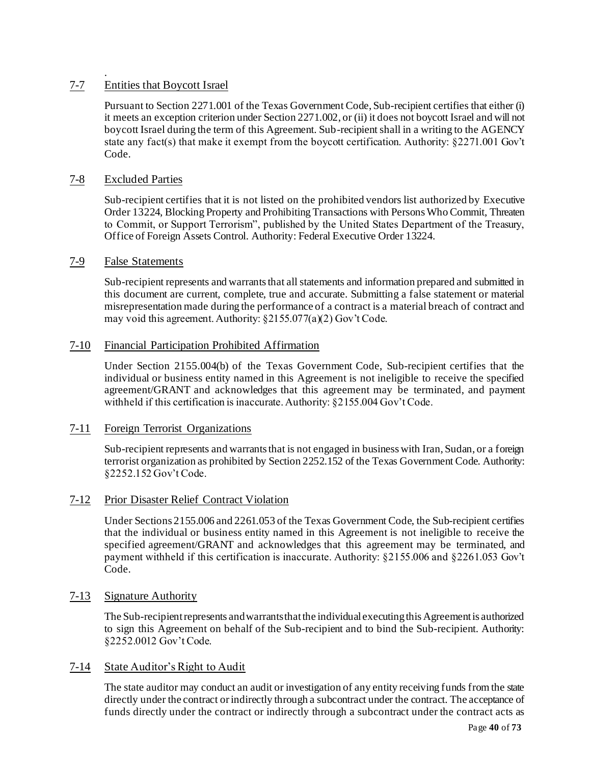#### <span id="page-39-0"></span>. 7-7 Entities that Boycott Israel

Pursuant to Section 2271.001 of the Texas Government Code, Sub-recipient certifies that either (i) it meets an exception criterion under Section 2271.002, or (ii) it does not boycott Israel and will not boycott Israel during the term of this Agreement. Sub-recipient shall in a writing to the AGENCY state any fact(s) that make it exempt from the boycott certification. Authority: §2271.001 Gov't Code.

## <span id="page-39-2"></span>7-8 Excluded Parties

<span id="page-39-1"></span>Sub-recipient certifies that it is not listed on the prohibited vendors list authorized by Executive Order 13224, Blocking Property and Prohibiting Transactions with Persons Who Commit, Threaten to Commit, or Support Terrorism", published by the United States Department of the Treasury, Office of Foreign Assets Control. Authority: Federal Executive Order 13224.

#### 7-9 False Statements

Sub-recipient represents and warrants that all statements and information prepared and submitted in this document are current, complete, true and accurate. Submitting a false statement or material misrepresentation made during the performance of a contract is a material breach of contract and may void this agreement. Authority: §2155.077(a)(2) Gov't Code.

#### 7-10 Financial Participation Prohibited Affirmation

Under Section 2155.004(b) of the Texas Government Code, Sub-recipient certifies that the individual or business entity named in this Agreement is not ineligible to receive the specified agreement/GRANT and acknowledges that this agreement may be terminated, and payment withheld if this certification is inaccurate. Authority: §2155.004 Gov't Code.

#### 7-11 Foreign Terrorist Organizations

Sub-recipient represents and warrants that is not engaged in business with Iran, Sudan, or a foreign terrorist organization as prohibited by Section 2252.152 of the Texas Government Code. Authority: §2252.152 Gov't Code.

#### 7-12 Prior Disaster Relief Contract Violation

Under Sections 2155.006 and 2261.053 of the Texas Government Code, the Sub-recipient certifies that the individual or business entity named in this Agreement is not ineligible to receive the specified agreement/GRANT and acknowledges that this agreement may be terminated, and payment withheld if this certification is inaccurate. Authority: §2155.006 and §2261.053 Gov't Code.

#### 7-13 Signature Authority

The Sub-recipient represents and warrants that the individual executing this Agreement is authorized to sign this Agreement on behalf of the Sub-recipient and to bind the Sub-recipient. Authority: §2252.0012 Gov't Code.

#### 7-14 State Auditor's Right to Audit

The state auditor may conduct an audit or investigation of any entity receiving funds from the state directly under the contract or indirectly through a subcontract under the contract. The acceptance of funds directly under the contract or indirectly through a subcontract under the contract acts as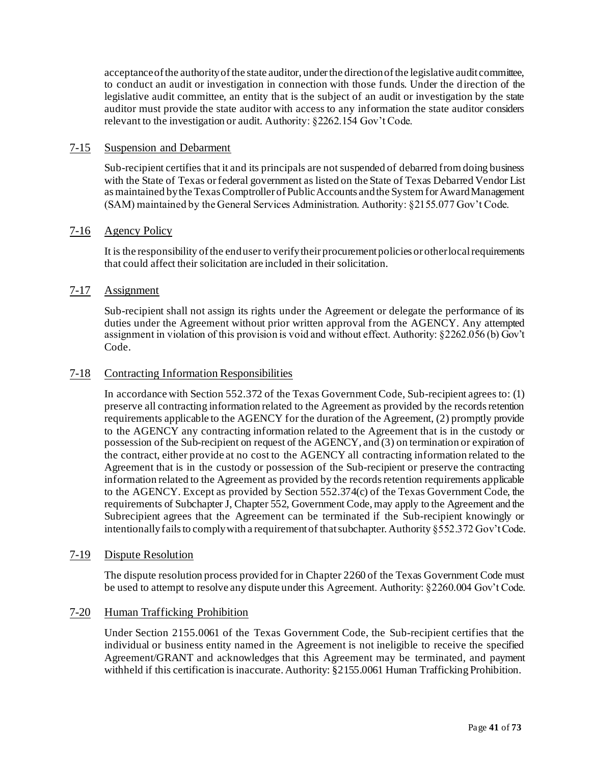acceptance of the authority of the state auditor, under the direction of the legislative audit committee, to conduct an audit or investigation in connection with those funds. Under the d irection of the legislative audit committee, an entity that is the subject of an audit or investigation by the state auditor must provide the state auditor with access to any information the state auditor considers relevant to the investigation or audit. Authority: §2262.154 Gov't Code.

#### 7-15 Suspension and Debarment

Sub-recipient certifies that it and its principals are not suspended of debarred from doing business with the State of Texas or federal government as listed on the State of Texas Debarred Vendor List as maintained by the Texas Comptroller of Public Accounts and the System for Award Management (SAM) maintained by the General Services Administration. Authority: §2155.077 Gov't Code.

#### 7-16 Agency Policy

It is the responsibility of the end userto verify their procurement policies or other local requirements that could affect their solicitation are included in their solicitation.

#### 7-17 Assignment

Sub-recipient shall not assign its rights under the Agreement or delegate the performance of its duties under the Agreement without prior written approval from the AGENCY. Any attempted assignment in violation of this provision is void and without effect. Authority: §2262.056 (b) Gov't Code.

#### 7-18 Contracting Information Responsibilities

In accordance with Section 552.372 of the Texas Government Code, Sub-recipient agrees to: (1) preserve all contracting information related to the Agreement as provided by the records retention requirements applicable to the AGENCY for the duration of the Agreement, (2) promptly provide to the AGENCY any contracting information related to the Agreement that is in the custody or possession of the Sub-recipient on request of the AGENCY, and (3) on termination or expiration of the contract, either provide at no cost to the AGENCY all contracting information related to the Agreement that is in the custody or possession of the Sub-recipient or preserve the contracting information related to the Agreement as provided by the records retention requirements applicable to the AGENCY. Except as provided by Section 552.374(c) of the Texas Government Code, the requirements of Subchapter J, Chapter 552, Government Code, may apply to the Agreement and the Subrecipient agrees that the Agreement can be terminated if the Sub-recipient knowingly or intentionally fails to comply with a requirement of that subchapter. Authority §552.372 Gov't Code.

#### 7-19 Dispute Resolution

The dispute resolution process provided for in Chapter 2260 of the Texas Government Code must be used to attempt to resolve any dispute under this Agreement. Authority: §2260.004 Gov't Code.

#### 7-20 Human Trafficking Prohibition

Under Section 2155.0061 of the Texas Government Code, the Sub-recipient certifies that the individual or business entity named in the Agreement is not ineligible to receive the specified Agreement/GRANT and acknowledges that this Agreement may be terminated, and payment withheld if this certification is inaccurate. Authority:  $\S 2155.0061$  Human Trafficking Prohibition.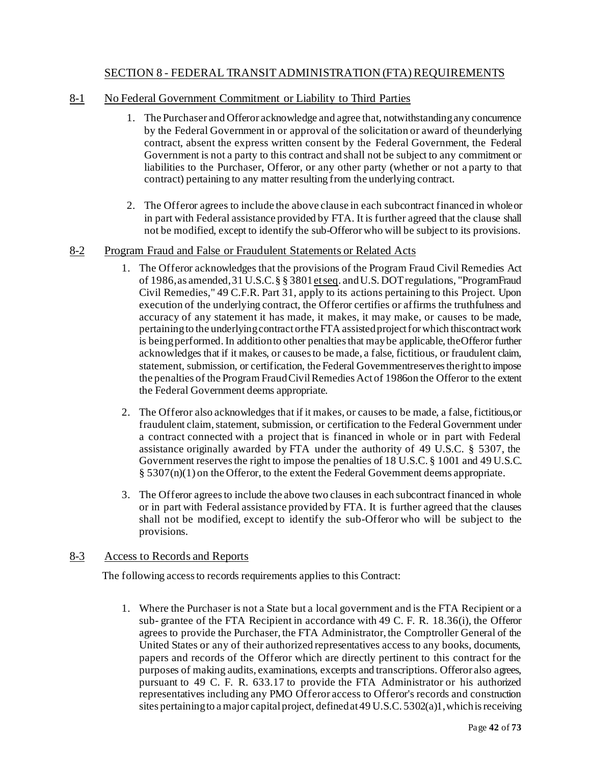## SECTION 8 - FEDERAL TRANSIT ADMINISTRATION (FTA) REQUIREMENTS

## <span id="page-41-1"></span><span id="page-41-0"></span>8-1 No Federal Government Commitment or Liability to Third Parties

- 1. The Purchaser and Offeror acknowledge and agree that, notwithstandingany concurrence by the Federal Government in or approval of the solicitation or award of theunderlying contract, absent the express written consent by the Federal Government, the Federal Government is not a party to this contract and shall not be subject to any commitment or liabilities to the Purchaser, Offeror, or any other party (whether or not a party to that contract) pertaining to any matter resulting from the underlying contract.
- 2. The Offeror agrees to include the above clause in each subcontract financed in wholeor in part with Federal assistance provided by FTA. It is further agreed that the clause shall not be modified, except to identify the sub-Offerorwho will be subject to its provisions.

#### <span id="page-41-2"></span>8-2 Program Fraud and False or Fraudulent Statements or Related Acts

- 1. The Offeror acknowledges that the provisions of the Program Fraud Civil Remedies Act of 1986,as amended,31 U.S.C.§ § 3801et seq. andU.S. DOT regulations, "ProgramFraud Civil Remedies," 49 C.F.R. Part 31, apply to its actions pertaining to this Project. Upon execution of the underlying contract, the Offeror certifies or affirms the truthfulness and accuracy of any statement it has made, it makes, it may make, or causes to be made, pertaining to the underlying contract or the FTA assisted project for which this contract work is being performed. In addition to other penalties that may be applicable, the Offeror further acknowledges that if it makes, or causes to be made, a false, fictitious, or fraudulent claim, statement, submission, or certification, the Federal Governmentreserves the right to impose the penalties of the Program FraudCivilRemedies Act of 1986on the Offeror to the extent the Federal Government deems appropriate.
- 2. The Offeror also acknowledges that if it makes, or causes to be made, a false,fictitious,or fraudulent claim, statement, submission, or certification to the Federal Government under a contract connected with a project that is financed in whole or in part with Federal assistance originally awarded by FTA under the authority of 49 U.S.C. § 5307, the Government reserves the right to impose the penalties of 18 U.S.C. § 1001 and 49 U.S.C.  $\S$  5307(n)(1) on the Offeror, to the extent the Federal Government deems appropriate.
- 3. The Offeror agrees to include the above two clauses in each subcontract financed in whole or in part with Federal assistance provided by FTA. It is further agreed that the clauses shall not be modified, except to identify the sub-Offeror who will be subject to the provisions.

#### <span id="page-41-3"></span>8-3 Access to Records and Reports

The following accessto records requirements applies to this Contract:

1. Where the Purchaser is not a State but a local government and is the FTA Recipient or a sub- grantee of the FTA Recipient in accordance with 49 C. F. R. 18.36(i), the Offeror agrees to provide the Purchaser, the FTA Administrator, the Comptroller General of the United States or any of their authorized representatives access to any books, documents, papers and records of the Offeror which are directly pertinent to this contract for the purposes of making audits, examinations, excerpts and transcriptions. Offeror also agrees, pursuant to 49 C. F. R. 633.17 to provide the FTA Administrator or his authorized representatives including any PMO Offeror access to Offeror's records and construction sites pertaining to a major capital project, definedat49 U.S.C. 5302(a)1,whichisreceiving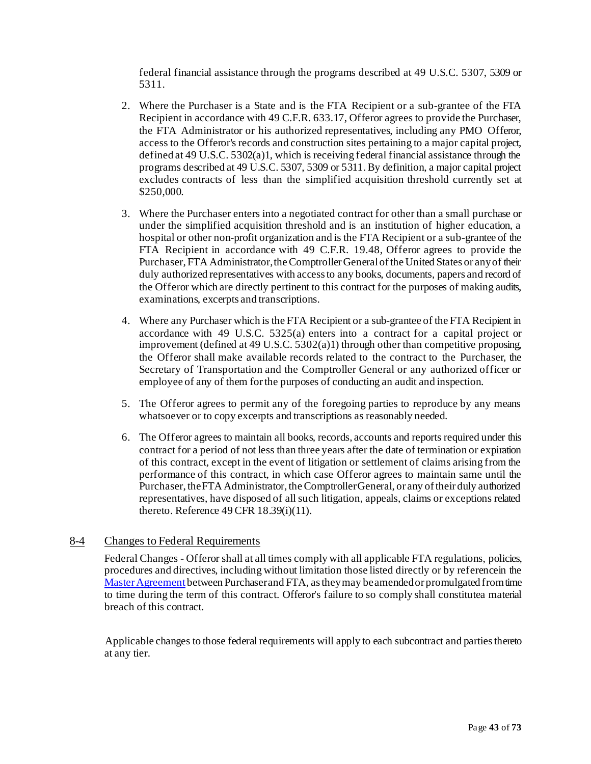federal financial assistance through the programs described at 49 U.S.C. 5307, 5309 or 5311.

- 2. Where the Purchaser is a State and is the FTA Recipient or a sub-grantee of the FTA Recipient in accordance with 49 C.F.R. 633.17, Offeror agrees to provide the Purchaser, the FTA Administrator or his authorized representatives, including any PMO Offeror, access to the Offeror's records and construction sites pertaining to a major capital project, defined at 49 U.S.C. 5302(a)1, which is receiving federal financial assistance through the programs described at 49 U.S.C. 5307, 5309 or 5311. By definition, a major capital project excludes contracts of less than the simplified acquisition threshold currently set at \$250,000.
- 3. Where the Purchaser enters into a negotiated contract for other than a small purchase or under the simplified acquisition threshold and is an institution of higher education, a hospital or other non-profit organization and is the FTA Recipient or a sub-grantee of the FTA Recipient in accordance with 49 C.F.R. 19.48, Offeror agrees to provide the Purchaser, FTA Administrator, the Comptroller General of the United States or any of their duly authorized representatives with access to any books, documents, papers and record of the Offeror which are directly pertinent to this contract for the purposes of making audits, examinations, excerpts and transcriptions.
- 4. Where any Purchaser which is the FTA Recipient or a sub-grantee of the FTA Recipient in accordance with 49 U.S.C. 5325(a) enters into a contract for a capital project or improvement (defined at 49 U.S.C. 5302(a)1) through other than competitive proposing, the Offeror shall make available records related to the contract to the Purchaser, the Secretary of Transportation and the Comptroller General or any authorized officer or employee of any of them for the purposes of conducting an audit and inspection.
- 5. The Offeror agrees to permit any of the foregoing parties to reproduce by any means whatsoever or to copy excerpts and transcriptions as reasonably needed.
- 6. The Offeror agrees to maintain all books, records, accounts and reports required under this contract for a period of not less than three years after the date of termination or expiration of this contract, except in the event of litigation or settlement of claims arising from the performance of this contract, in which case Offeror agrees to maintain same until the Purchaser, the FTA Administrator, the Comptroller General, or any of their duly authorized representatives, have disposed of all such litigation, appeals, claims or exceptions related thereto. Reference 49 CFR 18.39(i)(11).

#### <span id="page-42-0"></span>8-4 Changes to Federal Requirements

Federal Changes - Offeror shall at all times comply with all applicable FTA regulations, policies, procedures and directives, including without limitation those listed directly or by referencein the Master Agreement between Purchaser and FTA, as they may be amended or promulgated fromtime to time during the term of this contract. Offeror's failure to so comply shall constitutea material breach of this contract.

Applicable changes to those federal requirements will apply to each subcontract and parties thereto at any tier.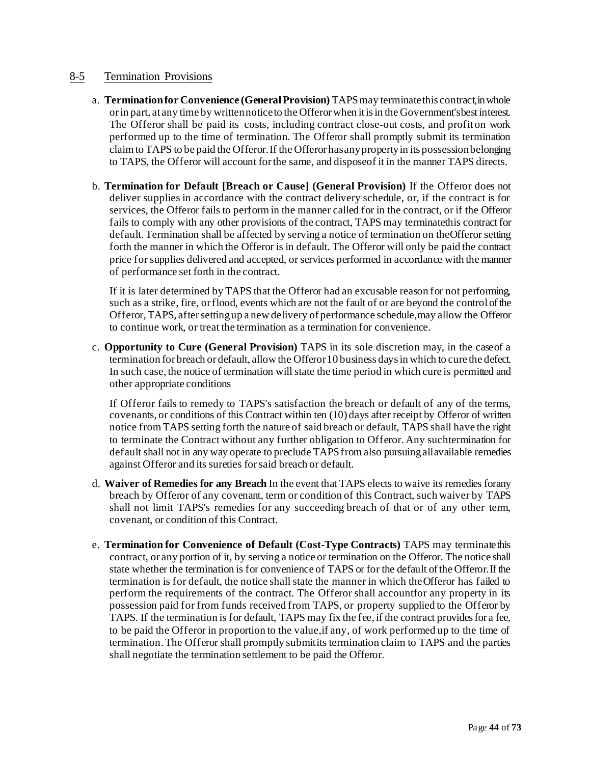## <span id="page-43-0"></span>8-5 Termination Provisions

- a. **Termination for Convenience (General Provision)** TAPS may terminate this contract, in whole orin part, at any time by writtennoticeto the Offerorwhen itisin the Government'sbestinterest. The Offeror shall be paid its costs, including contract close-out costs, and profit on work performed up to the time of termination. The Offeror shall promptly submit its termination claim to TAPS to be paid the Offeror. If the Offeror has any property in its possession belonging to TAPS, the Offeror will account for the same, and disposeof it in the manner TAPS directs.
- b. **Termination for Default [Breach or Cause] (General Provision)** If the Offeror does not deliver supplies in accordance with the contract delivery schedule, or, if the contract is for services, the Offeror fails to perform in the manner called for in the contract, or if the Offeror fails to comply with any other provisions of the contract, TAPS may terminatethis contract for default. Termination shall be affected by serving a notice of termination on theOfferor setting forth the manner in which the Offeror is in default. The Offeror will only be paid the contract price for supplies delivered and accepted, or services performed in accordance with the manner of performance set forth in the contract.

If it is later determined by TAPS that the Offeror had an excusable reason for not performing, such as a strike, fire, or flood, events which are not the fault of or are beyond the control of the Offeror,TAPS, aftersettingup a new delivery of performance schedule,may allow the Offeror to continue work, or treat the termination as a termination for convenience.

c. **Opportunity to Cure (General Provision)** TAPS in its sole discretion may, in the caseof a termination for breach or default, allow the Offeror10 business days in which to cure the defect. In such case, the notice of termination will state the time period in which cure is permitted and other appropriate conditions

If Offeror fails to remedy to TAPS's satisfaction the breach or default of any of the terms, covenants, or conditions of this Contract within ten (10) days after receipt by Offeror of written notice from TAPS setting forth the nature of said breach or default, TAPS shall have the right to terminate the Contract without any further obligation to Offeror. Any suchtermination for default shall not in any way operate to preclude TAPSfrom also pursuingallavailable remedies against Offeror and its sureties for said breach or default.

- d. **Waiver of Remedies for any Breach** In the event that TAPS elects to waive its remedies forany breach by Offeror of any covenant, term or condition of this Contract, such waiver by TAPS shall not limit TAPS's remedies for any succeeding breach of that or of any other term, covenant, or condition of this Contract.
- e. **Termination for Convenience of Default (Cost-Type Contracts)** TAPS may terminatethis contract, or any portion of it, by serving a notice or termination on the Offeror. The notice shall state whether the termination is for convenience of TAPS or for the default ofthe Offeror.If the termination is for default, the notice shall state the manner in which the Offeror has failed to perform the requirements of the contract. The Offeror shall accountfor any property in its possession paid for from funds received from TAPS, or property supplied to the Offeror by TAPS. If the termination is for default, TAPS may fix the fee, if the contract providesfor a fee, to be paid the Offeror in proportion to the value,if any, of work performed up to the time of termination. The Offeror shall promptly submitits termination claim to TAPS and the parties shall negotiate the termination settlement to be paid the Offeror.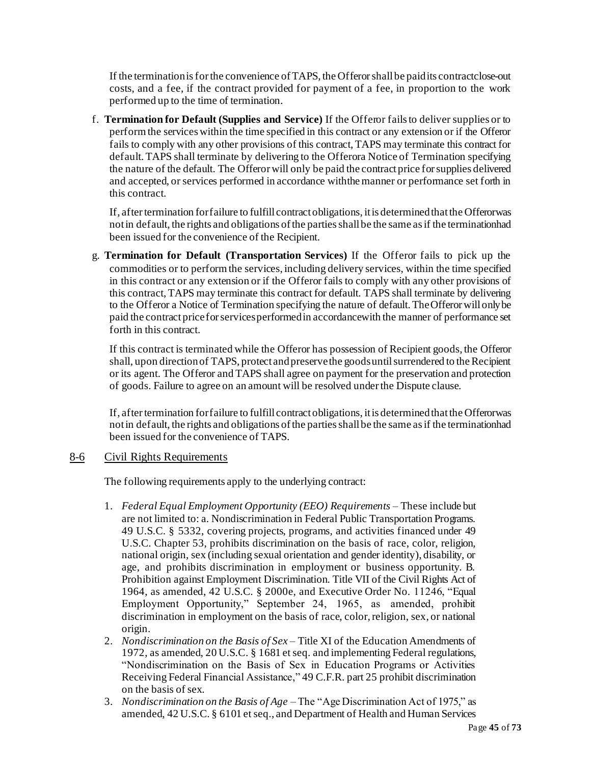If the terminationisforthe convenience ofTAPS, the Offerorshall be paidits contractclose-out costs, and a fee, if the contract provided for payment of a fee, in proportion to the work performed up to the time of termination.

f. **Termination for Default (Supplies and Service)** If the Offeror fails to deliver supplies or to perform the services within the time specified in this contract or any extension or if the Offeror fails to comply with any other provisions of this contract, TAPS may terminate this contract for default. TAPS shall terminate by delivering to the Offerora Notice of Termination specifying the nature of the default. The Offerorwill only be paid the contract price forsupplies delivered and accepted, or services performed in accordance withthemanner or performance set forth in this contract.

If, after termination for failure to fulfill contract obligations, it is determined that the Offerorwas not in default, the rights and obligations of the parties shall be the same as if the terminationhad been issued for the convenience of the Recipient.

g. **Termination for Default (Transportation Services)** If the Offeror fails to pick up the commodities or to perform the services, including delivery services, within the time specified in this contract or any extension or if the Offeror fails to comply with any other provisions of this contract, TAPS may terminate this contract for default. TAPS shall terminate by delivering to the Offeror a Notice of Termination specifying the nature of default. The Offeror will only be paid the contract priceforservicesperformedin accordancewith the manner of performance set forth in this contract.

If this contract is terminated while the Offeror has possession of Recipient goods, the Offeror shall, upon direction of TAPS, protect and preserve the goods until surrendered to the Recipient or its agent. The Offeror and TAPS shall agree on payment for the preservation and protection of goods. Failure to agree on an amount will be resolved underthe Dispute clause.

If, after termination for failure to fulfill contract obligations, it is determined that the Offerorwas not in default, the rights and obligations of the parties shall be the same as if the terminationhad been issued for the convenience of TAPS.

#### <span id="page-44-0"></span>8-6 Civil Rights Requirements

The following requirements apply to the underlying contract:

- 1. *Federal Equal Employment Opportunity (EEO) Requirements* These include but are not limited to: a. Nondiscrimination in Federal Public Transportation Programs. 49 U.S.C. § 5332, covering projects, programs, and activities financed under 49 U.S.C. Chapter 53, prohibits discrimination on the basis of race, color, religion, national origin, sex (including sexual orientation and gender identity), disability, or age, and prohibits discrimination in employment or business opportunity. B. Prohibition against Employment Discrimination. Title VII of the Civil Rights Act of 1964, as amended, 42 U.S.C. § 2000e, and Executive Order No. 11246, "Equal Employment Opportunity," September 24, 1965, as amended, prohibit discrimination in employment on the basis of race, color, religion, sex, or national origin.
- 2. *Nondiscrimination on the Basis of Sex* Title XI of the Education Amendments of 1972, as amended, 20 U.S.C. § 1681 et seq. and implementing Federal regulations, "Nondiscrimination on the Basis of Sex in Education Programs or Activities Receiving Federal Financial Assistance," 49 C.F.R. part 25 prohibit discrimination on the basis of sex.
- 3. *Nondiscrimination on the Basis of Age*  The "Age Discrimination Act of 1975," as amended, 42 U.S.C. § 6101 et seq., and Department of Health and Human Services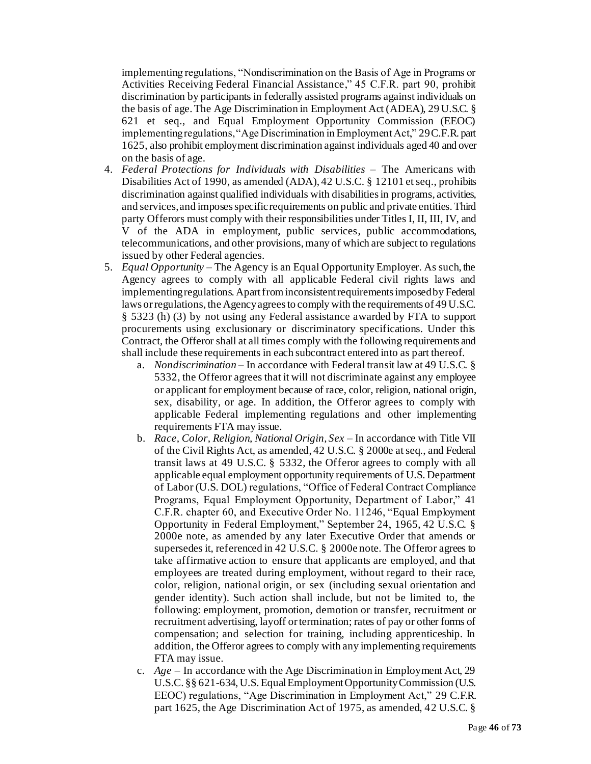implementing regulations, "Nondiscrimination on the Basis of Age in Programs or Activities Receiving Federal Financial Assistance," 45 C.F.R. part 90, prohibit discrimination by participants in federally assisted programs against individuals on the basis of age. The Age Discrimination in Employment Act (ADEA), 29 U.S.C. § 621 et seq., and Equal Employment Opportunity Commission (EEOC) implementing regulations, "Age Discrimination in Employment Act," 29 C.F.R. part 1625, also prohibit employment discrimination against individuals aged 40 and over on the basis of age.

- 4. *Federal Protections for Individuals with Disabilities* The Americans with Disabilities Act of 1990, as amended (ADA), 42 U.S.C. § 12101 et seq., prohibits discrimination against qualified individuals with disabilities in programs, activities, and services, and imposes specific requirements on public and private entities. Third party Offerors must comply with their responsibilities under Titles I, II, III, IV, and V of the ADA in employment, public services, public accommodations, telecommunications, and other provisions, many of which are subject to regulations issued by other Federal agencies.
- 5. *Equal Opportunity* The Agency is an Equal Opportunity Employer. As such, the Agency agrees to comply with all applicable Federal civil rights laws and implementing regulations. Apart from inconsistent requirements imposed by Federal laws or regulations, the Agency agrees to comply with the requirements of 49 U.S.C. § 5323 (h) (3) by not using any Federal assistance awarded by FTA to support procurements using exclusionary or discriminatory specifications. Under this Contract, the Offeror shall at all times comply with the following requirements and shall include these requirements in each subcontract entered into as part thereof.
	- a. *Nondiscrimination*  In accordance with Federal transit law at 49 U.S.C. § 5332, the Offeror agrees that it will not discriminate against any employee or applicant for employment because of race, color, religion, national origin, sex, disability, or age. In addition, the Offeror agrees to comply with applicable Federal implementing regulations and other implementing requirements FTA may issue.
	- b. *Race, Color, Religion, National Origin, Sex* In accordance with Title VII of the Civil Rights Act, as amended, 42 U.S.C. § 2000e at seq., and Federal transit laws at 49 U.S.C. § 5332, the Offeror agrees to comply with all applicable equal employment opportunity requirements of U.S. Department of Labor (U.S. DOL) regulations, "Office of Federal Contract Compliance Programs, Equal Employment Opportunity, Department of Labor," 41 C.F.R. chapter 60, and Executive Order No. 11246, "Equal Employment Opportunity in Federal Employment," September 24, 1965, 42 U.S.C. § 2000e note, as amended by any later Executive Order that amends or supersedes it, referenced in 42 U.S.C. § 2000e note. The Offeror agrees to take affirmative action to ensure that applicants are employed, and that employees are treated during employment, without regard to their race, color, religion, national origin, or sex (including sexual orientation and gender identity). Such action shall include, but not be limited to, the following: employment, promotion, demotion or transfer, recruitment or recruitment advertising, layoff or termination; rates of pay or other forms of compensation; and selection for training, including apprenticeship. In addition, the Offeror agrees to comply with any implementing requirements FTA may issue.
	- c. *Age*  In accordance with the Age Discrimination in Employment Act, 29 U.S.C. §§ 621-634, U.S. Equal Employment Opportunity Commission (U.S. EEOC) regulations, "Age Discrimination in Employment Act," 29 C.F.R. part 1625, the Age Discrimination Act of 1975, as amended, 42 U.S.C. §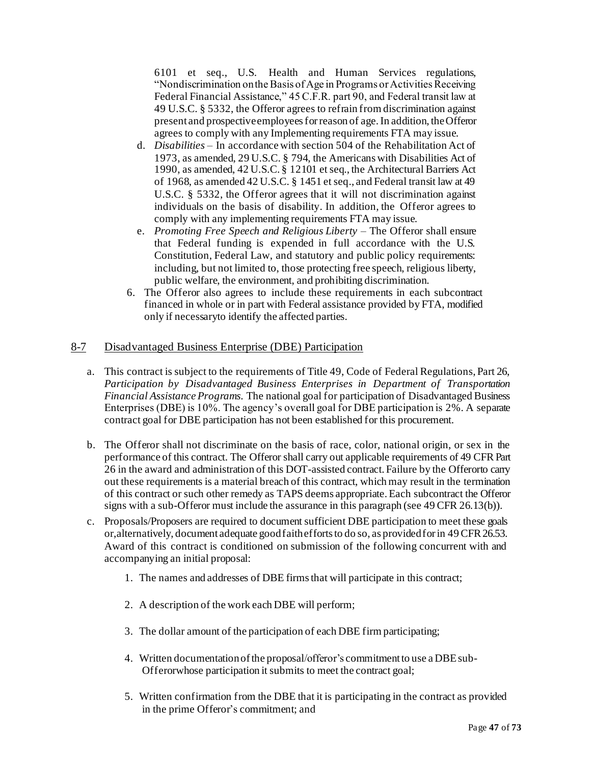6101 et seq., U.S. Health and Human Services regulations, "Nondiscrimination on the Basis of Age in Programs or Activities Receiving Federal Financial Assistance," 45 C.F.R. part 90, and Federal transit law at 49 U.S.C. § 5332, the Offeror agrees to refrain from discrimination against present and prospective employees for reason of age. In addition, the Offeror agrees to comply with any Implementing requirements FTA may issue.

- d. *Disabilities*  In accordance with section 504 of the Rehabilitation Act of 1973, as amended, 29 U.S.C. § 794, the Americans with Disabilities Act of 1990, as amended, 42 U.S.C. § 12101 et seq., the Architectural Barriers Act of 1968, as amended 42 U.S.C. § 1451 et seq., and Federal transit law at 49 U.S.C. § 5332, the Offeror agrees that it will not discrimination against individuals on the basis of disability. In addition, the Offeror agrees to comply with any implementing requirements FTA may issue.
- e. *Promoting Free Speech and Religious Liberty*  The Offeror shall ensure that Federal funding is expended in full accordance with the U.S. Constitution, Federal Law, and statutory and public policy requirements: including, but not limited to, those protecting free speech, religious liberty, public welfare, the environment, and prohibiting discrimination.
- 6. The Offeror also agrees to include these requirements in each subcontract financed in whole or in part with Federal assistance provided by FTA, modified only if necessaryto identify the affected parties.

#### <span id="page-46-0"></span>8-7 Disadvantaged Business Enterprise (DBE) Participation

- a. This contract is subject to the requirements of Title 49, Code of Federal Regulations, Part 26, *Participation by Disadvantaged Business Enterprises in Department of Transportation Financial Assistance Programs.* The national goal for participation of Disadvantaged Business Enterprises (DBE) is 10%. The agency's overall goal for DBE participation is 2%. A separate contract goal for DBE participation has not been established for this procurement.
- b. The Offeror shall not discriminate on the basis of race, color, national origin, or sex in the performance of this contract. The Offeror shall carry out applicable requirements of 49 CFR Part 26 in the award and administration of this DOT-assisted contract. Failure by the Offerorto carry out these requirements is a material breach of this contract, which may result in the termination of this contract or such other remedy as TAPS deems appropriate. Each subcontract the Offeror signs with a sub-Offeror must include the assurance in this paragraph (see 49 CFR 26.13(b)).
- c. Proposals/Proposers are required to document sufficient DBE participation to meet these goals or,alternatively, document adequate good faith efforts to do so, as provided for in 49 CFR 26.53. Award of this contract is conditioned on submission of the following concurrent with and accompanying an initial proposal:
	- 1. The names and addresses of DBE firmsthat will participate in this contract;
	- 2. A description of the work each DBE will perform;
	- 3. The dollar amount of the participation of each DBE firm participating;
	- 4. Written documentationofthe proposal/offeror's commitmentto use a DBEsub-Offerorwhose participation it submits to meet the contract goal;
	- 5. Written confirmation from the DBE that it is participating in the contract as provided in the prime Offeror's commitment; and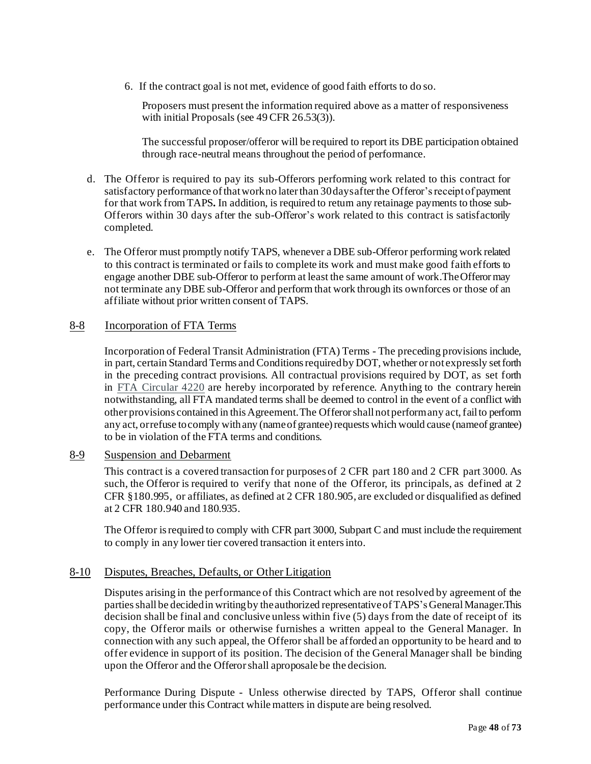6. If the contract goal is not met, evidence of good faith efforts to do so.

Proposers must present the information required above as a matter of responsiveness with initial Proposals (see 49 CFR 26.53(3).

The successful proposer/offeror will be required to report its DBE participation obtained through race-neutral means throughout the period of performance.

- d. The Offeror is required to pay its sub-Offerors performing work related to this contract for satisfactory performance of that work no later than 30 days after the Offeror's receipt of payment for that work from TAPS**.** In addition, is required to return any retainage payments to those sub-Offerors within 30 days after the sub-Offeror's work related to this contract is satisfactorily completed.
- e. The Offeror must promptly notify TAPS, whenever a DBE sub-Offeror performing work related to this contract is terminated or fails to complete its work and must make good faith efforts to engage another DBE sub-Offeror to perform at least the same amount of work.TheOfferormay not terminate any DBE sub-Offeror and perform that work through its ownforces or those of an affiliate without prior written consent of TAPS.

#### <span id="page-47-0"></span>8-8 Incorporation of FTA Terms

Incorporation of Federal Transit Administration (FTA) Terms - The preceding provisions include, in part, certain Standard Terms and Conditions required by DOT, whether or not expressly set forth in the preceding contract provisions. All contractual provisions required by DOT, as set forth in [FTA Circular 4220](http://www.fta.dot.gov/legislation_law/12349_4063.html) are hereby incorporated by reference. Anything to the contrary herein notwithstanding, all FTA mandated terms shall be deemed to control in the event of a conflict with other provisions contained in this Agreement. The Offerorshall not perform any act, fail to perform any act, orrefuse to comply with any (name of grantee) requests which would cause (name of grantee) to be in violation of the FTA terms and conditions.

#### <span id="page-47-1"></span>8-9 Suspension and Debarment

This contract is a covered transaction for purposes of 2 CFR part 180 and 2 CFR part 3000. As such, the Offeror is required to verify that none of the Offeror, its principals, as defined at 2 CFR §180.995, or affiliates, as defined at 2 CFR 180.905, are excluded or disqualified as defined at 2 CFR 180.940 and 180.935.

The Offeror is required to comply with CFR part 3000, Subpart C and must include the requirement to comply in any lower tier covered transaction it entersinto.

#### <span id="page-47-2"></span>8-10 Disputes, Breaches, Defaults, or Other Litigation

Disputes arising in the performance of this Contract which are not resolved by agreement of the partiesshall be decidedin writingby theauthorized representativeofTAPS's GeneralManager.This decision shall be final and conclusive unless within five (5) days from the date of receipt of its copy, the Offeror mails or otherwise furnishes a written appeal to the General Manager. In connection with any such appeal, the Offeror shall be afforded an opportunity to be heard and to offer evidence in support of its position. The decision of the General Manager shall be binding upon the Offeror and the Offerorshall aproposale be the decision.

Performance During Dispute - Unless otherwise directed by TAPS, Offeror shall continue performance under this Contract while matters in dispute are being resolved.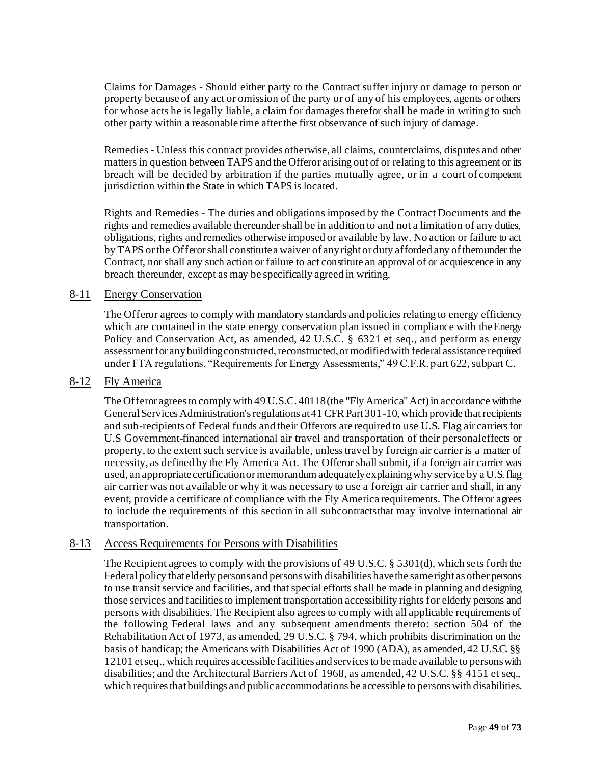Claims for Damages - Should either party to the Contract suffer injury or damage to person or property because of any act or omission of the party or of any of his employees, agents or others for whose acts he is legally liable, a claim for damages therefor shall be made in writing to such other party within a reasonable time afterthe first observance of such injury of damage.

Remedies - Unless this contract provides otherwise, all claims, counterclaims, disputes and other matters in question between TAPS and the Offeror arising out of or relating to this agreement or its breach will be decided by arbitration if the parties mutually agree, or in a court of competent jurisdiction within the State in which TAPS is located.

Rights and Remedies - The duties and obligations imposed by the Contract Documents and the rights and remedies available thereunder shall be in addition to and not a limitation of any duties, obligations, rights and remedies otherwise imposed or available by law. No action or failure to act by TAPS orthe Offerorshall constitutea waiver of anyrightor duty afforded any ofthemunder the Contract, nor shall any such action or failure to act constitute an approval of or acquiescence in any breach thereunder, except as may be specifically agreed in writing.

#### <span id="page-48-0"></span>8-11 Energy Conservation

The Offeror agrees to comply with mandatory standards and policies relating to energy efficiency which are contained in the state energy conservation plan issued in compliance with the Energy Policy and Conservation Act, as amended, 42 U.S.C. § 6321 et seq., and perform as energy assessment for any building constructed, reconstructed, or modified with federal assistance required under FTA regulations, "Requirements for Energy Assessments," 49 C.F.R. part 622, subpart C.

#### <span id="page-48-1"></span>8-12 Fly America

The Offeror agrees to comply with 49 U.S.C. 40118 (the "Fly America" Act) in accordance with the General Services Administration's regulations at 41 CFR Part 301-10, which provide that recipients and sub-recipients of Federal funds and their Offerors are required to use U.S. Flag air carriersfor U.S Government-financed international air travel and transportation of their personaleffects or property, to the extent such service is available, unless travel by foreign air carrier is a matter of necessity, as defined by the Fly America Act. The Offeror shall submit, if a foreign air carrier was used, an appropriate certification or memorandum adequately explaining why service by a U.S. flag air carrier was not available or why it was necessary to use a foreign air carrier and shall, in any event, provide a certificate of compliance with the Fly America requirements. The Offeror agrees to include the requirements of this section in all subcontractsthat may involve international air transportation.

#### <span id="page-48-2"></span>8-13 Access Requirements for Persons with Disabilities

The Recipient agrees to comply with the provisions of 49 U.S.C. § 5301(d), which sets forth the Federal policy that elderly personsand personswith disabilities havethe sameright as other persons to use transit service and facilities, and that special efforts shall be made in planning and designing those services and facilitiesto implement transportation accessibility rights for elderly persons and persons with disabilities. The Recipient also agrees to comply with all applicable requirements of the following Federal laws and any subsequent amendments thereto: section 504 of the Rehabilitation Act of 1973, as amended, 29 U.S.C. § 794, which prohibits discrimination on the basis of handicap; the Americans with Disabilities Act of 1990 (ADA), as amended, 42 U.S.C. §§ 12101 etseq., which requires accessible facilities andservicesto be made available to personswith disabilities; and the Architectural Barriers Act of 1968, as amended, 42 U.S.C. §§ 4151 et seq., which requires that buildings and public accommodations be accessible to persons with disabilities.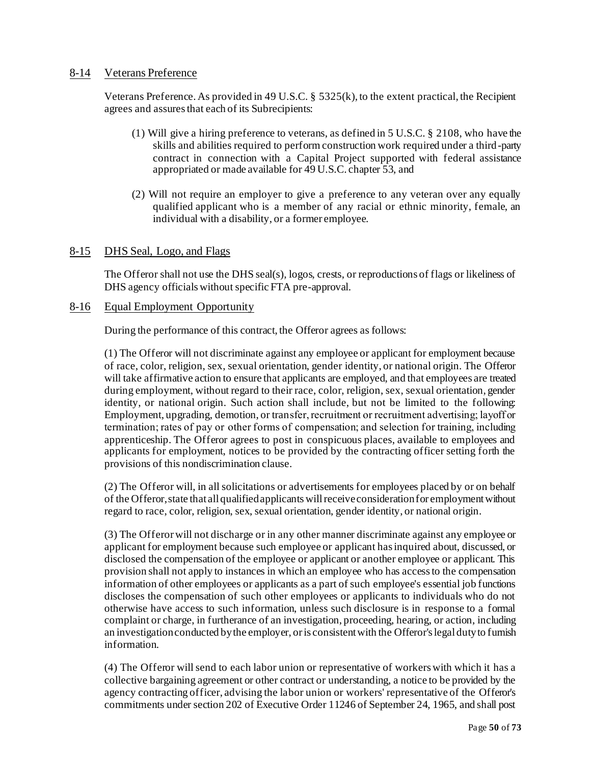#### <span id="page-49-0"></span>8-14 Veterans Preference

Veterans Preference. As provided in 49 U.S.C. § 5325(k), to the extent practical, the Recipient agrees and assures that each of its Subrecipients:

- (1) Will give a hiring preference to veterans, as defined in 5 U.S.C. § 2108, who have the skills and abilities required to perform construction work required under a third-party contract in connection with a Capital Project supported with federal assistance appropriated or made available for 49 U.S.C. chapter 53, and
- (2) Will not require an employer to give a preference to any veteran over any equally qualified applicant who is a member of any racial or ethnic minority, female, an individual with a disability, or a former employee.

#### 8-15 DHS Seal, Logo, and Flags

The Offeror shall not use the DHS seal(s), logos, crests, or reproductions of flags or likeliness of DHS agency officials without specific FTA pre-approval.

#### 8-16 Equal Employment Opportunity

During the performance of this contract, the Offeror agrees as follows:

(1) The Offeror will not discriminate against any employee or applicant for employment because of race, color, religion, sex, sexual orientation, gender identity, or national origin. The Offeror will take affirmative action to ensure that applicants are employed, and that employees are treated during employment, without regard to their race, color, religion, sex, sexual orientation, gender identity, or national origin. Such action shall include, but not be limited to the following: Employment, upgrading, demotion, or transfer, recruitment or recruitment advertising; layoff or termination; rates of pay or other forms of compensation; and selection for training, including apprenticeship. The Offeror agrees to post in conspicuous places, available to employees and applicants for employment, notices to be provided by the contracting officer setting forth the provisions of this nondiscrimination clause.

(2) The Offeror will, in all solicitations or advertisements for employees placed by or on behalf of the Offeror, state that all qualified applicants willreceive consideration for employment without regard to race, color, religion, sex, sexual orientation, gender identity, or national origin.

(3) The Offerorwill not discharge or in any other manner discriminate against any employee or applicant for employment because such employee or applicant has inquired about, discussed, or disclosed the compensation of the employee or applicant or another employee or applicant. This provision shall not apply to instances in which an employee who has access to the compensation information of other employees or applicants as a part of such employee's essential job functions discloses the compensation of such other employees or applicants to individuals who do not otherwise have access to such information, unless such disclosure is in response to a formal complaint or charge, in furtherance of an investigation, proceeding, hearing, or action, including an investigation conducted by the employer, or is consistent with the Offeror's legal duty to furnish information.

(4) The Offeror will send to each labor union or representative of workers with which it has a collective bargaining agreement or other contract or understanding, a notice to be provided by the agency contracting officer, advising the labor union or workers' representative of the Offeror's commitments under section 202 of Executive Order 11246 of September 24, 1965, and shall post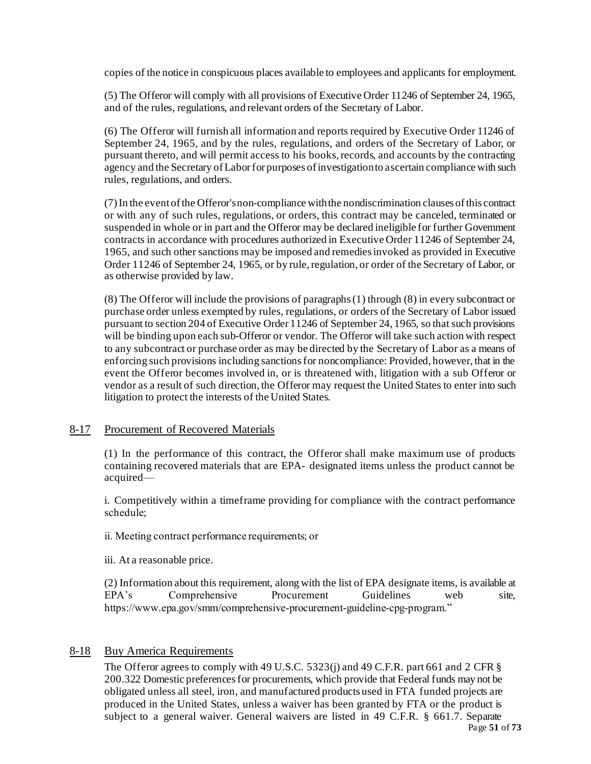copies of the notice in conspicuous places available to employees and applicants for employment.

(5) The Offeror will comply with all provisions of Executive Order 11246 of September 24, 1965, and of the rules, regulations, and relevant orders of the Secretary of Labor.

(6) The Offeror will furnish all information and reports required by Executive Order 11246 of September 24, 1965, and by the rules, regulations, and orders of the Secretary of Labor, or pursuant thereto, and will permit access to his books, records, and accounts by the contracting agency and the Secretary of Labor for purposes of investigation to ascertain compliance with such rules, regulations, and orders.

(7) In the event of the Offeror's non-compliance with the nondiscrimination clauses of this contract or with any of such rules, regulations, or orders, this contract may be canceled, terminated or suspended in whole or in part and the Offeror may be declared ineligible for further Government contracts in accordance with procedures authorized in Executive Order 11246 of September 24, 1965, and such other sanctions may be imposed and remedies invoked as provided in Executive Order 11246 of September 24, 1965, or by rule, regulation, or order of the Secretary of Labor, or as otherwise provided by law.

(8) The Offeror will include the provisions of paragraphs (1) through (8) in every subcontract or purchase order unless exempted by rules, regulations, or orders of the Secretary of Labor issued pursuant to section 204 of Executive Order 11246 of September 24, 1965, so that such provisions will be binding upon each sub-Offeror or vendor. The Offeror will take such action with respect to any subcontract or purchase order as may be directed by the Secretary of Labor as a means of enforcing such provisions including sanctions for noncompliance: Provided, however, that in the event the Offeror becomes involved in, or is threatened with, litigation with a sub Offeror or vendor as a result of such direction, the Offeror may request the United States to enter into such litigation to protect the interests of the United States.

#### 8-17 Procurement of Recovered Materials

(1) In the performance of this contract, the Offeror shall make maximum use of products containing recovered materials that are EPA- designated items unless the product cannot be acquired—

i. Competitively within a timeframe providing for compliance with the contract performance schedule;

ii. Meeting contract performance requirements; or

iii. At a reasonable price.

(2) Information about this requirement, along with the list of EPA designate items, is available at EPA's Comprehensive Procurement Guidelines web site, https://www.epa.gov/smm/comprehensive-procurement-guideline-cpg-program."

#### 8-18 Buy America Requirements

The Offeror agrees to comply with 49 U.S.C. 5323(j) and 49 C.F.R. part 661 and 2 CFR § 200.322 Domestic preferences for procurements, which provide that Federal funds may not be obligated unless all steel, iron, and manufactured products used in FTA funded projects are produced in the United States, unless a waiver has been granted by FTA or the product is subject to a general waiver. General waivers are listed in 49 C.F.R. § 661.7. Separate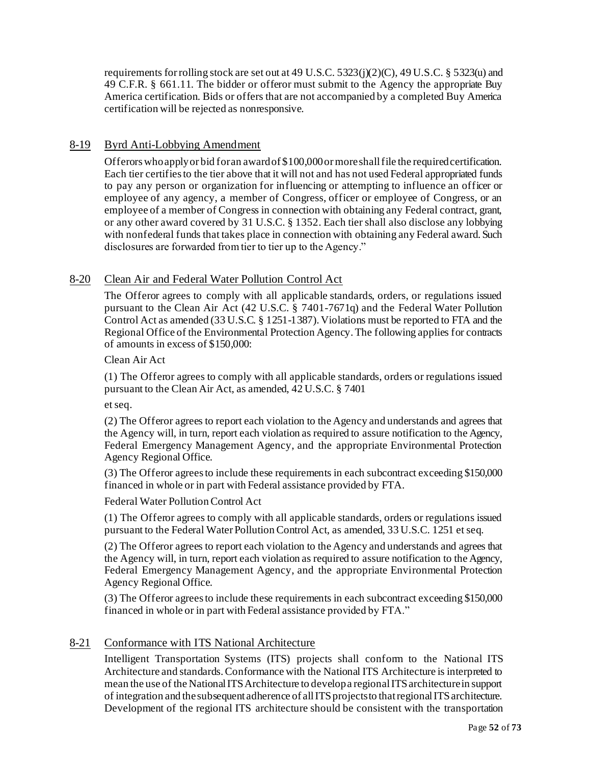requirements for rolling stock are set out at 49 U.S.C.  $5323(j)(2)(C)$ , 49 U.S.C. §  $5323(i)$  and 49 C.F.R. § 661.11. The bidder or offeror must submit to the Agency the appropriate Buy America certification. Bids or offers that are not accompanied by a completed Buy America certification will be rejected as nonresponsive.

#### 8-19 Byrd Anti-Lobbying Amendment

Offerors who apply or bid for an award of \$100,000 or more shall file the required certification. Each tier certifies to the tier above that it will not and has not used Federal appropriated funds to pay any person or organization for influencing or attempting to influence an officer or employee of any agency, a member of Congress, officer or employee of Congress, or an employee of a member of Congress in connection with obtaining any Federal contract, grant, or any other award covered by 31 U.S.C. § 1352. Each tier shall also disclose any lobbying with nonfederal funds that takes place in connection with obtaining any Federal award. Such disclosures are forwarded from tier to tier up to the Agency."

#### 8-20 Clean Air and Federal Water Pollution Control Act

The Offeror agrees to comply with all applicable standards, orders, or regulations issued pursuant to the Clean Air Act (42 U.S.C. § 7401-7671q) and the Federal Water Pollution Control Act as amended (33 U.S.C. § 1251-1387). Violations must be reported to FTA and the Regional Office of the Environmental Protection Agency. The following applies for contracts of amounts in excess of \$150,000:

#### Clean Air Act

(1) The Offeror agrees to comply with all applicable standards, orders or regulations issued pursuant to the Clean Air Act, as amended, 42 U.S.C. § 7401

et seq.

(2) The Offeror agrees to report each violation to the Agency and understands and agrees that the Agency will, in turn, report each violation as required to assure notification to the Agency, Federal Emergency Management Agency, and the appropriate Environmental Protection Agency Regional Office.

(3) The Offeror agrees to include these requirements in each subcontract exceeding \$150,000 financed in whole or in part with Federal assistance provided by FTA.

Federal Water Pollution Control Act

(1) The Offeror agrees to comply with all applicable standards, orders or regulations issued pursuant to the Federal Water Pollution Control Act, as amended, 33 U.S.C. 1251 et seq.

(2) The Offeror agrees to report each violation to the Agency and understands and agrees that the Agency will, in turn, report each violation as required to assure notification to the Agency, Federal Emergency Management Agency, and the appropriate Environmental Protection Agency Regional Office.

(3) The Offeror agrees to include these requirements in each subcontract exceeding \$150,000 financed in whole or in part with Federal assistance provided by FTA."

#### 8-21 Conformance with ITS National Architecture

Intelligent Transportation Systems (ITS) projects shall conform to the National ITS Architecture and standards. Conformance with the National ITS Architecture is interpreted to mean the use of the National ITS Architecture to develop a regional ITS architecture in support of integration and thesubsequent adherence of all ITS projects to that regional ITS architecture. Development of the regional ITS architecture should be consistent with the transportation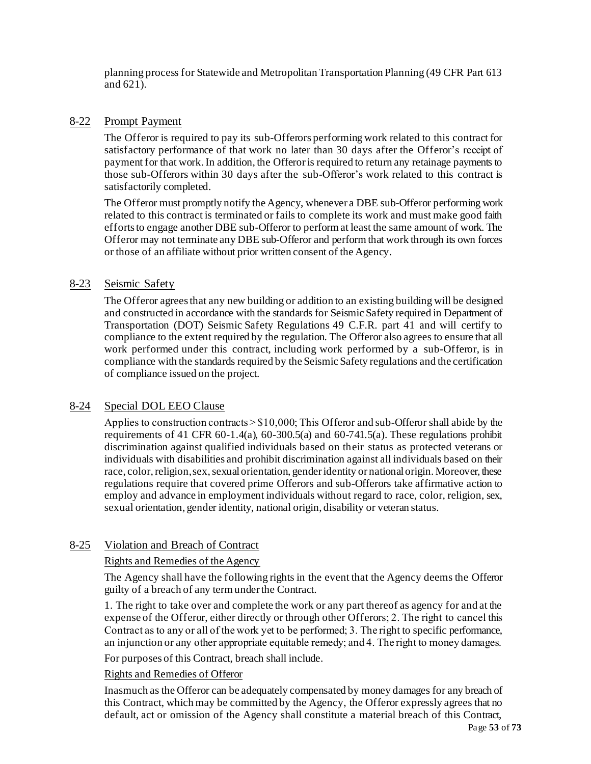planning process for Statewide and Metropolitan Transportation Planning (49 CFR Part 613 and 621).

#### 8-22 Prompt Payment

The Offeror is required to pay its sub-Offerors performing work related to this contract for satisfactory performance of that work no later than 30 days after the Offeror's receipt of payment for that work. In addition, the Offeroris required to return any retainage payments to those sub-Offerors within 30 days after the sub-Offeror's work related to this contract is satisfactorily completed.

The Offeror must promptly notify the Agency, whenever a DBE sub-Offeror performing work related to this contract is terminated or fails to complete its work and must make good faith efforts to engage another DBE sub-Offeror to perform at least the same amount of work. The Offeror may not terminate any DBE sub-Offeror and perform that work through its own forces or those of an affiliate without prior written consent of the Agency.

#### 8-23 Seismic Safety

The Offeror agrees that any new building or addition to an existing building will be designed and constructed in accordance with the standards for Seismic Safety required in Department of Transportation (DOT) Seismic Safety Regulations 49 C.F.R. part 41 and will certify to compliance to the extent required by the regulation. The Offeror also agrees to ensure that all work performed under this contract, including work performed by a sub-Offeror, is in compliance with the standards required by the Seismic Safety regulations and the certification of compliance issued on the project.

#### 8-24 Special DOL EEO Clause

Applies to construction contracts > \$10,000; This Offeror and sub-Offeror shall abide by the requirements of 41 CFR 60-1.4(a), 60-300.5(a) and 60-741.5(a). These regulations prohibit discrimination against qualified individuals based on their status as protected veterans or individuals with disabilities and prohibit discrimination against all individuals based on their race, color, religion, sex, sexual orientation, gender identity or national origin. Moreover, these regulations require that covered prime Offerors and sub-Offerors take affirmative action to employ and advance in employment individuals without regard to race, color, religion, sex, sexual orientation, gender identity, national origin, disability or veteran status.

#### 8-25 Violation and Breach of Contract

#### Rights and Remedies of the Agency

The Agency shall have the following rights in the event that the Agency deems the Offeror guilty of a breach of any term under the Contract.

1. The right to take over and complete the work or any part thereof as agency for and at the expense of the Offeror, either directly or through other Offerors; 2. The right to cancel this Contract as to any or all of the work yet to be performed; 3. The right to specific performance, an injunction or any other appropriate equitable remedy; and 4. The right to money damages.

For purposes of this Contract, breach shall include.

#### Rights and Remedies of Offeror

Inasmuch as the Offeror can be adequately compensated by money damages for any breach of this Contract, which may be committed by the Agency, the Offeror expressly agrees that no default, act or omission of the Agency shall constitute a material breach of this Contract,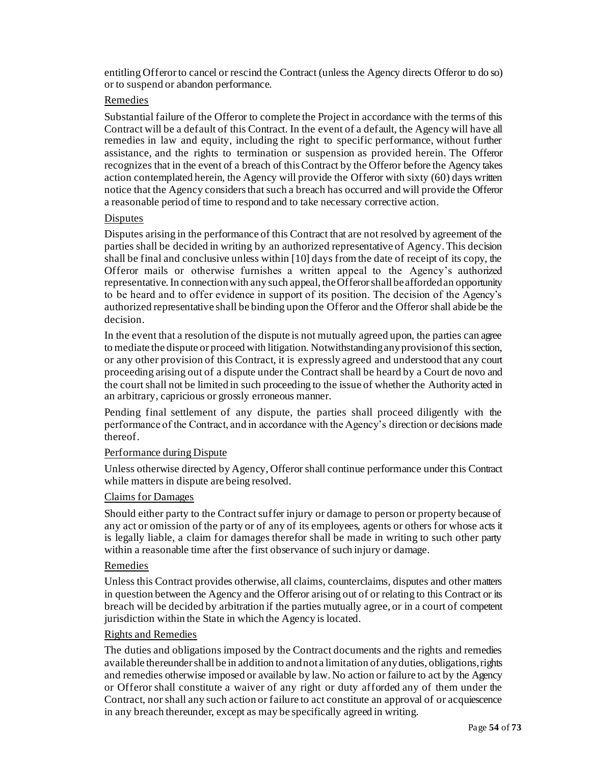entitling Offerorto cancel or rescind the Contract (unless the Agency directs Offeror to do so) or to suspend or abandon performance.

#### Remedies

Substantial failure of the Offeror to complete the Project in accordance with the terms of this Contract will be a default of this Contract. In the event of a default, the Agency will have all remedies in law and equity, including the right to specific performance, without further assistance, and the rights to termination or suspension as provided herein. The Offeror recognizes that in the event of a breach of this Contract by the Offeror before the Agency takes action contemplated herein, the Agency will provide the Offeror with sixty (60) days written notice that the Agency considers that such a breach has occurred and will provide the Offeror a reasonable period of time to respond and to take necessary corrective action.

#### **Disputes**

Disputes arising in the performance of this Contract that are not resolved by agreement of the parties shall be decided in writing by an authorized representative of Agency. This decision shall be final and conclusive unless within [10] days from the date of receipt of its copy, the Offeror mails or otherwise furnishes a written appeal to the Agency's authorized representative. In connection with any such appeal, the Offeror shall be afforded an opportunity to be heard and to offer evidence in support of its position. The decision of the Agency's authorized representative shall be binding upon the Offeror and the Offeror shall abide be the decision.

In the event that a resolution of the dispute is not mutually agreed upon, the parties can agree to mediate the dispute or proceed with litigation. Notwithstanding any provision of this section, or any other provision of this Contract, it is expressly agreed and understood that any court proceeding arising out of a dispute under the Contract shall be heard by a Court de novo and the court shall not be limited in such proceeding to the issue of whether the Authority acted in an arbitrary, capricious or grossly erroneous manner.

Pending final settlement of any dispute, the parties shall proceed diligently with the performance of the Contract, and in accordance with the Agency's direction or decisions made thereof.

#### Performance during Dispute

Unless otherwise directed by Agency, Offeror shall continue performance under this Contract while matters in dispute are being resolved.

#### Claims for Damages

Should either party to the Contract suffer injury or damage to person or property because of any act or omission of the party or of any of its employees, agents or others for whose acts it is legally liable, a claim for damages therefor shall be made in writing to such other party within a reasonable time after the first observance of such injury or damage.

#### Remedies

Unless this Contract provides otherwise, all claims, counterclaims, disputes and other matters in question between the Agency and the Offeror arising out of or relating to this Contract or its breach will be decided by arbitration if the parties mutually agree, or in a court of competent jurisdiction within the State in which the Agency is located.

#### Rights and Remedies

The duties and obligations imposed by the Contract documents and the rights and remedies available thereunder shall be in addition to and not a limitation of any duties, obligations, rights and remedies otherwise imposed or available by law. No action or failure to act by the Agency or Offeror shall constitute a waiver of any right or duty afforded any of them under the Contract, nor shall any such action or failure to act constitute an approval of or acquiescence in any breach thereunder, except as may be specifically agreed in writing.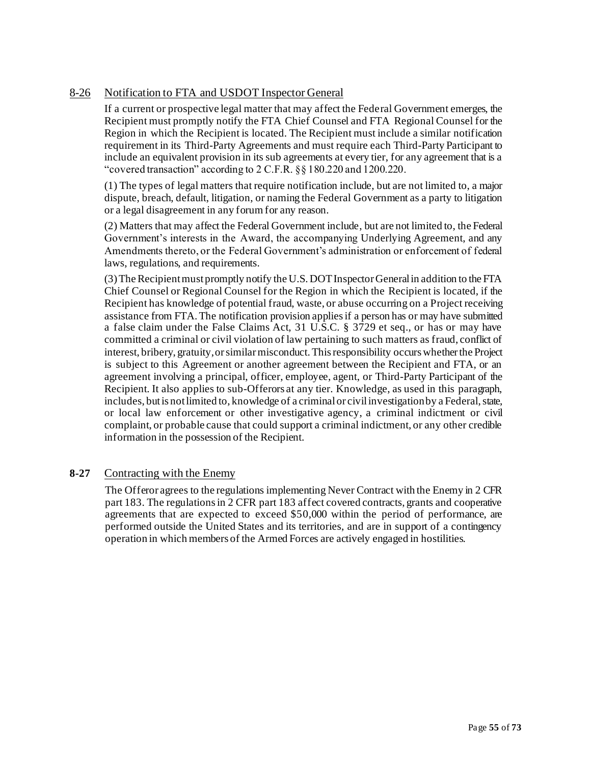## 8-26 Notification to FTA and USDOT Inspector General

If a current or prospective legal matter that may affect the Federal Government emerges, the Recipient must promptly notify the FTA Chief Counsel and FTA Regional Counsel for the Region in which the Recipient is located. The Recipient must include a similar notification requirement in its Third-Party Agreements and must require each Third-Party Participant to include an equivalent provision in its sub agreements at every tier, for any agreement that is a "covered transaction" according to 2 C.F.R. §§ 180.220 and 1200.220.

(1) The types of legal matters that require notification include, but are not limited to, a major dispute, breach, default, litigation, or naming the Federal Government as a party to litigation or a legal disagreement in any forum for any reason.

(2) Matters that may affect the Federal Government include, but are not limited to, the Federal Government's interests in the Award, the accompanying Underlying Agreement, and any Amendments thereto, or the Federal Government's administration or enforcement of federal laws, regulations, and requirements.

(3) The Recipient must promptly notify the U.S. DOT Inspector General in addition to the FTA Chief Counsel or Regional Counsel for the Region in which the Recipient is located, if the Recipient has knowledge of potential fraud, waste, or abuse occurring on a Project receiving assistance from FTA. The notification provision applies if a person has or may have submitted a false claim under the False Claims Act, 31 U.S.C. § 3729 et seq., or has or may have committed a criminal or civil violation of law pertaining to such matters as fraud, conflict of interest, bribery, gratuity, or similar misconduct. This responsibility occurs whether the Project is subject to this Agreement or another agreement between the Recipient and FTA, or an agreement involving a principal, officer, employee, agent, or Third-Party Participant of the Recipient. It also applies to sub-Offerors at any tier. Knowledge, as used in this paragraph, includes, butis not limited to, knowledge of a criminal or civil investigation by a Federal, state, or local law enforcement or other investigative agency, a criminal indictment or civil complaint, or probable cause that could support a criminal indictment, or any other credible information in the possession of the Recipient.

#### **8-27** Contracting with the Enemy

The Offeror agrees to the regulations implementing Never Contract with the Enemy in 2 CFR part 183. The regulations in 2 CFR part 183 affect covered contracts, grants and cooperative agreements that are expected to exceed \$50,000 within the period of performance, are performed outside the United States and its territories, and are in support of a contingency operation in which members of the Armed Forces are actively engaged in hostilities.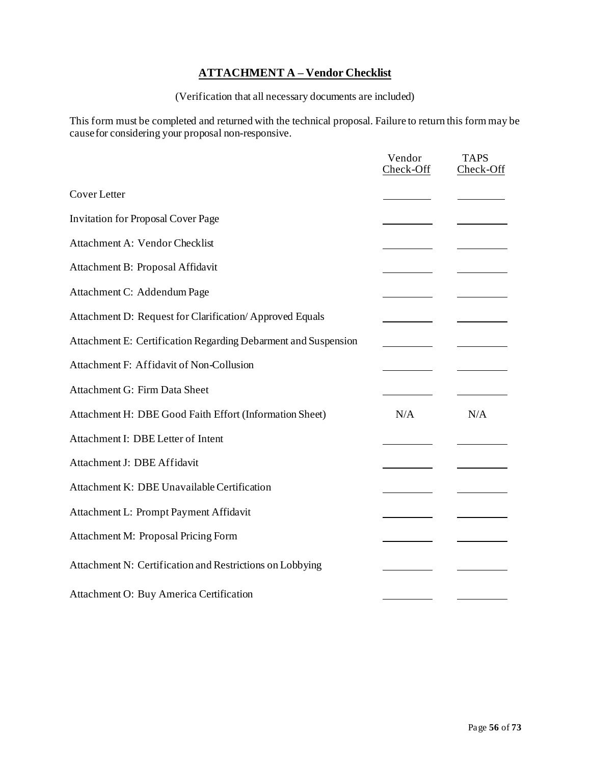## **ATTACHMENT A – Vendor Checklist**

(Verification that all necessary documents are included)

This form must be completed and returned with the technical proposal. Failure to return this form may be causefor considering your proposal non-responsive.

|                                                                | Vendor<br>Check-Off | <b>TAPS</b><br>Check-Off |
|----------------------------------------------------------------|---------------------|--------------------------|
| <b>Cover Letter</b>                                            |                     |                          |
| <b>Invitation for Proposal Cover Page</b>                      |                     |                          |
| Attachment A: Vendor Checklist                                 |                     |                          |
| Attachment B: Proposal Affidavit                               |                     |                          |
| Attachment C: Addendum Page                                    |                     |                          |
| Attachment D: Request for Clarification/Approved Equals        |                     |                          |
| Attachment E: Certification Regarding Debarment and Suspension |                     |                          |
| Attachment F: Affidavit of Non-Collusion                       |                     |                          |
| Attachment G: Firm Data Sheet                                  |                     |                          |
| Attachment H: DBE Good Faith Effort (Information Sheet)        | N/A                 | N/A                      |
| Attachment I: DBE Letter of Intent                             |                     |                          |
| Attachment J: DBE Affidavit                                    |                     |                          |
| Attachment K: DBE Unavailable Certification                    |                     |                          |
| Attachment L: Prompt Payment Affidavit                         |                     |                          |
| Attachment M: Proposal Pricing Form                            |                     |                          |
| Attachment N: Certification and Restrictions on Lobbying       |                     |                          |
| Attachment O: Buy America Certification                        |                     |                          |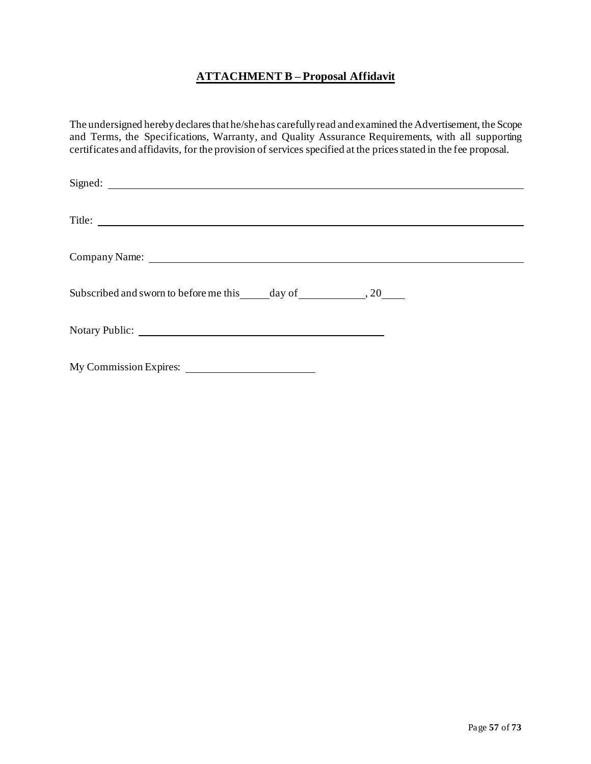## **ATTACHMENT B – Proposal Affidavit**

<span id="page-56-0"></span>The undersigned hereby declares that he/shehas carefully read and examined the Advertisement, the Scope and Terms, the Specifications, Warranty, and Quality Assurance Requirements, with all supporting certificates and affidavits, for the provision of services specified at the pricesstated in the fee proposal.

| Signed: <u>contract and contract and contract and contract and contract and contract and contract and contract and contract and contract and contract and contract and contract and contract and contract and contract and contr</u> |  |
|--------------------------------------------------------------------------------------------------------------------------------------------------------------------------------------------------------------------------------------|--|
| Title:                                                                                                                                                                                                                               |  |
| Company Name: <u>company Name</u>                                                                                                                                                                                                    |  |
|                                                                                                                                                                                                                                      |  |
|                                                                                                                                                                                                                                      |  |
|                                                                                                                                                                                                                                      |  |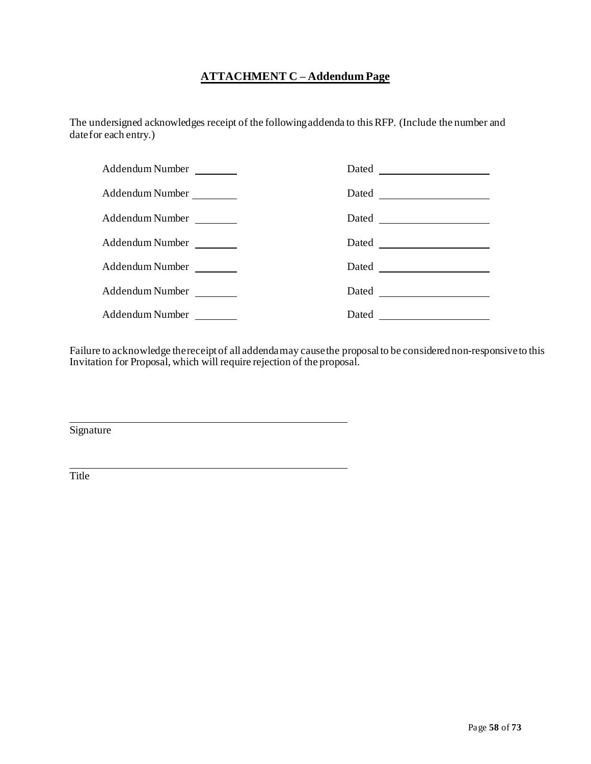## **ATTACHMENT C – Addendum Page**

<span id="page-57-0"></span>The undersigned acknowledges receipt of the followingaddenda to thisRFP. (Include the number and date for each entry.)

| Addendum Number | Dated |
|-----------------|-------|
| Addendum Number | Dated |
| Addendum Number |       |
| Addendum Number |       |
| Addendum Number | Dated |
| Addendum Number |       |
| Addendum Number | Dated |

Failure to acknowledge thereceipt of all addendamay causethe proposalto be considerednon-responsiveto this Invitation for Proposal, which will require rejection of the proposal.

Signature

Title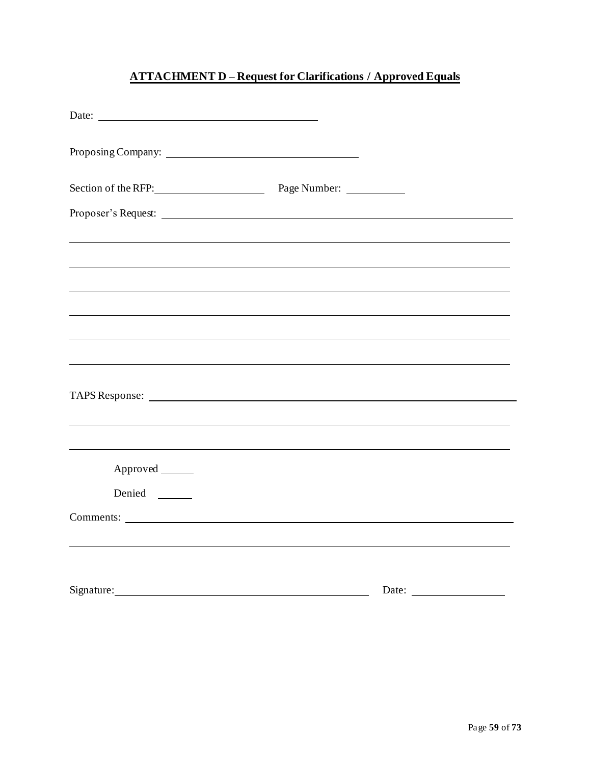## **ATTACHMENT D – Request for Clarifications / Approved Equals**

<span id="page-58-0"></span>

| Date: $\qquad \qquad$            |                                                                                  |  |
|----------------------------------|----------------------------------------------------------------------------------|--|
|                                  |                                                                                  |  |
| Section of the RFP: Page Number: |                                                                                  |  |
|                                  |                                                                                  |  |
|                                  |                                                                                  |  |
|                                  |                                                                                  |  |
|                                  |                                                                                  |  |
|                                  |                                                                                  |  |
|                                  |                                                                                  |  |
|                                  |                                                                                  |  |
| Approved ______                  | ,我们也不能在这里的时候,我们也不能在这里的时候,我们也不能会在这里的时候,我们也不能会在这里的时候,我们也不能会在这里的时候,我们也不能会在这里的时候,我们也 |  |
| Denied                           |                                                                                  |  |
| Comments:                        |                                                                                  |  |
|                                  |                                                                                  |  |
| Signature:                       | Date:                                                                            |  |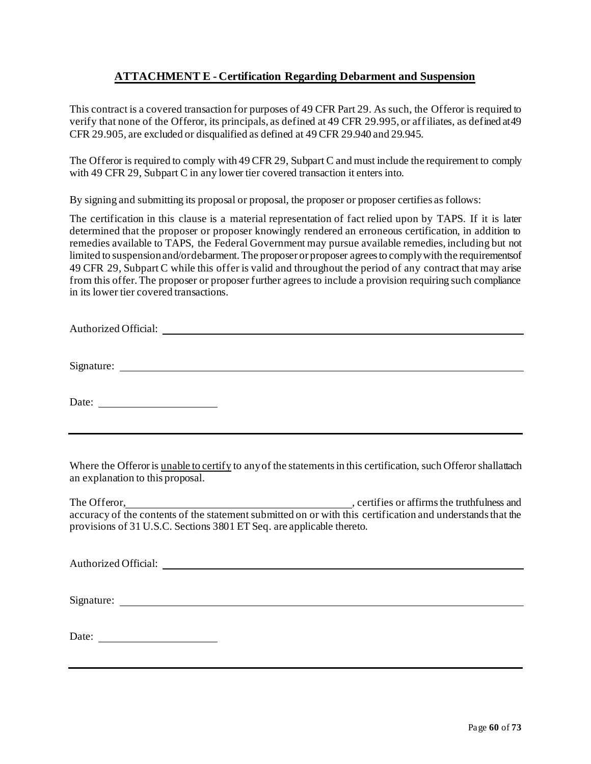## **ATTACHMENT E - Certification Regarding Debarment and Suspension**

<span id="page-59-0"></span>This contract is a covered transaction for purposes of 49 CFR Part 29. As such, the Offeror is required to verify that none of the Offeror, its principals, as defined at 49 CFR 29.995, or affiliates, as defined at49 CFR 29.905, are excluded or disqualified as defined at 49 CFR 29.940 and 29.945.

The Offeror is required to comply with 49 CFR 29, Subpart C and must include the requirement to comply with 49 CFR 29, Subpart C in any lower tier covered transaction it enters into.

By signing and submitting its proposal or proposal, the proposer or proposer certifies as follows:

The certification in this clause is a material representation of fact relied upon by TAPS. If it is later determined that the proposer or proposer knowingly rendered an erroneous certification, in addition to remedies available to TAPS, the Federal Government may pursue available remedies, including but not limited to suspensionand/ordebarment. The proposer or proposer agreesto complywith the requirementsof 49 CFR 29, Subpart C while this offer is valid and throughout the period of any contract that may arise from this offer. The proposer or proposer further agrees to include a provision requiring such compliance in its lower tier covered transactions.

Authorized Official:

Signature:

Date:

Where the Offeror is unable to certify to any of the statements in this certification, such Offeror shallattach an explanation to this proposal.

The Offeror,  $\overline{\phantom{a}}$ , certifies or affirms the truthfulness and accuracy of the contents of the statement submitted on or with this certification and understands that the provisions of 31 U.S.C. Sections 3801 ET Seq. are applicable thereto.

| Authorized Official:                                                                                                               | <u> 1980 - Jan Samuel Barbara, martin da shekara 1980 - An tsara 1980 - An tsara 1980 - An tsara 1980 - An tsara</u> |  |  |
|------------------------------------------------------------------------------------------------------------------------------------|----------------------------------------------------------------------------------------------------------------------|--|--|
| Signature:<br><u> 1980 - Jan Samuel Barbara, margaret e populazion del control del control del control del control de la provi</u> |                                                                                                                      |  |  |
| Date:<br><u> 1980 - Jan Barbara Barbara, politik a</u>                                                                             |                                                                                                                      |  |  |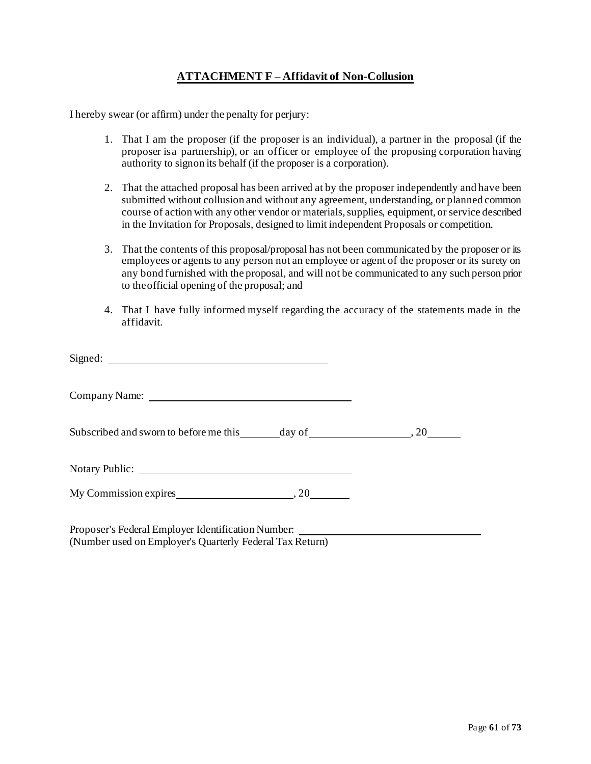## **ATTACHMENT F – Affidavit of Non-Collusion**

<span id="page-60-0"></span>I hereby swear (or affirm) under the penalty for perjury:

- 1. That I am the proposer (if the proposer is an individual), a partner in the proposal (if the proposer isa partnership), or an officer or employee of the proposing corporation having authority to signon its behalf (if the proposer is a corporation).
- 2. That the attached proposal has been arrived at by the proposer independently and have been submitted without collusion and without any agreement, understanding, or planned common course of action with any other vendor or materials, supplies, equipment, or service described in the Invitation for Proposals, designed to limit independent Proposals or competition.
- 3. That the contents of this proposal/proposal has not been communicated by the proposer or its employees or agents to any person not an employee or agent of the proposer or its surety on any bond furnished with the proposal, and will not be communicated to any such person prior to theofficial opening of the proposal; and
- 4. That I have fully informed myself regarding the accuracy of the statements made in the affidavit.

| Signed:                                            |  |
|----------------------------------------------------|--|
|                                                    |  |
|                                                    |  |
|                                                    |  |
|                                                    |  |
| Proposer's Federal Employer Identification Number. |  |

(Number used on Employer's Quarterly Federal Tax Return)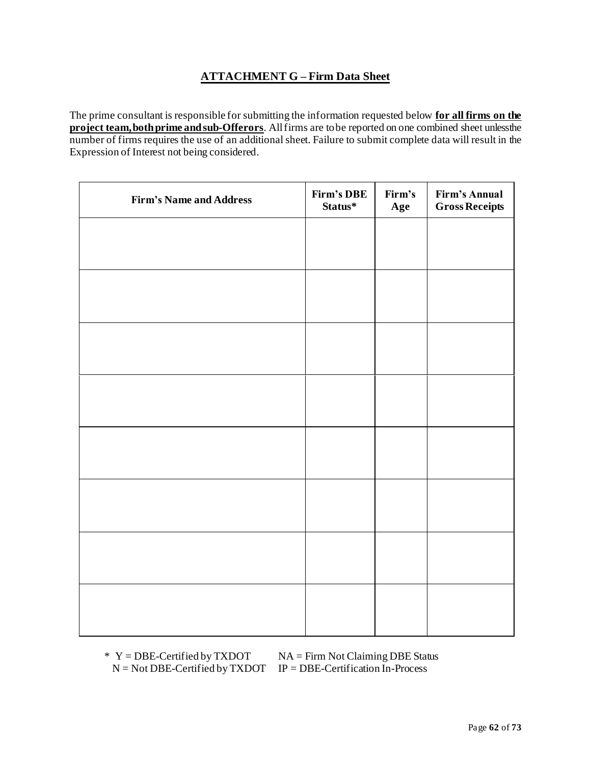## **ATTACHMENT G – Firm Data Sheet**

<span id="page-61-0"></span>The prime consultant is responsible for submitting the information requested below **for all firms on the project team,bothprime andsub-Offerors**. Allfirms are tobe reported on one combined sheet unlessthe number of firms requires the use of an additional sheet. Failure to submit complete data will result in the Expression of Interest not being considered.

| <b>Firm's Name and Address</b> | Firm's DBE<br>Status* | Firm's<br>Age | <b>Firm's Annual</b><br><b>Gross Receipts</b> |
|--------------------------------|-----------------------|---------------|-----------------------------------------------|
|                                |                       |               |                                               |
|                                |                       |               |                                               |
|                                |                       |               |                                               |
|                                |                       |               |                                               |
|                                |                       |               |                                               |
|                                |                       |               |                                               |
|                                |                       |               |                                               |
|                                |                       |               |                                               |
|                                |                       |               |                                               |
|                                |                       |               |                                               |
|                                |                       |               |                                               |
|                                |                       |               |                                               |
|                                |                       |               |                                               |
|                                |                       |               |                                               |
|                                |                       |               |                                               |
|                                |                       |               |                                               |

 $N = Not DBE-Certified by TXDOT IP = DBE-Certification In-Process$ 

 $*$  Y = DBE-Certified by TXDOT NA = Firm Not Claiming DBE Status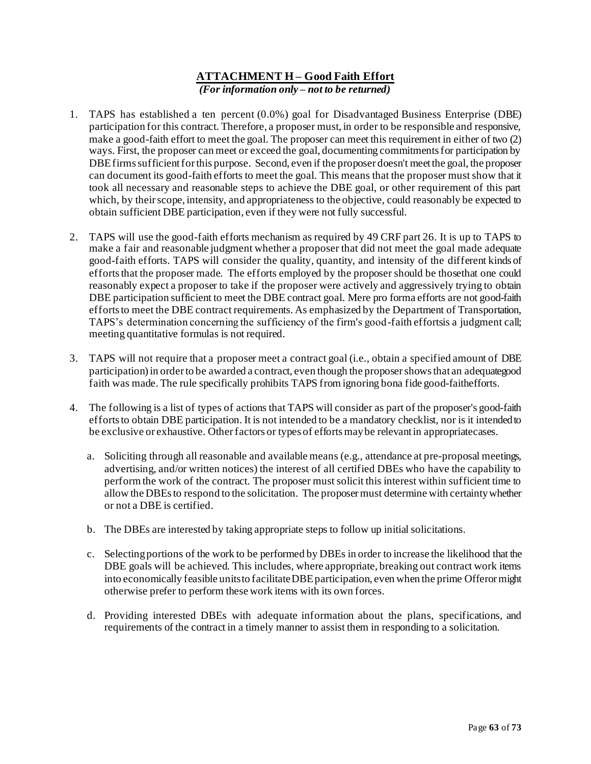### **ATTACHMENT H – Good Faith Effort** *(For information only – not to be returned)*

- <span id="page-62-0"></span>1. TAPS has established a ten percent (0.0%) goal for Disadvantaged Business Enterprise (DBE) participation for this contract. Therefore, a proposer must, in order to be responsible and responsive, make a good-faith effort to meet the goal. The proposer can meet this requirement in either of two (2) ways. First, the proposer can meet or exceed the goal, documenting commitments for participation by DBE firms sufficient for this purpose. Second, even if the proposer doesn't meet the goal, the proposer can document its good-faith efforts to meet the goal. This means that the proposer must show that it took all necessary and reasonable steps to achieve the DBE goal, or other requirement of this part which, by their scope, intensity, and appropriateness to the objective, could reasonably be expected to obtain sufficient DBE participation, even if they were not fully successful.
- 2. TAPS will use the good-faith efforts mechanism as required by 49 CRF part 26. It is up to TAPS to make a fair and reasonable judgment whether a proposer that did not meet the goal made adequate good-faith efforts. TAPS will consider the quality, quantity, and intensity of the different kinds of efforts that the proposer made. The efforts employed by the proposer should be thosethat one could reasonably expect a proposer to take if the proposer were actively and aggressively trying to obtain DBE participation sufficient to meet the DBE contract goal. Mere pro forma efforts are not good-faith efforts to meet the DBE contract requirements. As emphasized by the Department of Transportation, TAPS's determination concerning the sufficiency of the firm's good-faith effortsis a judgment call; meeting quantitative formulas is not required.
- 3. TAPS will not require that a proposer meet a contract goal (i.e., obtain a specified amount of DBE participation)in orderto be awarded a contract, even though the proposershowsthat an adequategood faith was made. The rule specifically prohibits TAPS from ignoring bona fide good-faithefforts.
- 4. The following is a list of types of actions that TAPS will consider as part of the proposer's good-faith efforts to obtain DBE participation. It is not intended to be a mandatory checklist, nor is it intendedto be exclusive or exhaustive. Otherfactors or types of effortsmaybe relevantin appropriatecases.
	- a. Soliciting through all reasonable and available means (e.g., attendance at pre-proposal meetings, advertising, and/or written notices) the interest of all certified DBEs who have the capability to perform the work of the contract. The proposer must solicit this interest within sufficient time to allow the DBEsto respond to the solicitation. The proposermust determine with certaintywhether or not a DBE is certified.
	- b. The DBEs are interested by taking appropriate steps to follow up initial solicitations.
	- c. Selectingportions of the work to be performed by DBEs in order to increase the likelihood that the DBE goals will be achieved. This includes, where appropriate, breaking out contract work items into economically feasible units to facilitate DBE participation, even when the prime Offerormight otherwise prefer to perform these work items with its own forces.
	- d. Providing interested DBEs with adequate information about the plans, specifications, and requirements of the contract in a timely manner to assist them in responding to a solicitation.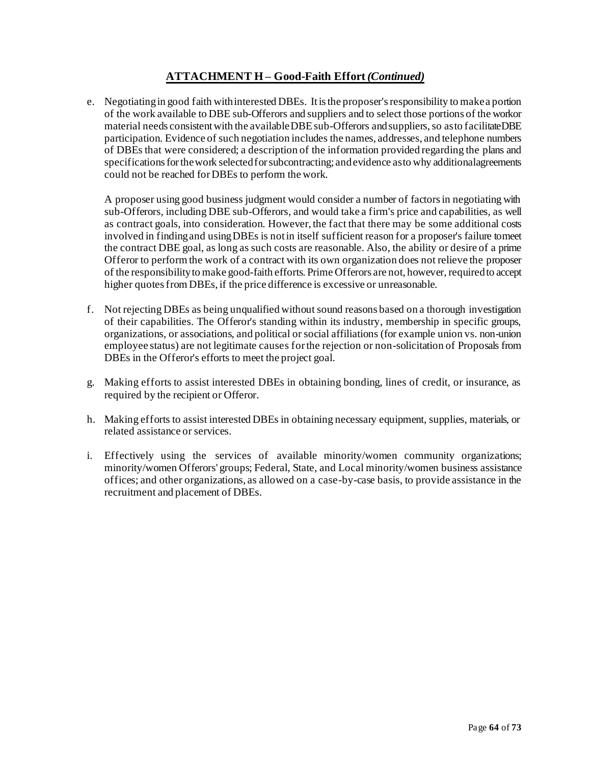## **ATTACHMENT H – Good-Faith Effort** *(Continued)*

e. Negotiatingin good faith withinterested DBEs. Itisthe proposer'sresponsibility to makea portion of the work available to DBE sub-Offerors and suppliers and to select those portions of the workor material needs consistent with the available DBE sub-Offerors and suppliers, so asto facilitateDBE participation. Evidence of such negotiation includes the names, addresses, and telephone numbers of DBEs that were considered; a description of the information provided regarding the plans and specificationsforthework selectedforsubcontracting; andevidence asto why additionalagreements could not be reached forDBEs to perform the work.

A proposer using good business judgment would consider a number of factors in negotiating with sub-Offerors, including DBE sub-Offerors, and would take a firm's price and capabilities, as well as contract goals, into consideration. However, the fact that there may be some additional costs involved in findingand usingDBEs is notin itself sufficient reason for a proposer's failure tomeet the contract DBE goal, as long as such costs are reasonable. Also, the ability or desire of a prime Offeror to perform the work of a contract with its own organization does not relieve the proposer of the responsibility to make good-faith efforts. Prime Offerors are not, however, requiredto accept higher quotes from DBEs, if the price difference is excessive or unreasonable.

- f. Not rejecting DBEs as being unqualified without sound reasons based on a thorough investigation of their capabilities. The Offeror's standing within its industry, membership in specific groups, organizations, or associations, and political or social affiliations (for example union vs. non-union employee status) are not legitimate causes for the rejection or non-solicitation of Proposals from DBEs in the Offeror's efforts to meet the project goal.
- g. Making efforts to assist interested DBEs in obtaining bonding, lines of credit, or insurance, as required by the recipient or Offeror.
- h. Making efforts to assist interested DBEs in obtaining necessary equipment, supplies, materials, or related assistance or services.
- i. Effectively using the services of available minority/women community organizations; minority/women Offerors' groups; Federal, State, and Local minority/women business assistance offices; and other organizations, as allowed on a case-by-case basis, to provide assistance in the recruitment and placement of DBEs.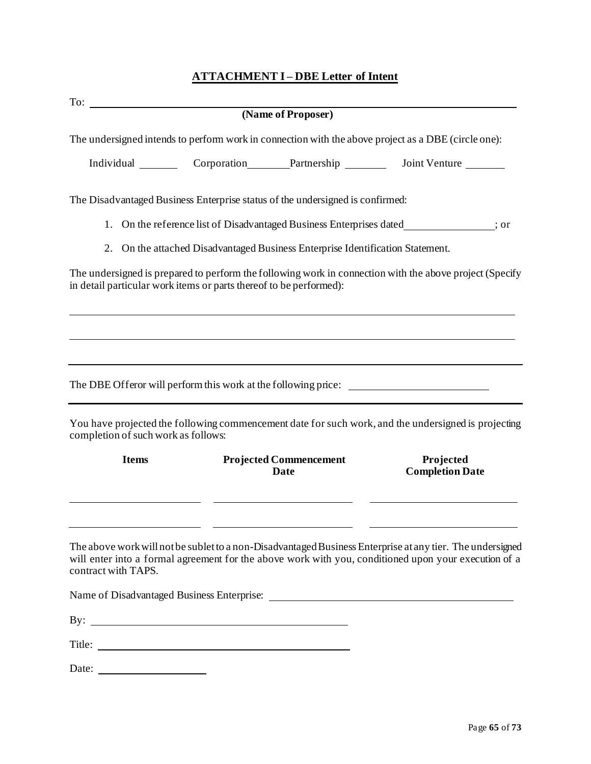## **ATTACHMENT I – DBE Letter of Intent**

<span id="page-64-0"></span>

|                                                                                | (Name of Proposer)                    |                                                                                                           |  |
|--------------------------------------------------------------------------------|---------------------------------------|-----------------------------------------------------------------------------------------------------------|--|
|                                                                                |                                       | The undersigned intends to perform work in connection with the above project as a DBE (circle one):       |  |
|                                                                                |                                       | Individual Corporation Partnership Joint Venture                                                          |  |
| The Disadvantaged Business Enterprise status of the undersigned is confirmed:  |                                       |                                                                                                           |  |
| 1.                                                                             |                                       | On the reference list of Disadvantaged Business Enterprises dated_____________; or                        |  |
| 2. On the attached Disadvantaged Business Enterprise Identification Statement. |                                       |                                                                                                           |  |
| in detail particular work items or parts thereof to be performed):             |                                       | The undersigned is prepared to perform the following work in connection with the above project (Specify   |  |
|                                                                                |                                       |                                                                                                           |  |
|                                                                                |                                       |                                                                                                           |  |
|                                                                                |                                       |                                                                                                           |  |
|                                                                                |                                       | The DBE Offeror will perform this work at the following price:                                            |  |
| completion of such work as follows:                                            |                                       | You have projected the following commencement date for such work, and the undersigned is projecting       |  |
| <b>Items</b>                                                                   | <b>Projected Commencement</b><br>Date | Projected<br><b>Completion Date</b>                                                                       |  |
|                                                                                |                                       | The above work will not be sublet to a non-Disadvantaged Business Enterprise at any tier. The undersigned |  |
| contract with TAPS.                                                            |                                       | will enter into a formal agreement for the above work with you, conditioned upon your execution of a      |  |
| Name of Disadvantaged Business Enterprise:                                     |                                       |                                                                                                           |  |

By:  $\overline{\phantom{a}}$ 

Title: <u>The Communication</u>

Date: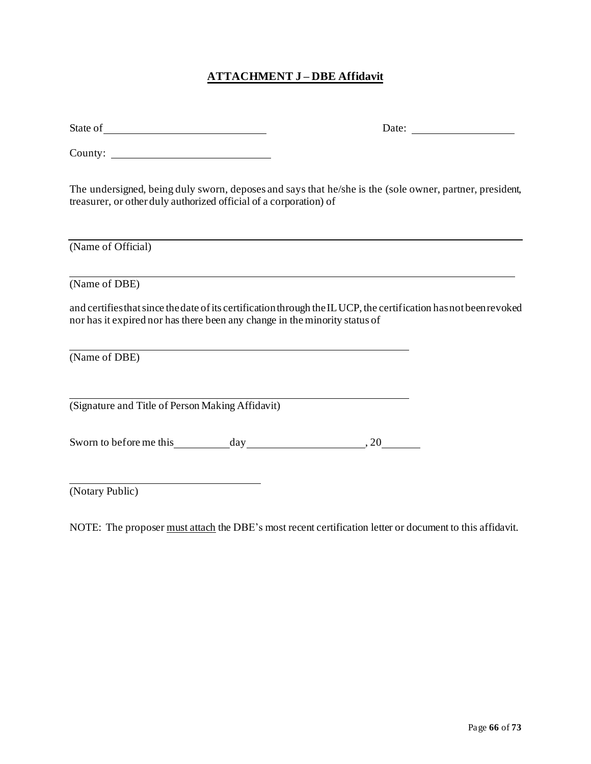## **ATTACHMENT J – DBE Affidavit**

<span id="page-65-0"></span>

| State of | Date: |
|----------|-------|
|----------|-------|

County:

The undersigned, being duly sworn, deposes and says that he/she is the (sole owner, partner, president, treasurer, or other duly authorized official of a corporation) of

(Name of Official)

(Name of DBE)

and certifies that since the date of its certification through the ILUCP, the certification has not been revoked nor has it expired nor has there been any change in the minority status of

(Name of DBE)

(Signature and Title of Person Making Affidavit)

Sworn to before me this day day 30, 20

(Notary Public)

NOTE: The proposer must attach the DBE's most recent certification letter or document to this affidavit.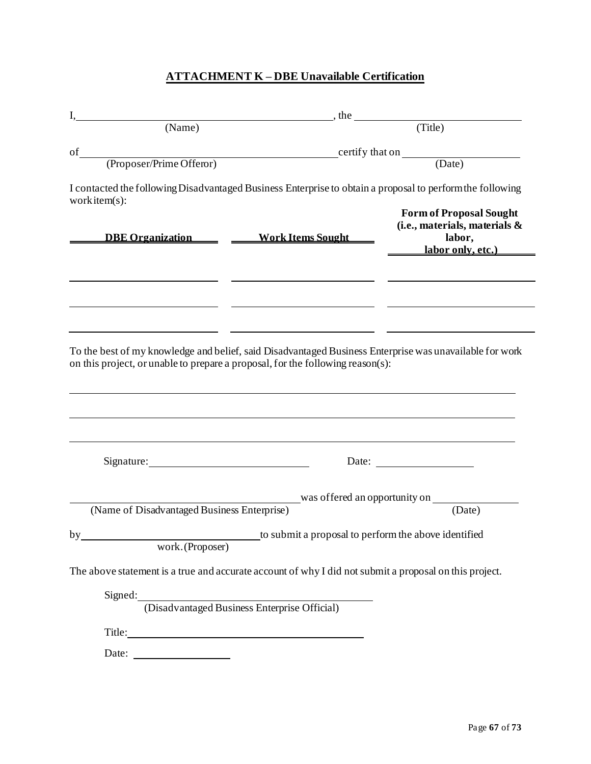## **ATTACHMENT K – DBE Unavailable Certification**

<span id="page-66-0"></span>

|                                                                                                                                         | $\Box$ , the                                                                                                                         |
|-----------------------------------------------------------------------------------------------------------------------------------------|--------------------------------------------------------------------------------------------------------------------------------------|
| (Name)                                                                                                                                  | (Title)                                                                                                                              |
| of                                                                                                                                      |                                                                                                                                      |
|                                                                                                                                         |                                                                                                                                      |
| work item $(s)$ :                                                                                                                       | I contacted the following Disadvantaged Business Enterprise to obtain a proposal to perform the following                            |
|                                                                                                                                         | <b>Form of Proposal Sought</b><br>(i.e., materials, materials &<br>DBE Organization Mork Items Sought<br>labor,<br>labor only, etc.) |
|                                                                                                                                         |                                                                                                                                      |
|                                                                                                                                         | on this project, or unable to prepare a proposal, for the following reason(s):                                                       |
| Signature: Management Signature:                                                                                                        |                                                                                                                                      |
|                                                                                                                                         | was offered an opportunity on                                                                                                        |
| (Name of Disadvantaged Business Enterprise)                                                                                             | (Date)                                                                                                                               |
| <u> 1980 - Johann Barn, mars eta bainar eta baina eta baina eta baina eta baina eta baina eta baina eta baina e</u><br>work. (Proposer) | to submit a proposal to perform the above identified                                                                                 |
|                                                                                                                                         | The above statement is a true and accurate account of why I did not submit a proposal on this project.                               |
|                                                                                                                                         |                                                                                                                                      |
|                                                                                                                                         | Signed: (Disadvantaged Business Enterprise Official)                                                                                 |
| To the best of my knowledge and belief, said Disadvantaged Business Enterprise was unavailable for work<br>by                           |                                                                                                                                      |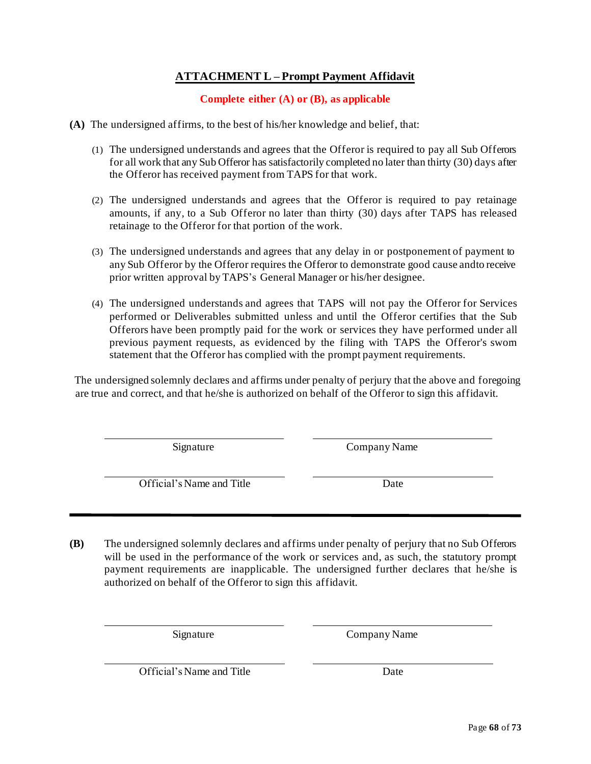## **ATTACHMENT L – Prompt Payment Affidavit**

## **Complete either (A) or (B), as applicable**

<span id="page-67-0"></span>**(A)** The undersigned affirms, to the best of his/her knowledge and belief, that:

- (1) The undersigned understands and agrees that the Offeror is required to pay all Sub Offerors for all work that any Sub Offeror has satisfactorily completed no later than thirty (30) days after the Offeror has received payment from TAPS for that work.
- (2) The undersigned understands and agrees that the Offeror is required to pay retainage amounts, if any, to a Sub Offeror no later than thirty (30) days after TAPS has released retainage to the Offeror for that portion of the work.
- (3) The undersigned understands and agrees that any delay in or postponement of payment to any Sub Offeror by the Offeror requires the Offeror to demonstrate good cause andto receive prior written approval by TAPS's General Manager or his/her designee.
- (4) The undersigned understands and agrees that TAPS will not pay the Offeror for Services performed or Deliverables submitted unless and until the Offeror certifies that the Sub Offerors have been promptly paid for the work or services they have performed under all previous payment requests, as evidenced by the filing with TAPS the Offeror's sworn statement that the Offeror has complied with the prompt payment requirements.

The undersigned solemnly declares and affirms under penalty of perjury that the above and foregoing are true and correct, and that he/she is authorized on behalf of the Offeror to sign this affidavit.

Signature Company Name

Official's Name and Title Date

**(B)** The undersigned solemnly declares and affirms under penalty of perjury that no Sub Offerors will be used in the performance of the work or services and, as such, the statutory prompt payment requirements are inapplicable. The undersigned further declares that he/she is authorized on behalf of the Offeror to sign this affidavit.

Signature Company Name

Official's Name and Title Date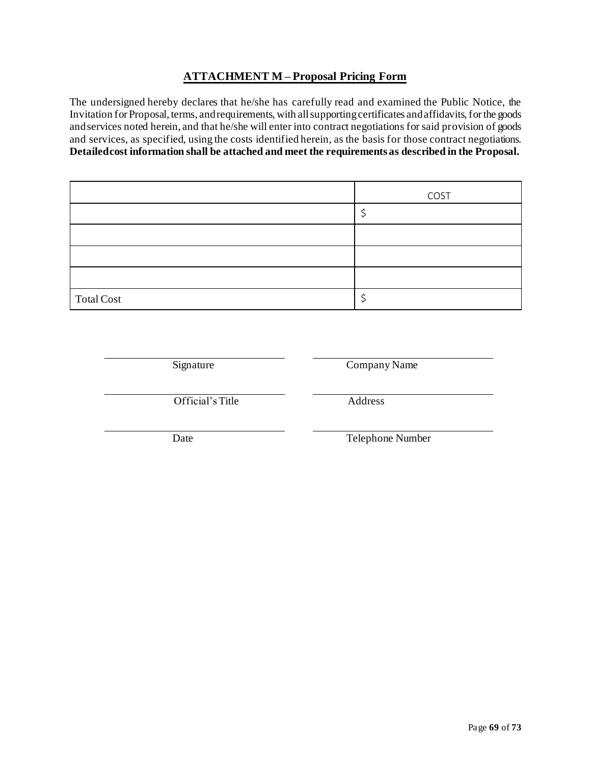## **ATTACHMENT M – Proposal Pricing Form**

<span id="page-68-0"></span>The undersigned hereby declares that he/she has carefully read and examined the Public Notice, the Invitation for Proposal, terms, and requirements, with all supporting certificates and affidavits, for the goods andservices noted herein, and that he/she will enter into contract negotiations for said provision of goods and services, as specified, using the costs identified herein, as the basis for those contract negotiations. **Detailedcost information shall be attached and meet the requirements as described in the Proposal.**

|                   | COST |
|-------------------|------|
|                   |      |
|                   |      |
|                   |      |
|                   |      |
| <b>Total Cost</b> |      |

Signature Company Name

Official's Title Address

Date Telephone Number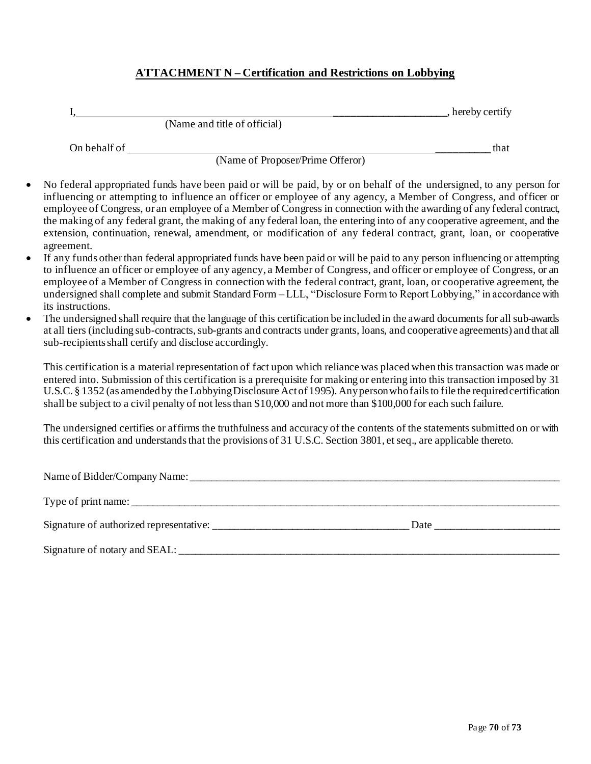## **ATTACHMENT N – Certification and Restrictions on Lobbying**

|              |                              | , hereby certify |
|--------------|------------------------------|------------------|
|              | (Name and title of official) |                  |
| On behalf of |                              | that             |

(Name of Proposer/Prime Offeror)

- No federal appropriated funds have been paid or will be paid, by or on behalf of the undersigned, to any person for influencing or attempting to influence an officer or employee of any agency, a Member of Congress, and officer or employee of Congress, or an employee of a Member of Congress in connection with the awarding of any federal contract, the making of any federal grant, the making of any federal loan, the entering into of any cooperative agreement, and the extension, continuation, renewal, amendment, or modification of any federal contract, grant, loan, or cooperative agreement.
- If any funds other than federal appropriated funds have been paid or will be paid to any person influencing or attempting to influence an officer or employee of any agency, a Member of Congress, and officer or employee of Congress, or an employee of a Member of Congress in connection with the federal contract, grant, loan, or cooperative agreement, the undersigned shall complete and submit Standard Form – LLL, "Disclosure Form to Report Lobbying," in accordance with its instructions.
- The undersigned shall require that the language of this certification be included in the award documents for all sub-awards at all tiers (including sub-contracts, sub-grants and contracts under grants, loans, and cooperative agreements) and that all sub-recipients shall certify and disclose accordingly.

This certification is a material representation of fact upon which reliance was placed when this transaction was made or entered into. Submission of this certification is a prerequisite for making or entering into this transaction imposed by 31 U.S.C. § 1352 (as amended by the Lobbying Disclosure Act of 1995). Any person who fails to file the required certification shall be subject to a civil penalty of not less than \$10,000 and not more than \$100,000 for each such failure.

The undersigned certifies or affirms the truthfulness and accuracy of the contents of the statements submitted on or with this certification and understands that the provisions of 31 U.S.C. Section 3801, et seq., are applicable thereto.

| Signature of authorized representative: | Date |
|-----------------------------------------|------|
| Signature of notary and SEAL: ___       |      |